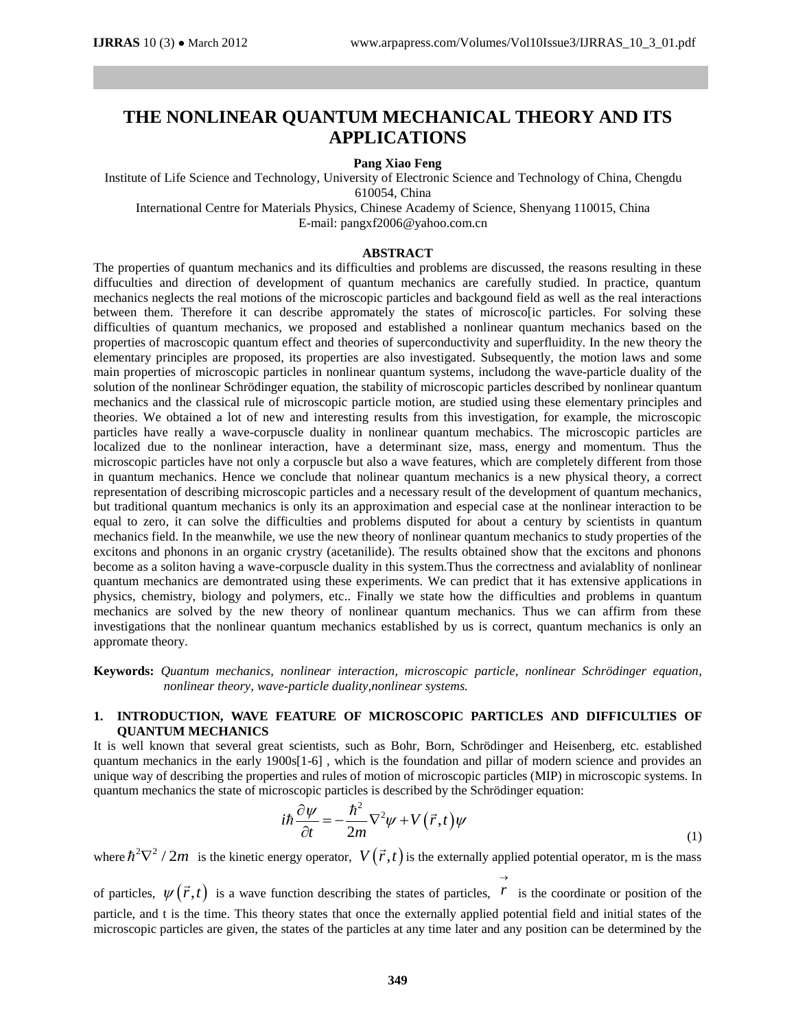# **THE NONLINEAR QUANTUM MECHANICAL THEORY AND ITS APPLICATIONS**

# **Pang Xiao Feng**

Institute of Life Science and Technology, University of Electronic Science and Technology of China, Chengdu 610054, China

International Centre for Materials Physics, Chinese Academy of Science, Shenyang 110015, China E-mail: [pangxf2006@yahoo.com.cn](mailto:pangxf2006@yahoo.com.cn)

### **ABSTRACT**

The properties of quantum mechanics and its difficulties and problems are discussed, the reasons resulting in these diffuculties and direction of development of quantum mechanics are carefully studied. In practice, quantum mechanics neglects the real motions of the microscopic particles and backgound field as well as the real interactions between them. Therefore it can describe appromately the states of microscolic particles. For solving these difficulties of quantum mechanics, we proposed and established a nonlinear quantum mechanics based on the properties of macroscopic quantum effect and theories of superconductivity and superfluidity. In the new theory the elementary principles are proposed, its properties are also investigated. Subsequently, the motion laws and some main properties of microscopic particles in nonlinear quantum systems, includong the wave-particle duality of the solution of the nonlinear Schrödinger equation, the stability of microscopic particles described by nonlinear quantum mechanics and the classical rule of microscopic particle motion, are studied using these elementary principles and theories. We obtained a lot of new and interesting results from this investigation, for example, the microscopic particles have really a wave-corpuscle duality in nonlinear quantum mechabics. The microscopic particles are localized due to the nonlinear interaction, have a determinant size, mass, energy and momentum. Thus the microscopic particles have not only a corpuscle but also a wave features, which are completely different from those in quantum mechanics. Hence we conclude that nolinear quantum mechanics is a new physical theory, a correct representation of describing microscopic particles and a necessary result of the development of quantum mechanics, but traditional quantum mechanics is only its an approximation and especial case at the nonlinear interaction to be equal to zero, it can solve the difficulties and problems disputed for about a century by scientists in quantum mechanics field. In the meanwhile, we use the new theory of nonlinear quantum mechanics to study properties of the excitons and phonons in an organic crystry (acetanilide). The results obtained show that the excitons and phonons become as a soliton having a wave-corpuscle duality in this system.Thus the correctness and avialablity of nonlinear quantum mechanics are demontrated using these experiments. We can predict that it has extensive applications in physics, chemistry, biology and polymers, etc.. Finally we state how the difficulties and problems in quantum mechanics are solved by the new theory of nonlinear quantum mechanics. Thus we can affirm from these investigations that the nonlinear quantum mechanics established by us is correct, quantum mechanics is only an appromate theory.

**Keywords:** *Quantum mechanics, nonlinear interaction, microscopic particle, nonlinear Schrödinger equation, nonlinear theory, wave-particle duality,nonlinear systems.*

# **1. INTRODUCTION, WAVE FEATURE OF MICROSCOPIC PARTICLES AND DIFFICULTIES OF QUANTUM MECHANICS**

It is well known that several great scientists, such as Bohr, Born, Schrödinger and Heisenberg, etc. established quantum mechanics in the early 1900s[1-6] , which is the foundation and pillar of modern science and provides an unique way of describing the properties and rules of motion of microscopic particles (MIP) in microscopic systems. In quantum mechanics the state of microscopic particles is described by the Schrödinger equation:

$$
i\hbar \frac{\partial \psi}{\partial t} = -\frac{\hbar^2}{2m} \nabla^2 \psi + V(\vec{r}, t) \psi \tag{1}
$$

where  $\hbar^2 \nabla^2 / 2m$  is the kinetic energy operator,  $V(\vec{r}, t)$  is the externally applied potential operator, m is the mass

of particles,  $\psi(\vec{r},t)$  is a wave function describing the states of particles,  $\vec{r}$ is the coordinate or position of the particle, and t is the time. This theory states that once the externally applied potential field and initial states of the microscopic particles are given, the states of the particles at any time later and any position can be determined by the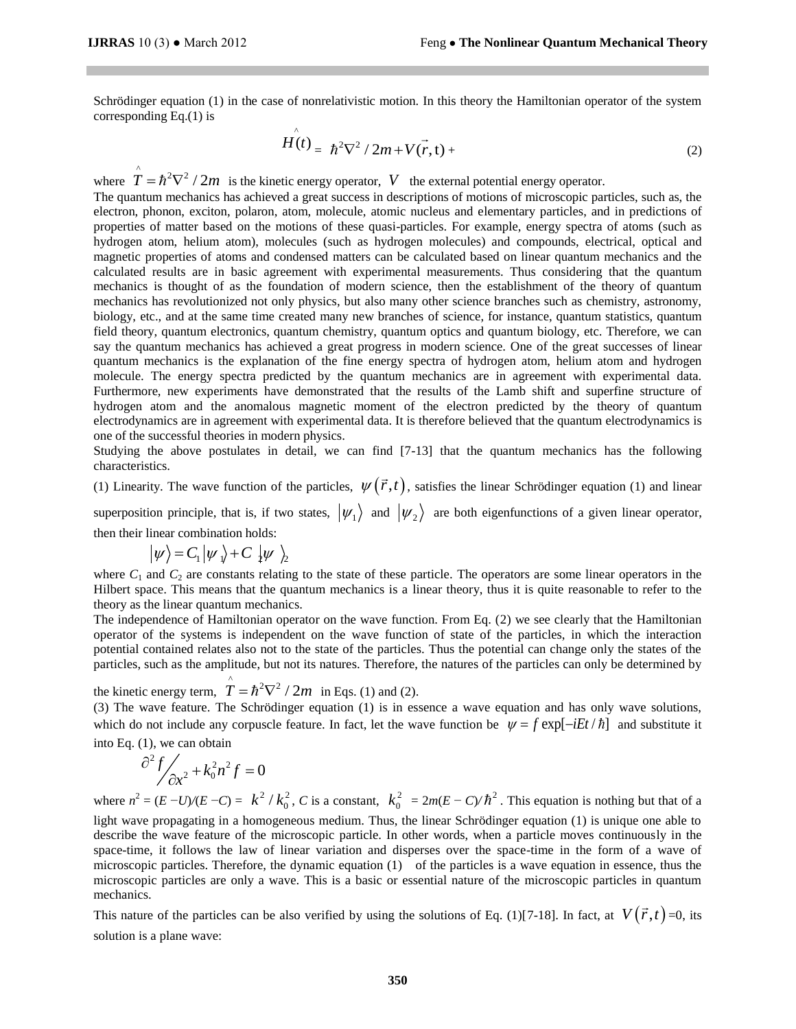Schrödinger equation (1) in the case of nonrelativistic motion. In this theory the Hamiltonian operator of the system corresponding Eq.(1) is

$$
H(t) = \hbar^2 \nabla^2 / 2m + V(\vec{r}, t) +
$$
 (2)

where  $\hat{T} = \hbar^2 \nabla^2 / 2m$  is the kinetic energy operator, V the external potential energy operator.

The quantum mechanics has achieved a great success in descriptions of motions of microscopic particles, such as, the electron, phonon, exciton, polaron, atom, molecule, atomic nucleus and elementary particles, and in predictions of properties of matter based on the motions of these quasi-particles. For example, energy spectra of atoms (such as hydrogen atom, helium atom), molecules (such as hydrogen molecules) and compounds, electrical, optical and magnetic properties of atoms and condensed matters can be calculated based on linear quantum mechanics and the calculated results are in basic agreement with experimental measurements. Thus considering that the quantum mechanics is thought of as the foundation of modern science, then the establishment of the theory of quantum mechanics has revolutionized not only physics, but also many other science branches such as chemistry, astronomy, biology, etc., and at the same time created many new branches of science, for instance, quantum statistics, quantum field theory, quantum electronics, quantum chemistry, quantum optics and quantum biology, etc. Therefore, we can say the quantum mechanics has achieved a great progress in modern science. One of the great successes of linear quantum mechanics is the explanation of the fine energy spectra of hydrogen atom, helium atom and hydrogen molecule. The energy spectra predicted by the quantum mechanics are in agreement with experimental data. Furthermore, new experiments have demonstrated that the results of the Lamb shift and superfine structure of hydrogen atom and the anomalous magnetic moment of the electron predicted by the theory of quantum electrodynamics are in agreement with experimental data. It is therefore believed that the quantum electrodynamics is one of the successful theories in modern physics.

Studying the above postulates in detail, we can find [7-13] that the quantum mechanics has the following characteristics.

In the activity.<br>
(1) Linearity. The wave function of the particles,  $\psi(\vec{r},t)$ , satisfies the linear Schrödinger equation (1) and linear

superposition principle, that is, if two states,  $|\psi_1\rangle$  and  $|\psi_2\rangle$  are both eigenfunctions of a given linear operator, then their linear combination holds:

 $|\psi\rangle = C_1 |\psi\rangle + C_2 |\psi\rangle$ 

where  $C_1$  and  $C_2$  are constants relating to the state of these particle. The operators are some linear operators in the Hilbert space. This means that the quantum mechanics is a linear theory, thus it is quite reasonable to refer to the theory as the linear quantum mechanics.

The independence of Hamiltonian operator on the wave function. From Eq. (2) we see clearly that the Hamiltonian operator of the systems is independent on the wave function of state of the particles, in which the interaction potential contained relates also not to the state of the particles. Thus the potential can change only the states of the particles, such as the amplitude, but not its natures. Therefore, the natures of the particles can only be determined by

the kinetic energy term,  $\hat{T} = \hbar^2 \nabla^2 / 2m$  in Eqs. (1) and (2).

(3) The wave feature. The Schrödinger equation (1) is in essence a wave equation and has only wave solutions, which do not include any corpuscle feature. In fact, let the wave function be  $\psi = f \exp[-iEt/\hbar]$  and substitute it into Eq. (1), we can obtain

$$
\frac{\partial^2 f}{\partial x^2} + k_0^2 n^2 f = 0
$$

where  $n^2 = (E - U)/(E - C) = k^2 / k_0^2$  $k^2/k_0^2$ , *C* is a constant,  $k_0^2$  $k_0^2 = 2m(E - C)/\hbar^2$ . This equation is nothing but that of a light wave propagating in a homogeneous medium. Thus, the linear Schrödinger equation (1) is unique one able to describe the wave feature of the microscopic particle. In other words, when a particle moves continuously in the space-time, it follows the law of linear variation and disperses over the space-time in the form of a wave of microscopic particles. Therefore, the dynamic equation (1) of the particles is a wave equation in essence, thus the microscopic particles are only a wave. This is a basic or essential nature of the microscopic particles in quantum mechanics.

This nature of the particles can be also verified by using the solutions of Eq. (1)[7-18]. In fact, at  $V(\vec{r},t)$  =0, its solution is a plane wave: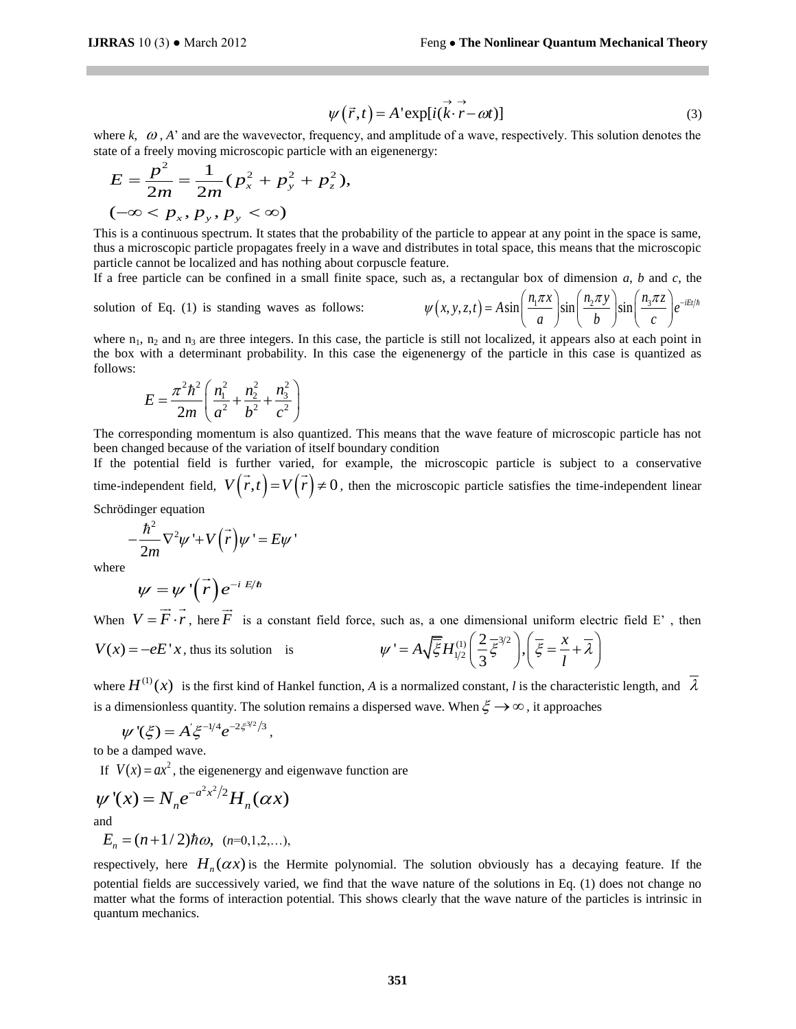$$
\psi(\vec{r},t) = A' \exp[i(\vec{k}\cdot\vec{r} - \omega t)]
$$
\n(3)

where  $k$ ,  $\omega$ ,  $A'$  and are the wavevector, frequency, and amplitude of a wave, respectively. This solution denotes the

state of a freely moving microscopic particle with an eigenenergy:  
\n
$$
E = \frac{p^2}{2m} = \frac{1}{2m} (p_x^2 + p_y^2 + p_z^2),
$$
\n
$$
(-\infty < p_x, p_y, p_y < \infty)
$$

This is a continuous spectrum. It states that the probability of the particle to appear at any point in the space is same, thus a microscopic particle propagates freely in a wave and distributes in total space, this means that the microscopic particle cannot be localized and has nothing about corpuscle feature.

solution of Eq. (1) is standing waves as follows:

partice cannot be localized and has nothing about copposite feature.

\nIf a free particle can be confined in a small finite space, such as, a rectangular box of dimension *a*, *b*, and *c*, the solution of Eq. (1) is standing waves as follows:

\n
$$
\psi(x, y, z, t) = A \sin\left(\frac{n_1 \pi x}{a}\right) \sin\left(\frac{n_2 \pi y}{b}\right) \sin\left(\frac{n_3 \pi z}{c}\right) e^{-iEt/\hbar}
$$

where  $n_1$ ,  $n_2$  and  $n_3$  are three integers. In this case, the particle is still not localized, it appears also at each point in the box with a determinant probability. In this case the eigenenergy of the particle in this case is quantized as follows:

$$
E = \frac{\pi^2 h^2}{2m} \left( \frac{n_1^2}{a^2} + \frac{n_2^2}{b^2} + \frac{n_3^2}{c^2} \right)
$$

The corresponding momentum is also quantized. This means that the wave feature of microscopic particle has not been changed because of the variation of itself boundary condition

If the potential field is further varied, for example, the microscopic particle is subject to a conservative time-independent field,  $V(\vec{r},t) = V(\vec{r}) \neq 0$ , then the microscopic particle satisfies the time-independent linear Schrödinger equation

 $\cdot$  2

$$
-\frac{\hbar^2}{2m}\nabla^2\psi' + V(\vec{r})\psi' = E\psi'
$$

where

$$
\psi = \psi'(\vec{r})e^{-iE/\hbar}
$$

When  $V = \overline{F} \cdot \overline{r}$ , here *F* is a constant field force, such as, a one dimensional uniform electric field E' , then  $V(x) = -eE'x$ , thus its solution is (1)  $\left(2 - \frac{3}{2}\right)$  $A = A \sqrt{\xi} H_{1/2}^{(1)} \left( \frac{2}{3} \xi^{3/2} \right),$ such as, a one dimensional uniform electric fields<br>  $\psi' = A \sqrt{\xi} H_{1/2}^{(1)} \left( \frac{2}{3} \overline{\xi}^{3/2} \right), \left( \overline{\xi} = \frac{x}{l} + \overline{\lambda} \right)$ 

where  $H^{(1)}(x)$  is the first kind of Hankel function, *A* is a normalized constant, *l* is the characteristic length, and  $\overline{\lambda}$ is a dimensionless quantity. The solution remains a dispersed wave. When  $\xi \rightarrow \infty$ , it approaches

$$
\psi'(\xi) = A \xi^{-1/4} e^{-2\xi^{3/2}/3},
$$

to be a damped wave.

If  $V(x) = ax^2$ , the eigenenergy and eigenwave function are

$$
\psi'(x) = N_n e^{-a^2 x^2/2} H_n(\alpha x)
$$
  
and

$$
E_n = (n+1/2)\hbar\omega, \ \ (n=0,1,2,...),
$$

 $\psi(\vec{r},t) = A \exp[i(\vec{k}\cdot\vec{r}-\omega t)]$ <br>
quency, and amplitude of a wave, ro<br>
with an eigenenergy:<br>
with an eigenenergy:<br>  $\gamma^2$ ,<br>
he probability of the particle to app<br>
in a wave and distributes in total s<br>
about corpusele featur respectively, here  $H_n(\alpha x)$  is the Hermite polynomial. The solution obviously has a decaying feature. If the potential fields are successively varied, we find that the wave nature of the solutions in Eq. (1) does not change no matter what the forms of interaction potential. This shows clearly that the wave nature of the particles is intrinsic in quantum mechanics.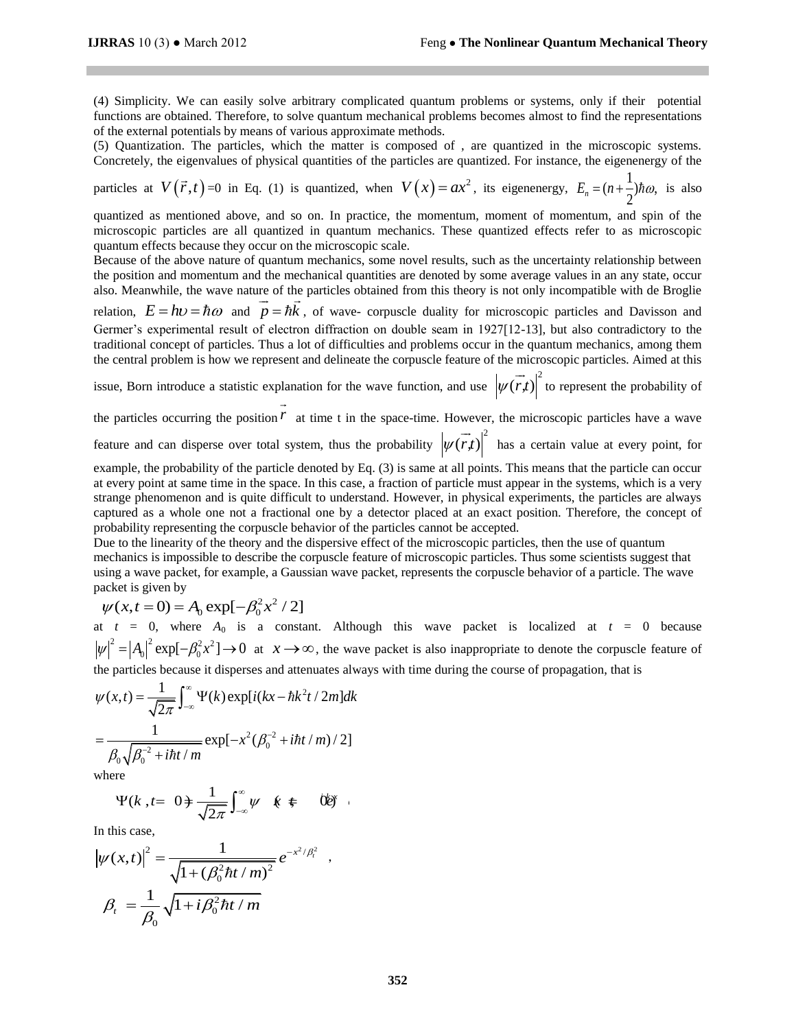(4) Simplicity. We can easily solve arbitrary complicated quantum problems or systems, only if their potential functions are obtained. Therefore, to solve quantum mechanical problems becomes almost to find the representations of the external potentials by means of various approximate methods.

(5) Quantization. The particles, which the matter is composed of , are quantized in the microscopic systems. Concretely, the eigenvalues of physical quantities of the particles are quantized. For instance, the eigenenergy of the

particles at  $V(\vec{r},t) = 0$  in Eq. (1) is quantized, when  $V(x) = ax^2$ , its eigenenergy,  $E_n = (n + \frac{1}{2})\hbar\omega$ ,  $E_n = (n + \frac{1}{2})\hbar \omega$ , is also

quantized as mentioned above, and so on. In practice, the momentum, moment of momentum, and spin of the microscopic particles are all quantized in quantum mechanics. These quantized effects refer to as microscopic quantum effects because they occur on the microscopic scale.

Because of the above nature of quantum mechanics, some novel results, such as the uncertainty relationship between the position and momentum and the mechanical quantities are denoted by some average values in an any state, occur also. Meanwhile, the wave nature of the particles obtained from this theory is not only incompatible with de Broglie

relation,  $E = h v = \hbar \omega$  and  $p = \hbar \vec{k}$ , of wave- corpuscle duality for microscopic particles and Davisson and Germer's experimental result of electron diffraction on double seam in 1927[12-13], but also contradictory to the traditional concept of particles. Thus a lot of difficulties and problems occur in the quantum mechanics, among them the central problem is how we represent and delineate the corpuscle feature of the microscopic particles. Aimed at this

issue, Born introduce a statistic explanation for the wave function, and use  $\left|\psi(\vec{r},t)\right|^2$  $\rightarrow$ to represent the probability of  $\rightarrow$ 

the particles occurring the position *r* at time t in the space-time. However, the microscopic particles have a wave  $\overline{\phantom{a}}$ 

feature and can disperse over total system, thus the probability  $\left|\psi(\vec{r},t)\right|^2$ has a certain value at every point, for

example, the probability of the particle denoted by Eq. (3) is same at all points. This means that the particle can occur at every point at same time in the space. In this case, a fraction of particle must appear in the systems, which is a very strange phenomenon and is quite difficult to understand. However, in physical experiments, the particles are always captured as a whole one not a fractional one by a detector placed at an exact position. Therefore, the concept of probability representing the corpuscle behavior of the particles cannot be accepted.

Due to the linearity of the theory and the dispersive effect of the microscopic particles, then the use of quantum mechanics is impossible to describe the corpuscle feature of microscopic particles. Thus some scientists suggest that using a wave packet, for example, a Gaussian wave packet, represents the corpuscle behavior of a particle. The wave

packet is given by  

$$
\psi(x, t=0) = A_0 \exp[-\beta_0^2 x^2 / 2]
$$

at  $t = 0$ , where  $A_0$  is a constant. Although this wave packet is localized at  $t = 0$  because  $|\psi|^2 = |A_0|^2 \exp[-\beta_0^2 x^2] \to 0$  at  $x \to \infty$ , the wave packet is also inappropriate to denote the corpuscle feature of the particles because it disperses and attenuates always with time during the course of propagation, that is  $\psi(x,t) = \frac{1}{\sqrt{2\pi}} \int_{-\infty}^{\infty} \Psi(k) \exp[i(kx - \hbar k^2 t / 2m] dk$ 

$$
\psi(x,t) = \frac{1}{\sqrt{2\pi}} \int_{-\infty}^{\infty} \Psi(k) \exp[i(kx - \hbar k^{2} t / 2m] dk
$$

$$
= \frac{1}{\beta_{0} \sqrt{\beta_{0}^{-2} + i\hbar t / m}} \exp[-x^{2} (\beta_{0}^{-2} + i\hbar t / m) / 2]
$$

where

re  
\n
$$
\Psi(k, t=0) = \frac{1}{\sqrt{2\pi}} \int_{-\infty}^{\infty} \psi \quad \text{if } t=0
$$

In this case,  
\n
$$
|\psi(x,t)|^2 = \frac{1}{\sqrt{1 + (\beta_0^2 \hbar t / m)^2}} e^{-x^2/\beta_t^2}
$$
\n
$$
\beta_t = \frac{1}{\beta_0} \sqrt{1 + i \beta_0^2 \hbar t / m}
$$

,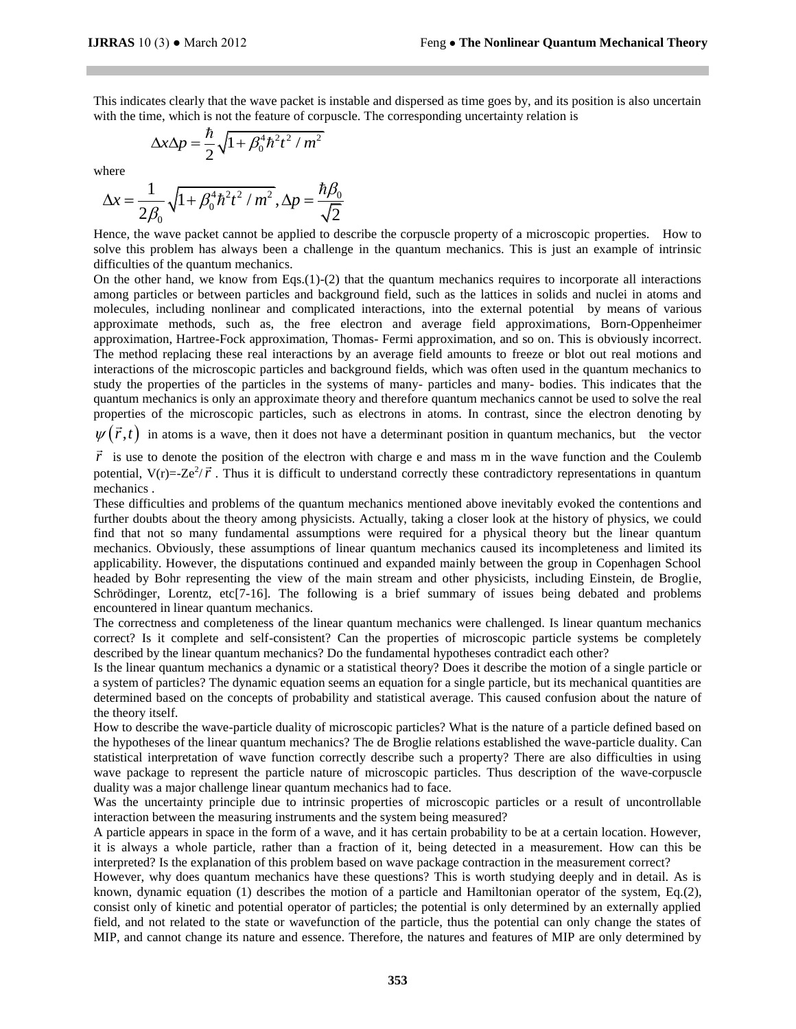This indicates clearly that the wave packet is instable and dispersed as time goes by, and its position is also uncertain with the time, which is not the feature of corpuscle. The corresponding uncertainty relation is

$$
\Delta x \Delta p = \frac{\hbar}{2} \sqrt{1 + \beta_0^4 \hbar^2 t^2 / m^2}
$$

where

$$
\Delta x = \frac{1}{2\beta_0} \sqrt{1 + \beta_0^4 \hbar^2 t^2 / m^2}, \Delta p = \frac{\hbar \beta_0}{\sqrt{2}}
$$

Hence, the wave packet cannot be applied to describe the corpuscle property of a microscopic properties. How to solve this problem has always been a challenge in the quantum mechanics. This is just an example of intrinsic difficulties of the quantum mechanics.

On the other hand, we know from Eqs. $(1)-(2)$  that the quantum mechanics requires to incorporate all interactions among particles or between particles and background field, such as the lattices in solids and nuclei in atoms and molecules, including nonlinear and complicated interactions, into the external potential by means of various approximate methods, such as, the free electron and average field approximations, Born-Oppenheimer approximation, Hartree-Fock approximation, Thomas- Fermi approximation, and so on. This is obviously incorrect. The method replacing these real interactions by an average field amounts to freeze or blot out real motions and interactions of the microscopic particles and background fields, which was often used in the quantum mechanics to study the properties of the particles in the systems of many- particles and many- bodies. This indicates that the quantum mechanics is only an approximate theory and therefore quantum mechanics cannot be used to solve the real properties of the microscopic particles, such as electrons in atoms. In contrast, since the electron denoting by

 $\psi(\vec{r},t)$  in atoms is a wave, then it does not have a determinant position in quantum mechanics, but the vector

 $\vec{r}$  is use to denote the position of the electron with charge e and mass m in the wave function and the Coulemb *r* is use to denote the position of the electron with charge e and mass in in the wave function and the Coutemb potential,  $V(r) = Ze^2/\vec{r}$ . Thus it is difficult to understand correctly these contradictory representations mechanics .

These difficulties and problems of the quantum mechanics mentioned above inevitably evoked the contentions and further doubts about the theory among physicists. Actually, taking a closer look at the history of physics, we could find that not so many fundamental assumptions were required for a physical theory but the linear quantum mechanics. Obviously, these assumptions of linear quantum mechanics caused its incompleteness and limited its applicability. However, the disputations continued and expanded mainly between the group in Copenhagen School headed by Bohr representing the view of the main stream and other physicists, including Einstein, de Broglie, Schrödinger, Lorentz, etc[7-16]. The following is a brief summary of issues being debated and problems encountered in linear quantum mechanics.

The correctness and completeness of the linear quantum mechanics were challenged. Is linear quantum mechanics correct? Is it complete and self-consistent? Can the properties of microscopic particle systems be completely described by the linear quantum mechanics? Do the fundamental hypotheses contradict each other?

Is the linear quantum mechanics a dynamic or a statistical theory? Does it describe the motion of a single particle or a system of particles? The dynamic equation seems an equation for a single particle, but its mechanical quantities are determined based on the concepts of probability and statistical average. This caused confusion about the nature of the theory itself.

How to describe the wave-particle duality of microscopic particles? What is the nature of a particle defined based on the hypotheses of the linear quantum mechanics? The de Broglie relations established the wave-particle duality. Can statistical interpretation of wave function correctly describe such a property? There are also difficulties in using wave package to represent the particle nature of microscopic particles. Thus description of the wave-corpuscle duality was a major challenge linear quantum mechanics had to face.

Was the uncertainty principle due to intrinsic properties of microscopic particles or a result of uncontrollable interaction between the measuring instruments and the system being measured?

A particle appears in space in the form of a wave, and it has certain probability to be at a certain location. However, it is always a whole particle, rather than a fraction of it, being detected in a measurement. How can this be interpreted? Is the explanation of this problem based on wave package contraction in the measurement correct?

However, why does quantum mechanics have these questions? This is worth studying deeply and in detail. As is known, dynamic equation (1) describes the motion of a particle and Hamiltonian operator of the system, Eq.(2), consist only of kinetic and potential operator of particles; the potential is only determined by an externally applied field, and not related to the state or wavefunction of the particle, thus the potential can only change the states of MIP, and cannot change its nature and essence. Therefore, the natures and features of MIP are only determined by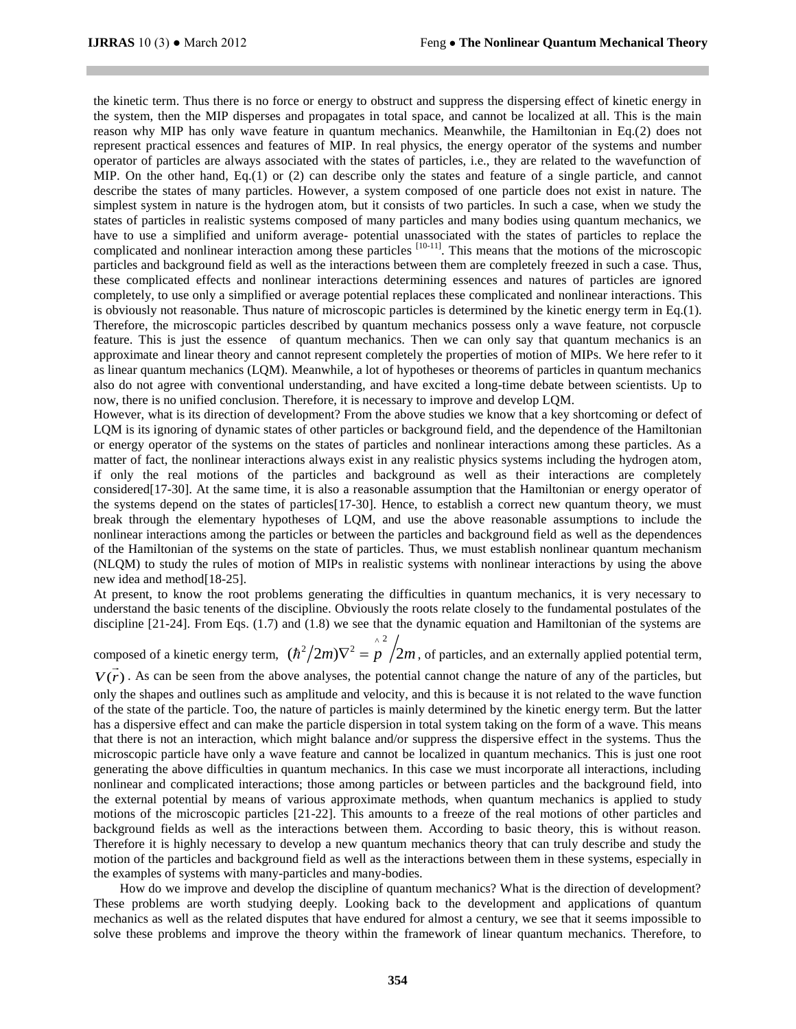the kinetic term. Thus there is no force or energy to obstruct and suppress the dispersing effect of kinetic energy in the system, then the MIP disperses and propagates in total space, and cannot be localized at all. This is the main reason why MIP has only wave feature in quantum mechanics. Meanwhile, the Hamiltonian in Eq.(2) does not represent practical essences and features of MIP. In real physics, the energy operator of the systems and number operator of particles are always associated with the states of particles, i.e., they are related to the wavefunction of MIP. On the other hand, Eq.(1) or (2) can describe only the states and feature of a single particle, and cannot describe the states of many particles. However, a system composed of one particle does not exist in nature. The simplest system in nature is the hydrogen atom, but it consists of two particles. In such a case, when we study the states of particles in realistic systems composed of many particles and many bodies using quantum mechanics, we have to use a simplified and uniform average- potential unassociated with the states of particles to replace the complicated and nonlinear interaction among these particles <sup>[10-11]</sup>. This means that the motions of the microscopic particles and background field as well as the interactions between them are completely freezed in such a case. Thus, these complicated effects and nonlinear interactions determining essences and natures of particles are ignored completely, to use only a simplified or average potential replaces these complicated and nonlinear interactions. This is obviously not reasonable. Thus nature of microscopic particles is determined by the kinetic energy term in Eq.(1). Therefore, the microscopic particles described by quantum mechanics possess only a wave feature, not corpuscle feature. This is just the essence of quantum mechanics. Then we can only say that quantum mechanics is an approximate and linear theory and cannot represent completely the properties of motion of MIPs. We here refer to it as linear quantum mechanics (LQM). Meanwhile, a lot of hypotheses or theorems of particles in quantum mechanics also do not agree with conventional understanding, and have excited a long-time debate between scientists. Up to now, there is no unified conclusion. Therefore, it is necessary to improve and develop LQM.

However, what is its direction of development? From the above studies we know that a key shortcoming or defect of LQM is its ignoring of dynamic states of other particles or background field, and the dependence of the Hamiltonian or energy operator of the systems on the states of particles and nonlinear interactions among these particles. As a matter of fact, the nonlinear interactions always exist in any realistic physics systems including the hydrogen atom, if only the real motions of the particles and background as well as their interactions are completely considered[17-30]. At the same time, it is also a reasonable assumption that the Hamiltonian or energy operator of the systems depend on the states of particles[17-30]. Hence, to establish a correct new quantum theory, we must break through the elementary hypotheses of LQM, and use the above reasonable assumptions to include the nonlinear interactions among the particles or between the particles and background field as well as the dependences of the Hamiltonian of the systems on the state of particles. Thus, we must establish nonlinear quantum mechanism (NLQM) to study the rules of motion of MIPs in realistic systems with nonlinear interactions by using the above new idea and method[18-25].

At present, to know the root problems generating the difficulties in quantum mechanics, it is very necessary to understand the basic tenents of the discipline. Obviously the roots relate closely to the fundamental postulates of the discipline [21-24]. From Eqs. (1.7) and (1.8) we see that the dynamic equation and Hamiltonian of the systems are

composed of a kinetic energy term, aposed of a kinetic energy term,  $(\hbar^2 / 2m) \nabla^2 = p^2 / 2m$ , of particles, and an externally applied potential term,

 $V(\vec{r})$ . As can be seen from the above analyses, the potential cannot change the nature of any of the particles, but only the shapes and outlines such as amplitude and velocity, and this is because it is not related to the wave function of the state of the particle. Too, the nature of particles is mainly determined by the kinetic energy term. But the latter has a dispersive effect and can make the particle dispersion in total system taking on the form of a wave. This means that there is not an interaction, which might balance and/or suppress the dispersive effect in the systems. Thus the microscopic particle have only a wave feature and cannot be localized in quantum mechanics. This is just one root generating the above difficulties in quantum mechanics. In this case we must incorporate all interactions, including nonlinear and complicated interactions; those among particles or between particles and the background field, into the external potential by means of various approximate methods, when quantum mechanics is applied to study motions of the microscopic particles [21-22]. This amounts to a freeze of the real motions of other particles and background fields as well as the interactions between them. According to basic theory, this is without reason. Therefore it is highly necessary to develop a new quantum mechanics theory that can truly describe and study the motion of the particles and background field as well as the interactions between them in these systems, especially in the examples of systems with many-particles and many-bodies.

 How do we improve and develop the discipline of quantum mechanics? What is the direction of development? These problems are worth studying deeply. Looking back to the development and applications of quantum mechanics as well as the related disputes that have endured for almost a century, we see that it seems impossible to solve these problems and improve the theory within the framework of linear quantum mechanics. Therefore, to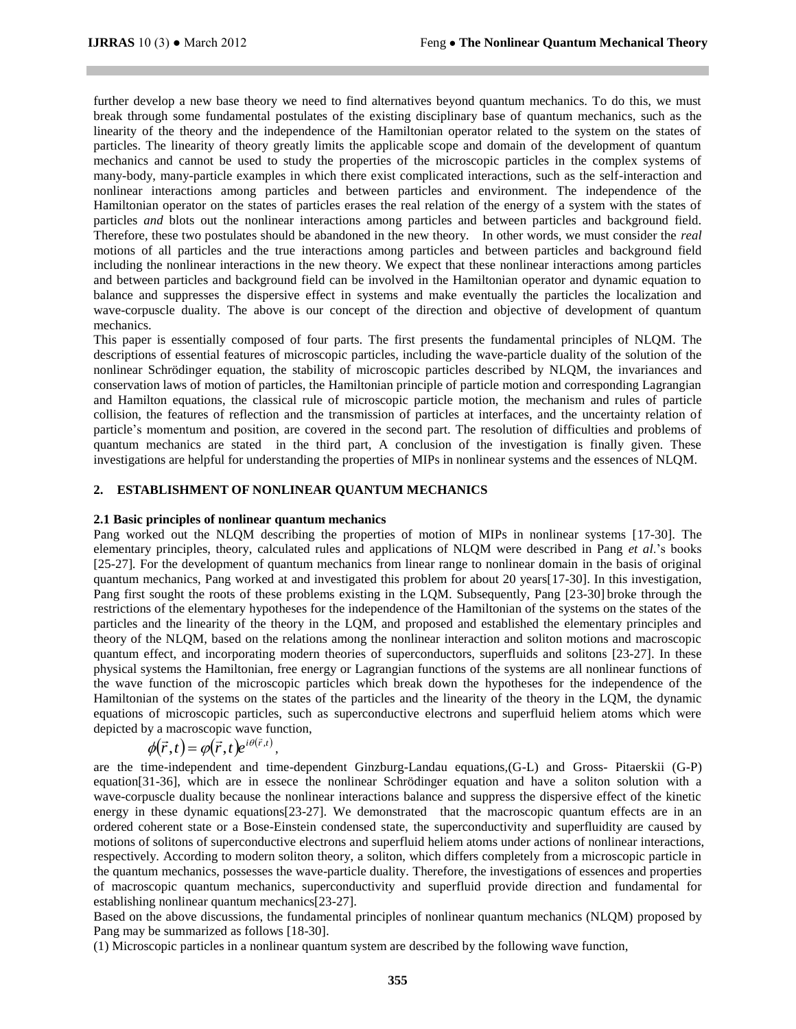further develop a new base theory we need to find alternatives beyond quantum mechanics. To do this, we must break through some fundamental postulates of the existing disciplinary base of quantum mechanics, such as the linearity of the theory and the independence of the Hamiltonian operator related to the system on the states of particles. The linearity of theory greatly limits the applicable scope and domain of the development of quantum mechanics and cannot be used to study the properties of the microscopic particles in the complex systems of many-body, many-particle examples in which there exist complicated interactions, such as the self-interaction and nonlinear interactions among particles and between particles and environment. The independence of the Hamiltonian operator on the states of particles erases the real relation of the energy of a system with the states of particles *and* blots out the nonlinear interactions among particles and between particles and background field. Therefore, these two postulates should be abandoned in the new theory. In other words, we must consider the *real* motions of all particles and the true interactions among particles and between particles and background field including the nonlinear interactions in the new theory. We expect that these nonlinear interactions among particles and between particles and background field can be involved in the Hamiltonian operator and dynamic equation to balance and suppresses the dispersive effect in systems and make eventually the particles the localization and wave-corpuscle duality. The above is our concept of the direction and objective of development of quantum mechanics.

This paper is essentially composed of four parts. The first presents the fundamental principles of NLQM. The descriptions of essential features of microscopic particles, including the wave-particle duality of the solution of the nonlinear Schrödinger equation, the stability of microscopic particles described by NLQM, the invariances and conservation laws of motion of particles, the Hamiltonian principle of particle motion and corresponding Lagrangian and Hamilton equations, the classical rule of microscopic particle motion, the mechanism and rules of particle collision, the features of reflection and the transmission of particles at interfaces, and the uncertainty relation of particle's momentum and position, are covered in the second part. The resolution of difficulties and problems of quantum mechanics are stated in the third part, A conclusion of the investigation is finally given. These investigations are helpful for understanding the properties of MIPs in nonlinear systems and the essences of NLQM.

# **2. ESTABLISHMENT OF NONLINEAR QUANTUM MECHANICS**

### **2.1 Basic principles of nonlinear quantum mechanics**

Pang worked out the NLQM describing the properties of motion of MIPs in nonlinear systems [17-30]. The elementary principles, theory, calculated rules and applications of NLQM were described in Pang *et al*.'s books [25-27]. For the development of quantum mechanics from linear range to nonlinear domain in the basis of original quantum mechanics, Pang worked at and investigated this problem for about 20 years[17-30]. In this investigation, Pang first sought the roots of these problems existing in the LQM. Subsequently, Pang [23-30] broke through the restrictions of the elementary hypotheses for the independence of the Hamiltonian of the systems on the states of the particles and the linearity of the theory in the LQM, and proposed and established the elementary principles and theory of the NLQM, based on the relations among the nonlinear interaction and soliton motions and macroscopic quantum effect, and incorporating modern theories of superconductors, superfluids and solitons [23-27]. In these physical systems the Hamiltonian, free energy or Lagrangian functions of the systems are all nonlinear functions of the wave function of the microscopic particles which break down the hypotheses for the independence of the Hamiltonian of the systems on the states of the particles and the linearity of the theory in the LQM, the dynamic equations of microscopic particles, such as superconductive electrons and superfluid heliem atoms which were depicted by a macroscopic wave function,<br> $\mu(\vec{r},t) = \mu(\vec{r},t) \mu(\vec{r},t)$ 

$$
\phi(\vec{r},t) = \varphi(\vec{r},t)e^{i\theta(\vec{r},t)},
$$

are the time-independent and time-dependent Ginzburg-Landau equations,(G-L) and Gross- Pitaerskii (G-P) equation[31-36], which are in essece the nonlinear Schrödinger equation and have a soliton solution with a wave-corpuscle duality because the nonlinear interactions balance and suppress the dispersive effect of the kinetic energy in these dynamic equations [23-27]. We demonstrated that the macroscopic quantum effects are in an ordered coherent state or a Bose-Einstein condensed state, the superconductivity and superfluidity are caused by motions of solitons of superconductive electrons and superfluid heliem atoms under actions of nonlinear interactions, respectively. According to modern soliton theory, a soliton, which differs completely from a microscopic particle in the quantum mechanics, possesses the wave-particle duality. Therefore, the investigations of essences and properties of macroscopic quantum mechanics, superconductivity and superfluid provide direction and fundamental for establishing nonlinear quantum mechanics[23-27].

Based on the above discussions, the fundamental principles of nonlinear quantum mechanics (NLQM) proposed by Pang may be summarized as follows [18-30].

(1) Microscopic particles in a nonlinear quantum system are described by the following wave function,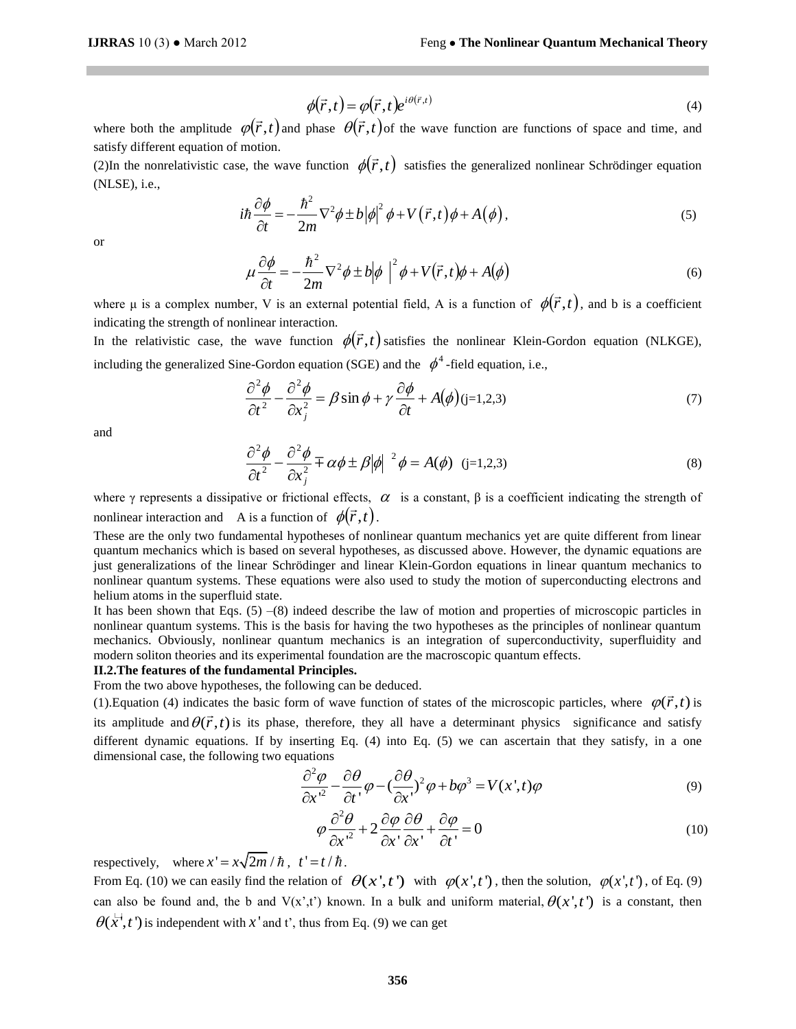$$
\phi(\vec{r},t) = \varphi(\vec{r},t)e^{i\theta(\vec{r},t)}
$$
\n(4)

where both the amplitude  $\varphi(\vec{r},t)$  and phase  $\theta(\vec{r},t)$  of the wave function are functions of space and time, and satisfy different equation of motion.

sausry unterent equation of motion.<br>(2)In the nonrelativistic case, the wave function  $\phi(\vec{r},t)$  satisfies the generalized nonlinear Schrödinger equation (NLSE), i.e.,

$$
i\hbar \frac{\partial \phi}{\partial t} = -\frac{\hbar^2}{2m} \nabla^2 \phi \pm b |\phi|^2 \phi + V(\vec{r}, t) \phi + A(\phi), \tag{5}
$$

or

$$
\mu \frac{\partial \phi}{\partial t} = -\frac{\hbar^2}{2m} \nabla^2 \phi \pm b \phi \mid^2 \phi + V(\vec{r}, t) \phi + A(\phi)
$$
\n(6)

where  $\mu$  is a complex number, V is an external potential field, A is a function of  $\phi(\vec{r},t)$ , and b is a coefficient indicating the strength of nonlinear interaction.

Indicating the strength of hominear interaction.<br>In the relativistic case, the wave function  $\phi(\vec{r},t)$  satisfies the nonlinear Klein-Gordon equation (NLKGE), including the generalized Sine-Gordon equation (SGE) and the  $\phi^4$ -field equation, i.e.,

$$
\frac{\partial^2 \phi}{\partial t^2} - \frac{\partial^2 \phi}{\partial x_j^2} = \beta \sin \phi + \gamma \frac{\partial \phi}{\partial t} + A(\phi)(j=1,2,3)
$$
\n(7)

and

$$
\frac{\partial^2 \phi}{\partial t^2} - \frac{\partial^2 \phi}{\partial x_j^2} \mp \alpha \phi \pm \beta |\phi|^{2} \phi = A(\phi) \quad (j=1,2,3)
$$
\n(8)

where  $\gamma$  represents a dissipative or frictional effects,  $\alpha$  is a constant,  $\beta$  is a coefficient indicating the strength of nonlinear interaction and A is a function of  $\phi(\vec{r},t)$ .

 $(\vec{r},t) = \varphi(\vec{r},t)e^{i\theta}$ <br>
inase  $\theta(\vec{r},t)$  of the metric on  $\varphi(\vec{r},t)$  is  $-\nabla^2\phi \pm b |\phi|^2 \phi +$ <br>  $-\nabla^2\phi \pm b |\phi|^2 \phi +$ <br>  $\pi$ <br>  $\pi$ <br>  $\pi$   $\varphi(\vec{r},t)$  satis <br>  $\pi$   $\pi$   $\varphi(\vec{r},t)$  satis <br>
ation (SGE) and t<br>  $\pi$   $\varphi(\vec$ These are the only two fundamental hypotheses of nonlinear quantum mechanics yet are quite different from linear quantum mechanics which is based on several hypotheses, as discussed above. However, the dynamic equations are just generalizations of the linear Schrödinger and linear Klein-Gordon equations in linear quantum mechanics to nonlinear quantum systems. These equations were also used to study the motion of superconducting electrons and helium atoms in the superfluid state.

It has been shown that Eqs.  $(5)$  –(8) indeed describe the law of motion and properties of microscopic particles in nonlinear quantum systems. This is the basis for having the two hypotheses as the principles of nonlinear quantum mechanics. Obviously, nonlinear quantum mechanics is an integration of superconductivity, superfluidity and modern soliton theories and its experimental foundation are the macroscopic quantum effects.

# **II.2.The features of the fundamental Principles.**

From the two above hypotheses, the following can be deduced.

From the two above hypotheses, the following can be deduced.<br>(1).Equation (4) indicates the basic form of wave function of states of the microscopic particles, where  $\varphi(\vec{r},t)$  is its amplitude and  $\theta(\vec{r},t)$  is its phase, therefore, they all have a determinant physics significance and satisfy different dynamic equations. If by inserting Eq. (4) into Eq. (5) we can ascertain that they satisfy, in a one dimensional case, the following two equations

$$
\frac{\partial^2 \varphi}{\partial x'^2} - \frac{\partial \theta}{\partial t'} \varphi - \left(\frac{\partial \theta}{\partial x'}\right)^2 \varphi + b\varphi^3 = V(x',t)\varphi
$$
\n(9)

$$
\varphi \frac{\partial^2 \theta}{\partial x^2} + 2 \frac{\partial \varphi}{\partial x^1} \frac{\partial \theta}{\partial x^1} + \frac{\partial \varphi}{\partial t^1} = 0
$$
\n(10)

respectively, where  $x' = x\sqrt{2m}/\hbar$ ,  $t' = t/\hbar$ .

From Eq. (10) we can easily find the relation of  $\theta(x',t')$  with  $\varphi(x',t')$ , then the solution,  $\varphi(x',t')$ , of Eq. (9) can also be found and, the b and  $V(x',t')$  known. In a bulk and uniform material,  $\theta(x',t')$  is a constant, then  $\theta(x', t')$  is independent with x' and t', thus from Eq. (9) we can get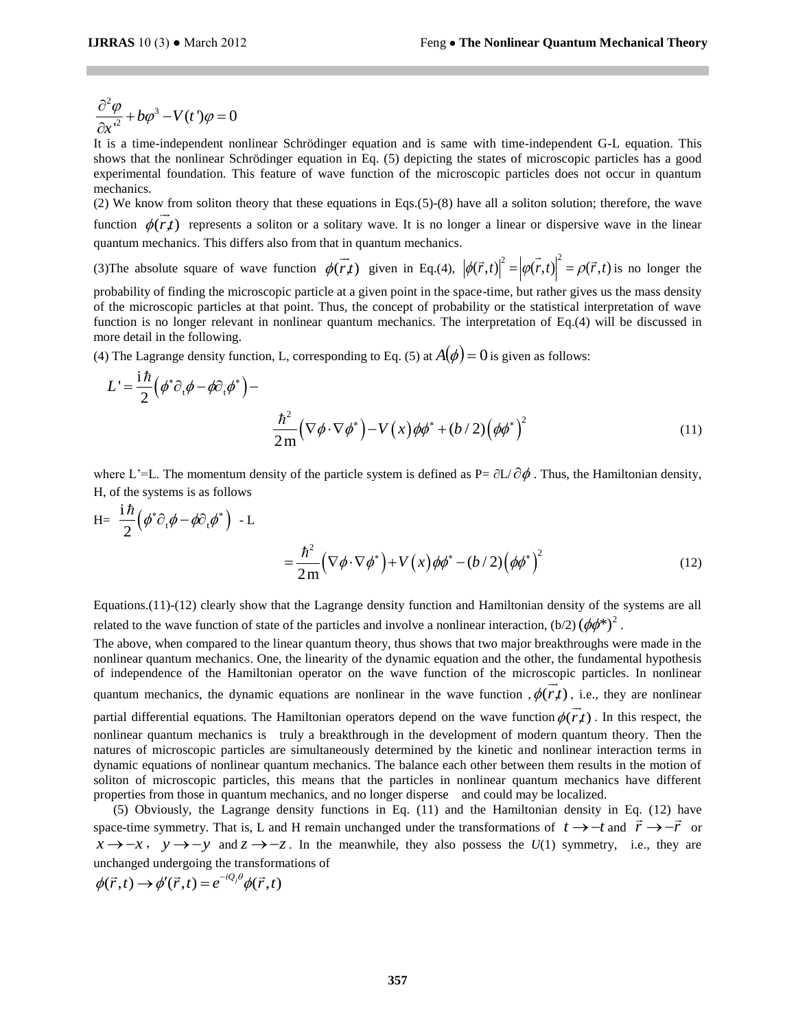$$
\frac{\partial^2 \varphi}{\partial x^2} + b\varphi^3 - V(t^{\prime})\varphi = 0
$$

It is a time-independent nonlinear Schrödinger equation and is same with time-independent G-L equation. This shows that the nonlinear Schrödinger equation in Eq. (5) depicting the states of microscopic particles has a good experimental foundation. This feature of wave function of the microscopic particles does not occur in quantum mechanics.

(2) We know from soliton theory that these equations in Eqs.(5)-(8) have all a soliton solution; therefore, the wave function  $\phi(r,t)$  represents a soliton or a solitary wave. It is no longer a linear or dispersive wave in the linear quantum mechanics. This differs also from that in quantum mechanics.

(3) The absolute square of wave function  $\phi(r,t)$  $\overline{\phantom{a}}$ and the metal equation in Eq.(4),  $|\phi(\vec{r},t)|^2 = |\phi(\vec{r},t)|^2 = \rho(\vec{r},t)$  is no longer the

probability of finding the microscopic particle at a given point in the space-time, but rather gives us the mass density of the microscopic particles at that point. Thus, the concept of probability or the statistical interpretation of wave function is no longer relevant in nonlinear quantum mechanics. The interpretation of Eq.(4) will be discussed in more detail in the following.

(4) The Lagrange density function, L, corresponding to Eq. (5) at  $A(\phi) = 0$  is given as follows:

$$
L' = \frac{i\hbar}{2} (\phi^* \partial_t \phi - \phi \partial_t \phi^*) - \frac{\hbar^2}{2m} (\nabla \phi \cdot \nabla \phi^*) - V(x) \phi \phi^* + (b/2) (\phi \phi^*)^2
$$
\n(11)

where L'=L. The momentum density of the particle system is defined as  $P = \partial L/\partial \phi$ . Thus, the Hamiltonian density, H, of the systems is as follows

$$
H = \frac{i\hbar}{2} (\phi^* \partial_t \phi - \phi \partial_t \phi^*) - L
$$
  

$$
= \frac{\hbar^2}{2m} (\nabla \phi \cdot \nabla \phi^*) + V(x) \phi \phi^* - (b/2) (\phi \phi^*)^2
$$
(12)

Equations.(11)-(12) clearly show that the Lagrange density function and Hamiltonian density of the systems are all related to the wave function of state of the particles and involve a nonlinear interaction,  $(b/2) (\phi \phi^*)^2$ .

The above, when compared to the linear quantum theory, thus shows that two major breakthroughs were made in the nonlinear quantum mechanics. One, the linearity of the dynamic equation and the other, the fundamental hypothesis of independence of the Hamiltonian operator on the wave function of the microscopic particles. In nonlinear quantum mechanics, the dynamic equations are nonlinear in the wave function  $, \phi(r,t)$ , i.e., they are nonlinear partial differential equations. The Hamiltonian operators depend on the wave function  $\phi(\vec{r},t)$ . In this respect, the nonlinear quantum mechanics is truly a breakthrough in the development of modern quantum theory. Then the natures of microscopic particles are simultaneously determined by the kinetic and nonlinear interaction terms in dynamic equations of nonlinear quantum mechanics. The balance each other between them results in the motion of soliton of microscopic particles, this means that the particles in nonlinear quantum mechanics have different properties from those in quantum mechanics, and no longer disperse and could may be localized.

(5) Obviously, the Lagrange density functions in Eq. (11) and the Hamiltonian density in Eq. (12) have space-time symmetry. That is, L and H remain unchanged under the transformations of  $t \to -t$  and  $\vec{r} \to -\vec{r}$  or  $x \rightarrow -x$ ,  $y \rightarrow -y$  and  $z \rightarrow -z$ . In the meanwhile, they also possess the *U*(1) symmetry, i.e., they are unchanged undergoing the transformations of<br>  $\phi(\vec{r}, t) \rightarrow \phi'(\vec{r}, t) = e^{-iQ_j \theta} \phi(\vec{r}, t)$ 

$$
\phi(\vec{r},t) \rightarrow \phi'(\vec{r},t) = e^{-iQ_j\theta} \phi(\vec{r},t)
$$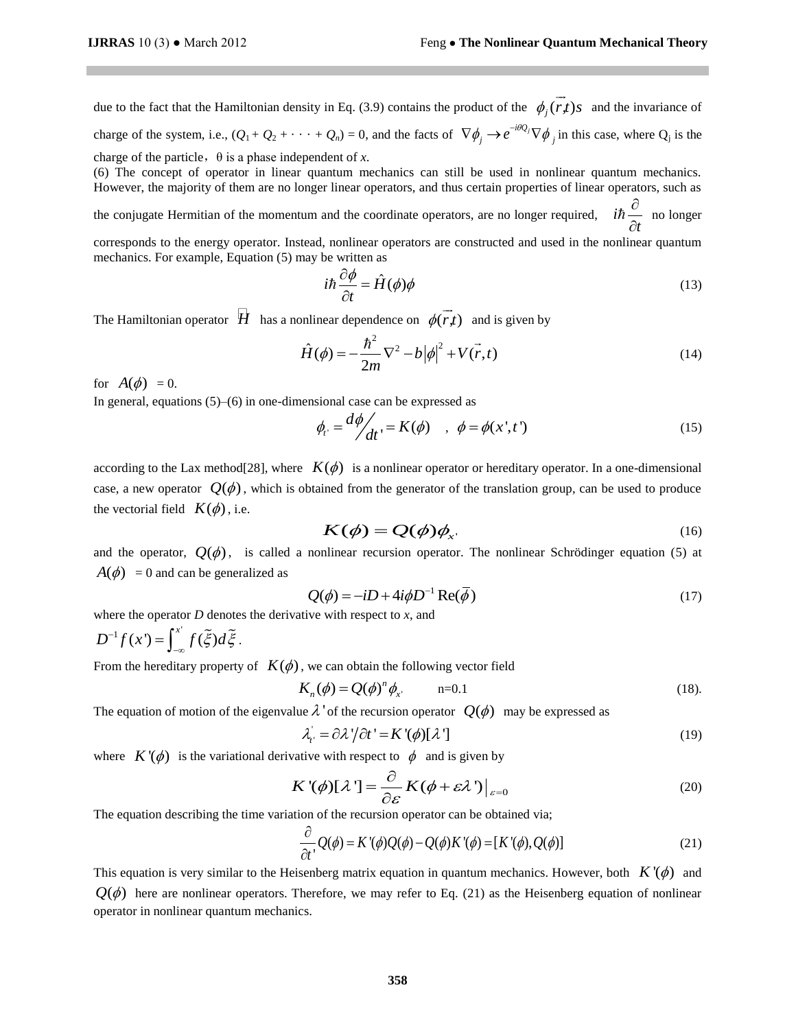due to the fact that the Hamiltonian density in Eq. (3.9) contains the product of the  $\phi_j(r)$ s  $\rightarrow$ and the invariance of charge of the system, i.e.,  $(Q_1 + Q_2 + \cdots + Q_n) = 0$ , and the facts of  $\nabla \phi_j \to e^{-i\theta Q_j} \nabla \phi_j$  in this case, where  $Q_j$  is the charge of the particle,  $\theta$  is a phase independent of *x*.

(6) The concept of operator in linear quantum mechanics can still be used in nonlinear quantum mechanics. However, the majority of them are no longer linear operators, and thus certain properties of linear operators, such as

the conjugate Hermitian of the momentum and the coordinate operators, are no longer required, *i t*  $\partial$  $\partial$  $\hbar \frac{\sigma}{2}$  no longer

corresponds to the energy operator. Instead, nonlinear operators are constructed and used in the nonlinear quantum mechanics. For example, Equation (5) may be written as

$$
i\hbar \frac{\partial \phi}{\partial t} = \hat{H}(\phi)\phi
$$
 (13)

The Hamiltonian operator  $\overrightarrow{H}$  has a nonlinear dependence on  $\phi(\overrightarrow{r},t)$ and is given by

$$
\hat{H}(\phi) = -\frac{\hbar^2}{2m}\nabla^2 - b|\phi|^2 + V(\vec{r}, t)
$$
\n(14)

for  $A(\phi) = 0$ .

In general, equations  $(5)$ – $(6)$  in one-dimensional case can be expressed as

$$
\phi_{t'} = \frac{d\phi}{dt'} = K(\phi) \quad , \quad \phi = \phi(x', t') \tag{15}
$$

according to the Lax method<sup>[28]</sup>, where  $K(\phi)$  is a nonlinear operator or hereditary operator. In a one-dimensional case, a new operator  $Q(\phi)$ , which is obtained from the generator of the translation group, can be used to produce the vectorial field  $K(\phi)$ , i.e.

$$
K(\phi) = Q(\phi)\phi_{x}.
$$
 (16)

and the operator,  $Q(\phi)$ , is called a nonlinear recursion operator. The nonlinear Schrödinger equation (5) at  $A(\phi) = 0$  and can be generalized as

$$
Q(\phi) = -iD + 4i\phi D^{-1} \operatorname{Re}(\overline{\phi})
$$
 (17)

where the operator  $D$  denotes the derivative with respect to  $x$ , and

$$
D^{-1}f(x') = \int_{-\infty}^{x'} f(\tilde{\xi}) d\tilde{\xi}.
$$

From the hereditary property of  $K(\phi)$ , we can obtain the following vector field

$$
K_n(\phi) = Q(\phi)^n \phi_{x'} \qquad \text{n=0.1}
$$
 (18).

The equation of motion of the eigenvalue  $\lambda$  ' of the recursion operator  $Q(\phi)$  may be expressed as

$$
\lambda_i = \partial \lambda' / \partial t' = K'(\phi)[\lambda'] \tag{19}
$$

where  $K'(\phi)$  is the variational derivative with respect to  $\phi$  and is given by

$$
K'(\phi)[\lambda'] = \frac{\partial}{\partial \varepsilon} K(\phi + \varepsilon \lambda')\Big|_{\varepsilon=0}
$$
 (20)

The equation describing the time variation of the recursion operator can be obtained via;  
\n
$$
\frac{\partial}{\partial t}Q(\phi) = K'(\phi)Q(\phi) - Q(\phi)K'(\phi) = [K'(\phi), Q(\phi)]
$$
\n(21)

This equation is very similar to the Heisenberg matrix equation in quantum mechanics. However, both  $K'(\phi)$  and  $Q(\phi)$  here are nonlinear operators. Therefore, we may refer to Eq. (21) as the Heisenberg equation of nonlinear operator in nonlinear quantum mechanics.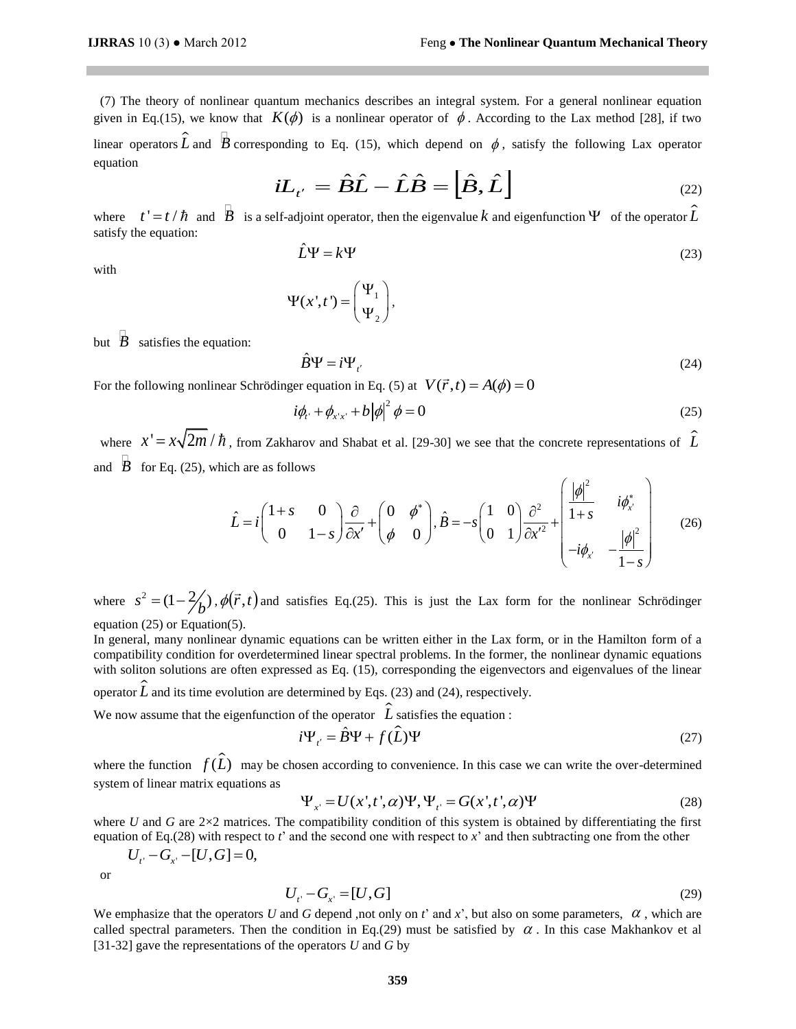(7) The theory of nonlinear quantum mechanics describes an integral system. For a general nonlinear equation given in Eq.(15), we know that  $K(\phi)$  is a nonlinear operator of  $\phi$ . According to the Lax method [28], if two linear operators  $\hat{L}$  and  $\hat{B}$  corresponding to Eq. (15), which depend on  $\phi$ , satisfy the following Lax operator equation

$$
iL_{t'} = \hat{B}\hat{L} - \hat{L}\hat{B} = \left[\hat{B}, \hat{L}\right]
$$
\n(22)

where  $t' = t / \hbar$  and  $\overline{B}$  is a self-adjoint operator, then the eigenvalue k and eigenfunction  $\Psi$  of the operator  $\hat{L}$ satisfy the equation:

$$
\hat{L}\Psi = k\Psi \tag{23}
$$

with

$$
\Psi(x',t') = \begin{pmatrix} \Psi_1 \\ \Psi_2 \end{pmatrix},
$$

but  $\overline{B}$  satisfies the equation:

$$
\hat{B}\Psi = i\Psi_{t'}\tag{24}
$$

For the following nonlinear Schrödinger equation in Eq. (5) at  $V(\vec{r}, t) = A(\phi) = 0$ 

$$
i\phi_{t} + \phi_{x^{\prime}x^{\prime}} + b|\phi|^{2} \phi = 0
$$
\n(25)

where  $x' = x\sqrt{2m}/\hbar$ , from Zakharov and Shabat et al. [29-30] we see that the concrete representations of  $\hat{L}$ and  $\overline{B}$  for Eq. (25), which are as follows

ch are as follows  
\n
$$
\hat{L} = i \begin{pmatrix} 1+s & 0 \\ 0 & 1-s \end{pmatrix} \frac{\partial}{\partial x'} + \begin{pmatrix} 0 & \phi^* \\ \phi & 0 \end{pmatrix}, \hat{B} = -s \begin{pmatrix} 1 & 0 \\ 0 & 1 \end{pmatrix} \frac{\partial^2}{\partial x'^2} + \begin{pmatrix} \frac{|\phi|^2}{1+s} & i\phi^*_{x'} \\ -i\phi_{x'} & -\frac{|\phi|^2}{1-s} \end{pmatrix}
$$
\n(26)

where  $s^2 = (1 - \frac{2}{b})$ ,  $\phi(\vec{r}, t)$  and satisfies Eq.(25). This is just the Lax form for the nonlinear Schrödinger equation (25) or Equation(5).

In general, many nonlinear dynamic equations can be written either in the Lax form, or in the Hamilton form of a compatibility condition for overdetermined linear spectral problems. In the former, the nonlinear dynamic equations with soliton solutions are often expressed as Eq. (15), corresponding the eigenvectors and eigenvalues of the linear operator  $\hat{L}$  and its time evolution are determined by Eqs. (23) and (24), respectively.

We now assume that the eigenfunction of the operator  $\hat{L}$  satisfies the equation :<br> $i\Psi_x = \hat{B}\Psi + f(\hat{L})\Psi$ 

$$
i\Psi_{t'} = \hat{B}\Psi + f(\hat{L})\Psi
$$
 (27)

where the function  $f(\hat{L})$  may be chosen according to convenience. In this case we can write the over-determined system of linear matrix equations as  $\Psi_{x'} = U(x', t', \alpha) \Psi, \Psi_{t'} = G(x', t', \alpha) \Psi$ 

$$
\Psi_{x'} = U(x', t', \alpha) \Psi, \Psi_{t'} = G(x', t', \alpha) \Psi
$$
\n(28)

where *U* and *G* are  $2\times2$  matrices. The compatibility condition of this system is obtained by differentiating the first equation of Eq.(28) with respect to *t*' and the second one with respect to *x*' and then subtracting one from the other

$$
U_{t'} - G_{x'} - [U, G] = 0,
$$

or

$$
U_{t'} - G_{x'} = [U, G] \tag{29}
$$

We emphasize that the operators U and G depend ,not only on  $t'$  and  $x'$ , but also on some parameters,  $\alpha$ , which are called spectral parameters. Then the condition in Eq.(29) must be satisfied by  $\alpha$ . In this case Makhankov et al [31-32] gave the representations of the operators *U* and *G* by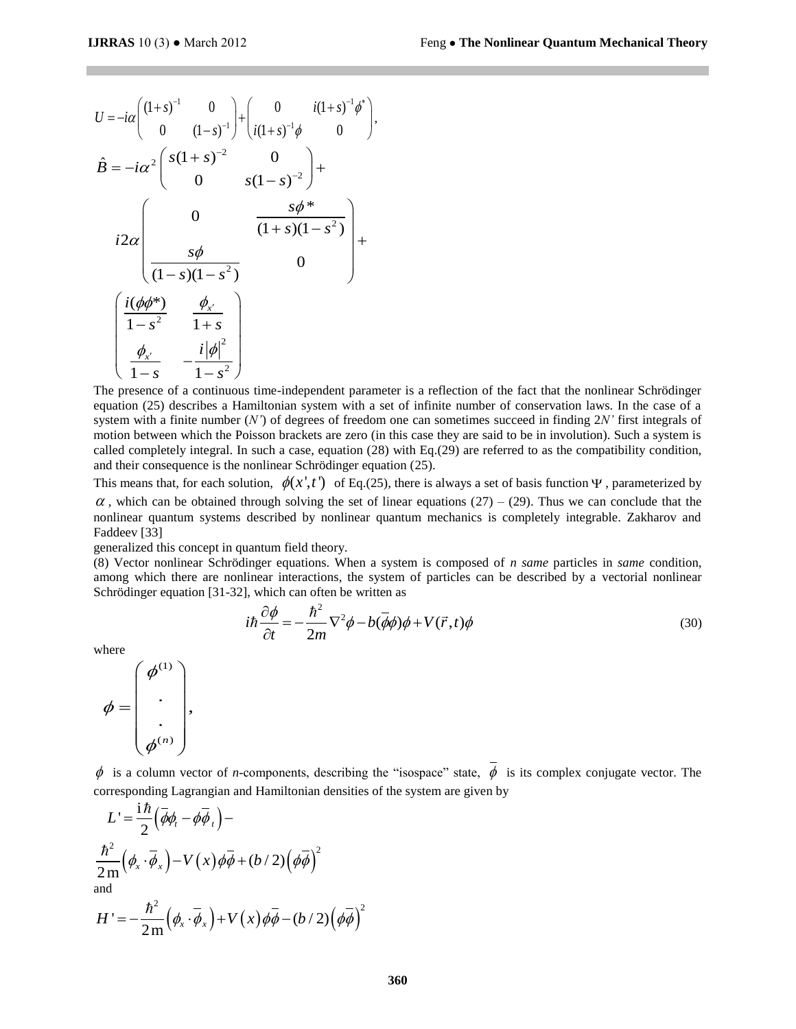$$
U = -i\alpha \begin{pmatrix} (1+s)^{-1} & 0 \\ 0 & (1-s)^{-1} \end{pmatrix} + \begin{pmatrix} 0 & i(1+s)^{-1}\phi^* \\ i(1+s)^{-1}\phi & 0 \end{pmatrix},
$$
  
\n
$$
\hat{B} = -i\alpha^2 \begin{pmatrix} s(1+s)^{-2} & 0 \\ 0 & s(1-s)^{-2} \end{pmatrix} +
$$
  
\n
$$
i2\alpha \begin{pmatrix} 0 & \frac{s\phi^*}{(1+s)(1-s^2)} \\ \frac{s\phi}{(1-s)(1-s^2)} & 0 \end{pmatrix} +
$$
  
\n
$$
\begin{pmatrix} \frac{i(\phi\phi^*)}{1-s^2} & \frac{\phi_{x'}}{1+s} \\ \frac{\phi_{x'}}{1-s} & -\frac{i|\phi|^2}{1-s^2} \end{pmatrix}
$$

The presence of a continuous time-independent parameter is a reflection of the fact that the nonlinear Schrödinger equation (25) describes a Hamiltonian system with a set of infinite number of conservation laws. In the case of a system with a finite number (*N'*) of degrees of freedom one can sometimes succeed in finding 2*N'* first integrals of motion between which the Poisson brackets are zero (in this case they are said to be in involution). Such a system is called completely integral. In such a case, equation (28) with Eq.(29) are referred to as the compatibility condition, and their consequence is the nonlinear Schrödinger equation (25).

This means that, for each solution,  $\phi(x',t')$  of Eq.(25), there is always a set of basis function  $\Psi$ , parameterized by  $\alpha$ , which can be obtained through solving the set of linear equations (27) – (29). Thus we can conclude that the nonlinear quantum systems described by nonlinear quantum mechanics is completely integrable. Zakharov and Faddeev [33]

generalized this concept in quantum field theory.

(8) Vector nonlinear Schrödinger equations. When a system is composed of *n same* particles in *same* condition, among which there are nonlinear interactions, the system of particles can be described by a vectorial nonlinear Schrödinger equation [31-32], which can often be written as

$$
i\hbar \frac{\partial \phi}{\partial t} = -\frac{\hbar^2}{2m} \nabla^2 \phi - b(\phi \phi) \phi + V(\vec{r}, t) \phi
$$
\n(30)

where



 $\phi$  is a column vector of *n*-components, describing the "isospace" state,  $\phi$  is its complex conjugate vector. The corresponding Lagrangian and Hamiltonian densities of the system are given by

$$
L' = \frac{i\hbar}{2} (\overline{\phi}\phi_t - \phi\overline{\phi}_t) -
$$
  

$$
\frac{\hbar^2}{2m} (\phi_x \cdot \overline{\phi}_x) - V(x) \phi\overline{\phi} + (b/2) (\phi\overline{\phi})^2
$$
  
and  

$$
H' = -\frac{\hbar^2}{2m} (\phi_x \cdot \overline{\phi}_x) + V(x) \phi\overline{\phi} - (b/2) (\phi\overline{\phi})^2
$$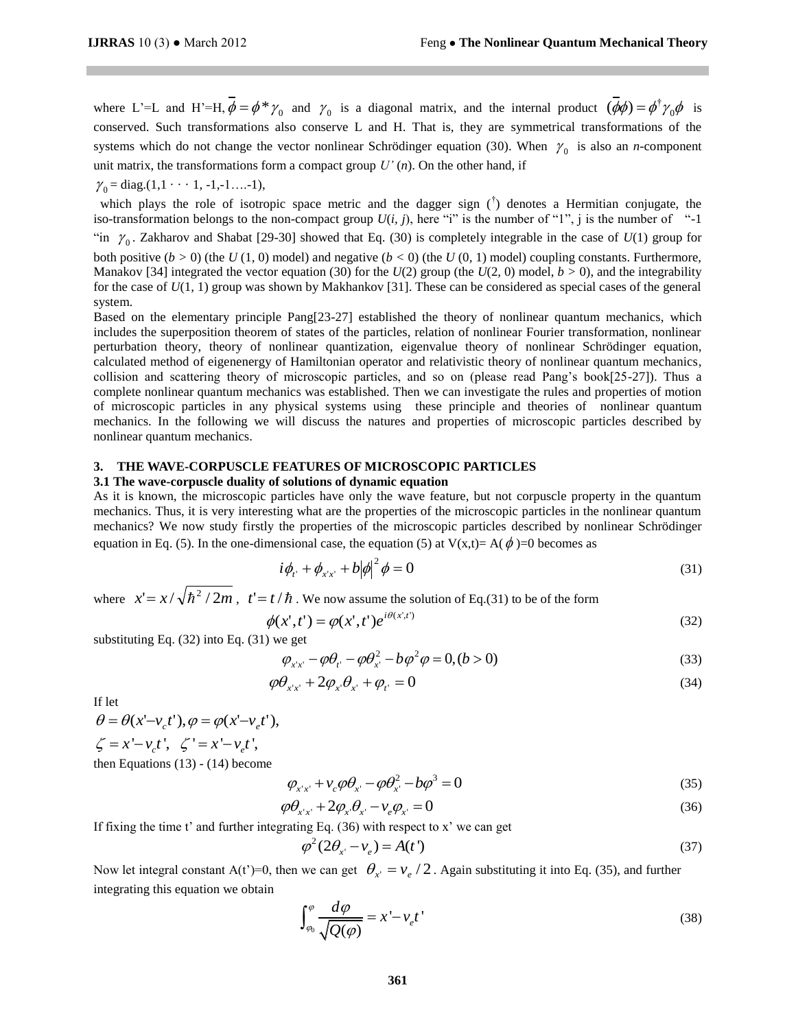where L'=L and H'=H,  $\phi = \phi * \gamma_0$  and  $\gamma_0$  is a diagonal matrix, and the internal product  $(\phi \phi) = \phi^{\dagger}$  $(\phi \phi) = \phi^{\dagger} \gamma_0 \phi$  is conserved. Such transformations also conserve L and H. That is, they are symmetrical transformations of the systems which do not change the vector nonlinear Schrödinger equation (30). When  $\gamma_0$  is also an *n*-component unit matrix, the transformations form a compact group  $U'(n)$ . On the other hand, if

 $\gamma_0 = \text{diag.}(1, 1 \cdot \cdot \cdot 1, -1, -1, \dots -1),$ 

which plays the role of isotropic space metric and the dagger sign  $(\dagger)$  denotes a Hermitian conjugate, the iso-transformation belongs to the non-compact group  $U(i, j)$ , here "i" is the number of "1", j is the number of "-1" "in  $\gamma_0$ . Zakharov and Shabat [29-30] showed that Eq. (30) is completely integrable in the case of  $U(1)$  group for both positive  $(b > 0)$  (the  $U(1, 0)$  model) and negative  $(b < 0)$  (the  $U(0, 1)$  model) coupling constants. Furthermore, Manakov [34] integrated the vector equation (30) for the  $U(2)$  group (the  $U(2, 0)$  model,  $b > 0$ ), and the integrability for the case of *U*(1*,* 1) group was shown by Makhankov [31]. These can be considered as special cases of the general system.

Based on the elementary principle Pang[23-27] established the theory of nonlinear quantum mechanics, which includes the superposition theorem of states of the particles, relation of nonlinear Fourier transformation, nonlinear perturbation theory, theory of nonlinear quantization, eigenvalue theory of nonlinear Schrödinger equation, calculated method of eigenenergy of Hamiltonian operator and relativistic theory of nonlinear quantum mechanics, collision and scattering theory of microscopic particles, and so on (please read Pang's book[25-27]). Thus a complete nonlinear quantum mechanics was established. Then we can investigate the rules and properties of motion of microscopic particles in any physical systems using these principle and theories of nonlinear quantum mechanics. In the following we will discuss the natures and properties of microscopic particles described by nonlinear quantum mechanics.

# **3. THE WAVE-CORPUSCLE FEATURES OF MICROSCOPIC PARTICLES**

### **3.1 The wave-corpuscle duality of solutions of dynamic equation**

As it is known, the microscopic particles have only the wave feature, but not corpuscle property in the quantum mechanics. Thus, it is very interesting what are the properties of the microscopic particles in the nonlinear quantum mechanics? We now study firstly the properties of the microscopic particles described by nonlinear Schrödinger equation in Eq. (5). In the one-dimensional case, the equation (5) at  $V(x,t) = A(\phi) = 0$  becomes as

$$
i\phi_{t'} + \phi_{x'x'} + b|\phi|^2 \phi = 0
$$
\n(31)

where  $x' = x / \sqrt{\hbar^2 / 2m}$ ,  $t' = t / \hbar$ . We now assume the solution of Eq.(31) to be of the form

$$
\phi(x',t') = \phi(x',t')e^{i\theta(x',t)}
$$
\n(32)

substituting Eq. (32) into Eq. (31) we get

$$
\varphi_{x'x'} - \varphi \theta_{t'} - \varphi \theta_{x'}^2 - b\varphi^2 \varphi = 0, (b > 0)
$$
\n(33)

$$
\varphi \theta_{x'x'} + 2\varphi_{x'}\theta_{x'} + \varphi_{t'} = 0 \tag{34}
$$

If let

$$
\theta = \theta(x'-v_c t'), \varphi = \varphi(x'-v_e t'),
$$
  

$$
\zeta = x'-v_c t', \zeta' = x'-v_e t',
$$

then Equations (13) - (14) become

$$
\varphi_{x'x'} + v_c \varphi \theta_{x'} - \varphi \theta_{x'}^2 - b\varphi^3 = 0
$$
\n(35)

$$
\varphi \theta_{x'x'} + 2\varphi_{x'}\theta_{x'} - v_e \varphi_{x'} = 0
$$
\n(36)

If fixing the time t' and further integrating Eq.  $(36)$  with respect to x' we can get

$$
\varphi^2(2\theta_{x} - v_e) = A(t')\tag{37}
$$

Now let integral constant A(t')=0, then we can get  $\theta_{x'} = v_e/2$ . Again substituting it into Eq. (35), and further integrating this equation we obtain

$$
\int_{\varphi_0}^{\varphi} \frac{d\varphi}{\sqrt{Q(\varphi)}} = x' - \nu_e t'
$$
\n(38)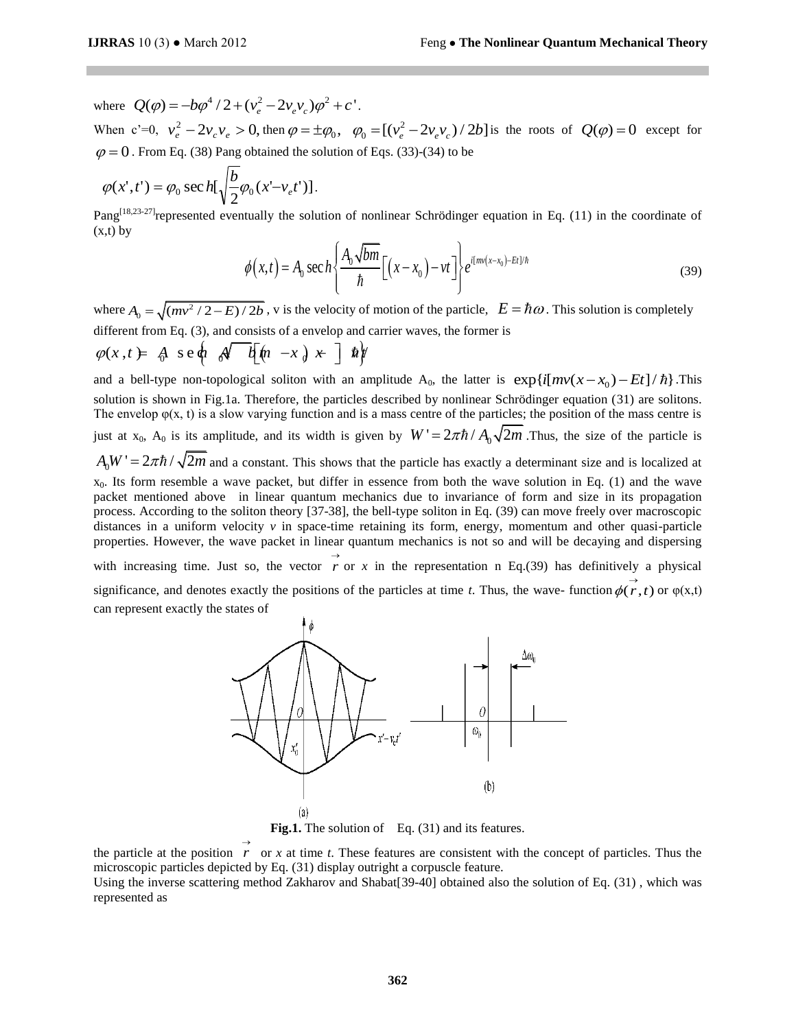where  $Q(\varphi) = -b\varphi^4/2 + (v_e^2 - 2v_e v_c)\varphi^2 + c'$ . When  $c'=0$ ,  $v_e^2 - 2v_c v_e > 0$ , then  $\varphi = \pm \varphi_0$ ,  $\varphi_0 = [(v_e^2 - 1)v_e^2]$  $\varphi_0 = \left[ \left( v_e^2 - 2v_e v_c \right) / 2b \right]$  is the roots of  $Q(\varphi) = 0$  except for  $\varphi = 0$ . From Eq. (38) Pang obtained the solution of Eqs. (33)-(34) to be

$$
\varphi(x',t') = \varphi_0 \sec h[\sqrt{\frac{b}{2}}\varphi_0(x'-v_e t')].
$$

Pang<sup>[18,23-27]</sup> represented eventually the solution of nonlinear Schrödinger equation in Eq. (11) in the coordinate of  $(x,t)$  by

$$
\phi(x,t) = A_0 \sec h \left\{ \frac{A_0 \sqrt{bm}}{\hbar} \left[ (x - x_0) - vt \right] \right\} e^{i \left[ mv(x - x_0) - Et \right] / \hbar}
$$
(39)

where  $A_0 = \sqrt{(mv^2/2 - E)/2b}$ , v is the velocity of motion of the particle,  $E = \hbar \omega$ . This solution is completely different from Eq. (3), and consists of a envelop and carrier waves, the former is  $\varphi(x, t) = A \text{ s e } \phi \text{ or } \phi \text{ f } [n - x] \times \text{ f } \phi$ 

$$
\varphi(x,t) = \mathbf{A} \ \mathbf{se} \, \mathbf{a} \, \mathbf{A} \, \mathbf{b} \, \mathbf{b} \, \mathbf{b} \, \mathbf{b} \, \mathbf{b}
$$

and a bell-type non-topological soliton with an amplitude A<sub>0</sub>, the latter is  $exp\{i[mv(x-x_0)-Et]/\hbar\}$ . This solution is shown in Fig.1a. Therefore, the particles described by nonlinear Schrödinger equation (31) are solitons. The envelop  $\varphi(x, t)$  is a slow varying function and is a mass centre of the particles; the position of the mass centre is just at  $x_0$ ,  $A_0$  is its amplitude, and its width is given by  $W' = 2\pi \hbar / A_0 \sqrt{2m}$ . Thus, the size of the particle is  $A_0 W' = 2\pi \hbar / \sqrt{2m}$  and a constant. This shows that the particle has exactly a determinant size and is localized at  $x<sub>0</sub>$ . Its form resemble a wave packet, but differ in essence from both the wave solution in Eq. (1) and the wave packet mentioned above in linear quantum mechanics due to invariance of form and size in its propagation process. According to the soliton theory [37-38], the bell-type soliton in Eq. (39) can move freely over macroscopic distances in a uniform velocity  $\nu$  in space-time retaining its form, energy, momentum and other quasi-particle properties. However, the wave packet in linear quantum mechanics is not so and will be decaying and dispersing with increasing time. Just so, the vector  $\overrightarrow{r}$  or  $\overrightarrow{x}$  in the representation n Eq.(39) has definitively a physical significance, and denotes exactly the positions of the particles at time *t*. Thus, the wave- function  $\phi(r, t)$  or  $\phi(x, t)$ can represent exactly the states of





the particle at the position  $r$  or  $x$  at time  $t$ . These features are consistent with the concept of particles. Thus the  $\rightarrow$ microscopic particles depicted by Eq. (31) display outright a corpuscle feature.

Using the inverse scattering method Zakharov and Shabat[39-40] obtained also the solution of Eq. (31) , which was represented as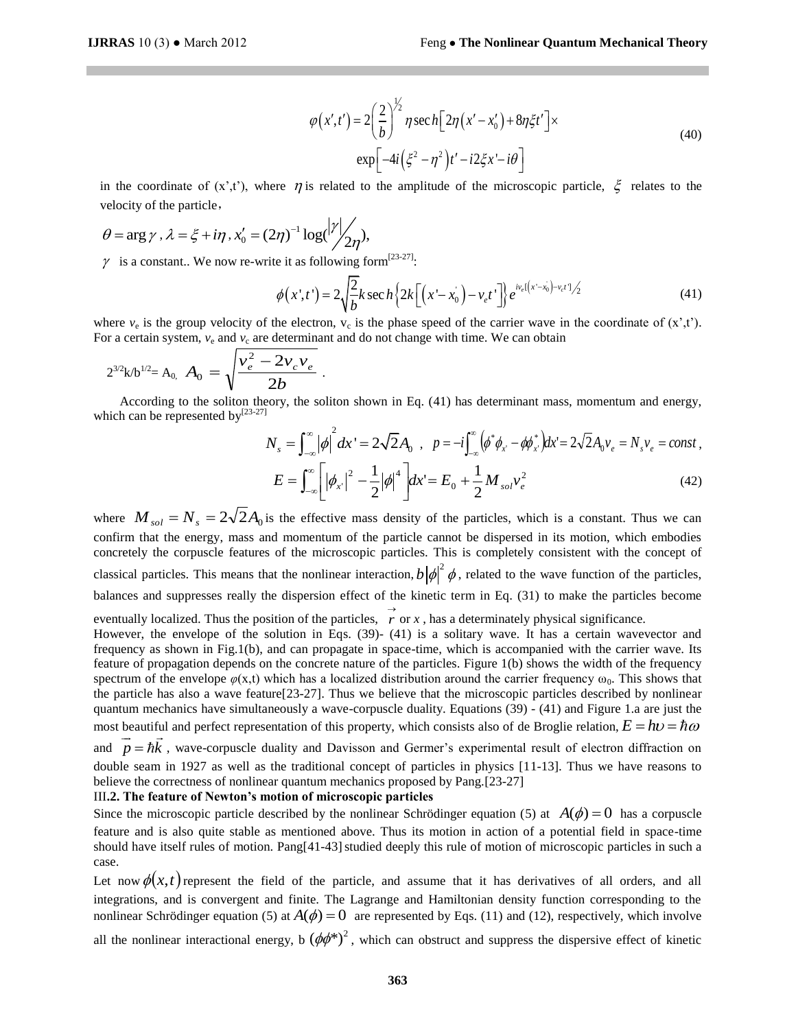$$
\varphi(x',t') = 2\left(\frac{2}{b}\right)^{1/2} \eta \sec h \left[2\eta(x'-x'_0) + 8\eta \xi t'\right] \times
$$
  
\n
$$
\exp \left[-4i\left(\xi^2 - \eta^2\right)t' - i2\xi x' - i\theta\right]
$$
\n(40)

in the coordinate of  $(x',t')$ , where  $\eta$  is related to the amplitude of the microscopic particle,  $\xi$  relates to the velocity of the particle,

$$
\theta = \arg \gamma, \lambda = \xi + i\eta, x_0' = (2\eta)^{-1} \log(\frac{|\gamma|}{2\eta}),
$$

$$
\gamma \text{ is a constant. We now re-write it as following form}^{[23-27]}\n\phi(x^*,t^*) = 2 \sqrt{\frac{2}{b}} k \sec h \left\{ 2k \left[ \left( x - x_0 \right) - v_e t^* \right] \right\} e^{i v_e \left[ \left( x - x_0 \right) - v_e t^* \right]} \tag{41}
$$

where  $v_e$  is the group velocity of the electron,  $v_c$  is the phase speed of the carrier wave in the coordinate of  $(x',t')$ . For a certain system,  $v_e$  and  $v_c$  are determinant and do not change with time. We can obtain

$$
2^{3/2}k/b^{1/2} = A_0, \ A_0 = \sqrt{\frac{v_e^2 - 2v_c v_e}{2b}}.
$$

 According to the soliton theory, the soliton shown in Eq. (41) has determinant mass, momentum and energy, which can be represented by $^{[23-27]}$ 

$$
N_{s} = \int_{-\infty}^{\infty} |\phi|^{2} dx' = 2\sqrt{2} A_{0} , p = -i \int_{-\infty}^{\infty} (\phi^{*} \phi_{x'} - \phi \phi_{x'}^{*}) dx' = 2\sqrt{2} A_{0} v_{e} = N_{s} v_{e} = const ,
$$
  

$$
E = \int_{-\infty}^{\infty} \left[ |\phi_{x'}|^{2} - \frac{1}{2} |\phi|^{4} \right] dx' = E_{0} + \frac{1}{2} M_{sol} v_{e}^{2}
$$
(42)

where  $M_{sol} = N_s = 2\sqrt{2A_0}$  is the effective mass density of the particles, which is a constant. Thus we can confirm that the energy, mass and momentum of the particle cannot be dispersed in its motion, which embodies concretely the corpuscle features of the microscopic particles. This is completely consistent with the concept of classical particles. This means that the nonlinear interaction,  $b |\phi|^2 \phi$ , related to the wave function of the particles, balances and suppresses really the dispersion effect of the kinetic term in Eq. (31) to make the particles become

eventually localized. Thus the position of the particles,  $\overrightarrow{r}$  or *x*, has a determinately physical significance.

However, the envelope of the solution in Eqs. (39)- (41) is a solitary wave. It has a certain wavevector and frequency as shown in Fig.1(b), and can propagate in space-time, which is accompanied with the carrier wave. Its feature of propagation depends on the concrete nature of the particles. Figure 1(b) shows the width of the frequency spectrum of the envelope  $\varphi(x,t)$  which has a localized distribution around the carrier frequency  $\omega_0$ . This shows that the particle has also a wave feature[23-27]. Thus we believe that the microscopic particles described by nonlinear quantum mechanics have simultaneously a wave-corpuscle duality. Equations (39) - (41) and Figure 1.a are just the most beautiful and perfect representation of this property, which consists also of de Broglie relation,  $E = h\nu = \hbar\omega$ and  $p = \hbar k$ , wave-corpuscle duality and Davisson and Germer's experimental result of electron diffraction on double seam in 1927 as well as the traditional concept of particles in physics [11-13]. Thus we have reasons to believe the correctness of nonlinear quantum mechanics proposed by Pang.[23-27]

### III**.2. The feature of Newton's motion of microscopic particles**

Since the microscopic particle described by the nonlinear Schrödinger equation (5) at  $A(\phi) = 0$  has a corpuscle feature and is also quite stable as mentioned above. Thus its motion in action of a potential field in space-time should have itself rules of motion. Pang[41-43] studied deeply this rule of motion of microscopic particles in such a case.

Let now  $\phi(x, t)$  represent the field of the particle, and assume that it has derivatives of all orders, and all integrations, and is convergent and finite. The Lagrange and Hamiltonian density function corresponding to the nonlinear Schrödinger equation (5) at  $A(\phi) = 0$  are represented by Eqs. (11) and (12), respectively, which involve all the nonlinear interactional energy, b  $(\phi\phi^*)^2$ , which can obstruct and suppress the dispersive effect of kinetic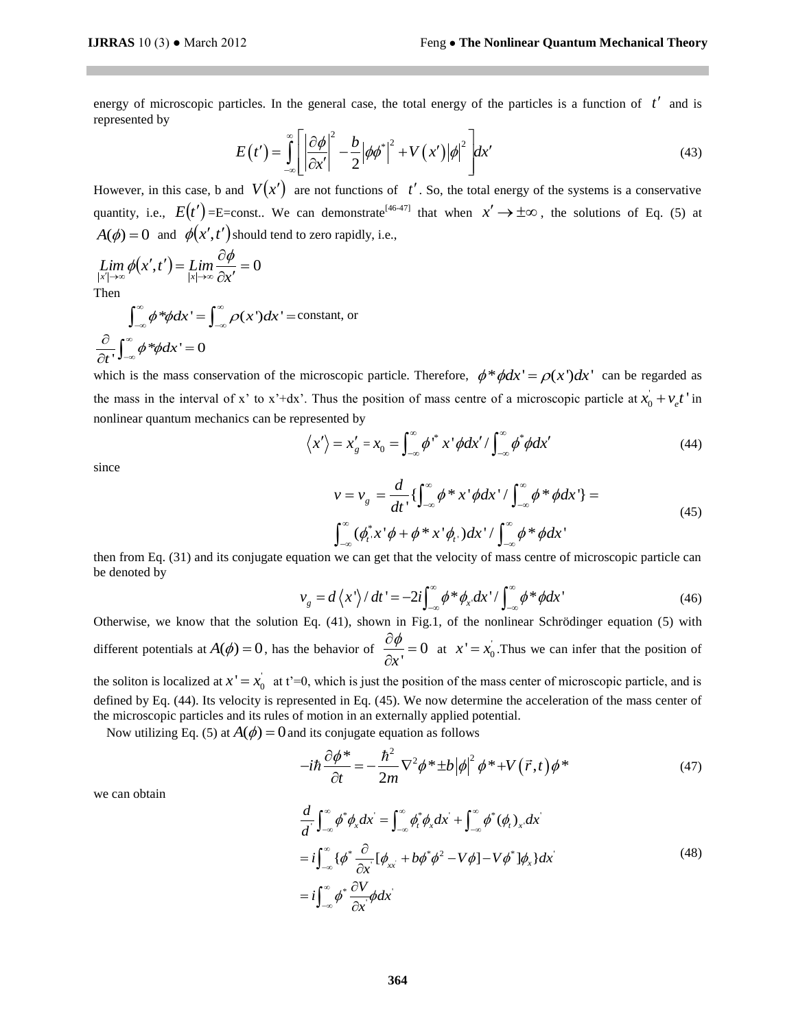energy of microscopic particles. In the general case, the total energy of the particles is a function of  $t'$  and is represented by

$$
E(t') = \int_{-\infty}^{\infty} \left[ \left| \frac{\partial \phi}{\partial x'} \right|^2 - \frac{b}{2} \left| \phi \phi^* \right|^2 + V(x') \left| \phi \right|^2 \right] dx'
$$
(43)

However, in this case, b and  $V(x')$  are not functions of  $t'$ . So, the total energy of the systems is a conservative quantity, i.e.,  $E(t')$ =E=const.. We can demonstrate<sup>[46-47]</sup> that when  $x' \to \pm \infty$ , the solutions of Eq. (5) at  $A(\phi) = 0$  and  $\phi(x', t')$  should tend to zero rapidly, i.e.,

$$
\lim_{\substack{|x'| \to \infty \\ \text{Then}}} \phi(x', t') = \lim_{\substack{|x| \to \infty \\ \text{then}}} \frac{\partial \phi}{\partial x'} = 0
$$

Then  
\n
$$
\int_{-\infty}^{\infty} \phi^* \phi dx' = \int_{-\infty}^{\infty} \rho(x') dx' = \text{constant, or}
$$
\n
$$
\frac{\partial}{\partial t} \int_{-\infty}^{\infty} \phi^* \phi dx' = 0
$$

which is the mass conservation of the microscopic particle. Therefore,  $\phi^* \phi dx' = \rho(x') dx'$  can be regarded as the mass in the interval of x' to x'+dx'. Thus the position of mass centre of a microscopic particle at  $x_0 + v_e t$ ' in nonlinear quantum mechanics can be represented by

presented by  
\n
$$
\langle x' \rangle = x'_g = x_0 = \int_{-\infty}^{\infty} \phi^{*} x' \phi dx' / \int_{-\infty}^{\infty} \phi^* \phi dx'
$$
 (44)

since

$$
v = v_g = \frac{d}{dt} \left\{ \int_{-\infty}^{\infty} \phi * x' \phi dx' / \int_{-\infty}^{\infty} \phi * \phi dx' \right\} =
$$
  

$$
\int_{-\infty}^{\infty} (\phi_t^* x' \phi + \phi * x' \phi_t) dx' / \int_{-\infty}^{\infty} \phi * \phi dx'
$$
  
(45)

then from Eq. (31) and its conjugate equation we can get that the velocity of mass centre of microscopic particle can<br>be denoted by<br> $v_g = d\langle x'\rangle/dt' = -2i\int_{-\infty}^{\infty} \phi^* \phi_x dx'/\int_{-\infty}^{\infty} \phi^* \phi dx'$  (46) be denoted by

$$
v_g = d\left\langle x'\right\rangle/dt' = -2i\int_{-\infty}^{\infty} \phi^* \phi_x dx'/\int_{-\infty}^{\infty} \phi^* \phi dx'
$$
 (46)

Otherwise, we know that the solution Eq. (41), shown in Fig.1, of the nonlinear Schrödinger equation (5) with different potentials at  $A(\phi) = 0$ , has the behavior of  $\frac{\partial \phi}{\partial \phi} = 0$ *x* '  $\frac{\partial \phi}{\partial x} =$  $\frac{\partial \varphi}{\partial x'} = 0$  at  $x' = x_0'$ . Thus we can infer that the position of

the soliton is localized at  $x' = x_0'$  at t'=0, which is just the position of the mass center of microscopic particle, and is defined by Eq. (44). Its velocity is represented in Eq. (45). We now determine the acceleration of the mass center of the microscopic particles and its rules of motion in an externally applied potential.

Now utilizing Eq. (5) at 
$$
A(\phi) = 0
$$
 and its conjugate equation as follows  
\n
$$
-i\hbar \frac{\partial \phi^*}{\partial t} = -\frac{\hbar^2}{2m} \nabla^2 \phi^* \pm b |\phi|^2 \phi^* + V(\vec{r}, t) \phi^* \tag{47}
$$

we can obtain

$$
Ct \t 2m
$$
  
\n
$$
\frac{d}{d} \int_{-\infty}^{\infty} \phi^* \phi_x dx = \int_{-\infty}^{\infty} \phi^* \phi_x dx + \int_{-\infty}^{\infty} \phi^* (\phi_t)_x dx
$$
  
\n
$$
= i \int_{-\infty}^{\infty} {\{\phi^* \frac{\partial}{\partial x} [\phi_{xx} + b\phi^* \phi^2 - V\phi] - V\phi^* ]\phi_x} dx
$$
  
\n
$$
= i \int_{-\infty}^{\infty} \phi^* \frac{\partial V}{\partial x} \phi dx
$$
\n(48)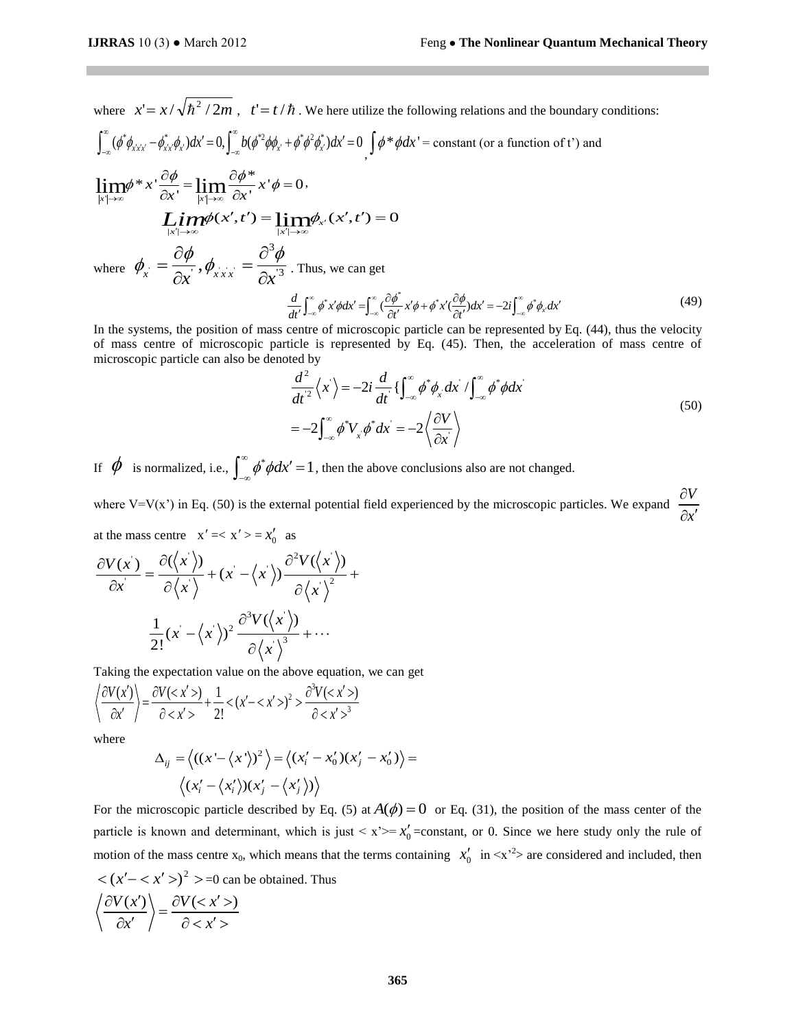where  $x' = x / \sqrt{\hbar^2 / 2m}$ ,  $t' = t / \hbar$ . We here utilize the following relations and the boundary conditions:<br> $\int_{-\infty}^{\infty} (\phi^* \phi_{x'x'} - \phi_{x'x}^* \phi_x) dx' = 0$ ,  $\int_{-\infty}^{\infty} b (\phi^* \phi_{x'} + \phi^* \phi^2 \phi_x^*) dx' = 0$   $\int \phi^* \phi dx' = \text{constant}$  (or

where 
$$
x' = x / \sqrt{\hbar^2 / 2m}
$$
,  $t' = t / \hbar$ . We here utilize the following relations and the boundary of  $\int_{-\infty}^{\infty} (\phi^* \phi_{x'x'} - \phi_{x'x}^* \phi_x) dx' = 0$ ,  $\int_{-\infty}^{\infty} b (\phi^* \phi_{x'} + \phi^* \phi^2 \phi_{x'}^*) dx' = 0$ ,  $\int \phi^* \phi dx' = \text{constant}$  (or a function of t') and

$$
\lim_{|x| \to \infty} \phi * x' \frac{\partial \phi}{\partial x'} = \lim_{|x| \to \infty} \frac{\partial \phi *}{\partial x'} x' \phi = 0,
$$
\n
$$
\lim_{|x| \to \infty} \phi(x', t') = \lim_{|x| \to \infty} \phi_{x'}(x', t') = 0
$$
\nwhere  $\phi_x = \frac{\partial \phi}{\partial x}, \phi_{xxx} = \frac{\partial^3 \phi}{\partial x^3}$ . Thus, we can get\n
$$
\frac{d}{dt'} \int_{-\infty}^{\infty} \phi^* x' \phi dx' = \int_{-\infty}^{\infty} (\frac{\partial \phi^*}{\partial t'} x' \phi + \phi^* x' (\frac{\partial \phi}{\partial t'}) dx' = -2i \int_{-\infty}^{\infty} \phi^* \phi_x dx'
$$
\n(49)\nIn the systems, the position of mass centre of microscopic particle can be represented by Eq. (44), thus the velocity

$$
\frac{d}{dt'}\int_{-\infty}^{\infty} \phi^* x' \phi dx' = \int_{-\infty}^{\infty} \left(\frac{\partial \phi^*}{\partial t'} x' \phi + \phi^* x' \frac{\partial \phi}{\partial t'}\right) dx' = -2i \int_{-\infty}^{\infty} \phi^* \phi_x dx'
$$
\n(49)

of mass centre of microscopic particle is represented by Eq. (45). Then, the acceleration of mass centre of microscopic particle can also be denoted by

ted by  
\n
$$
\frac{d^2}{dt^2} \langle x \rangle = -2i \frac{d}{dt} \left\{ \int_{-\infty}^{\infty} \phi^* \phi_x dx' / \int_{-\infty}^{\infty} \phi^* \phi dx' \right\}
$$
\n
$$
= -2 \int_{-\infty}^{\infty} \phi^* V_x \phi^* dx' = -2 \left\langle \frac{\partial V}{\partial x} \right\rangle
$$
\n(50)

If  $\phi$  is normalized, i.e.,  $\int_{-\infty}^{\infty} \phi^* \phi dx' = 1$ , then the above conclusions also are not changed.  $\int_{-\infty}^{\infty} \phi^* \phi dx' =$ 

where V=V(x<sup>2</sup>) in Eq. (50) is the external potential field experienced by the microscopic particles. We expand  $\frac{\partial V}{\partial \theta}$ *x*  $\partial$  $\partial x'$ 

at the mass centre 
$$
x' = \langle x' \rangle = x'_0
$$
 as  
\n
$$
\frac{\partial V(x)}{\partial x} = \frac{\partial (\langle x' \rangle)}{\partial \langle x' \rangle} + (x - \langle x' \rangle) \frac{\partial^2 V(\langle x' \rangle)}{\partial \langle x' \rangle^2} + \frac{1}{2!} (x - \langle x' \rangle)^2 \frac{\partial^3 V(\langle x' \rangle)}{\partial \langle x' \rangle^3} + \cdots
$$

Taking the expectation value on the above equation, we can get  
\n
$$
\left\langle \frac{\partial V(x')}{\partial x'} \right\rangle = \frac{\partial V()}{\partial } + \frac{1}{2!} < (x'- \frac{\partial^3 V()}{\partial ^3}
$$

where

$$
\Delta_{ij} = \langle ((x - \langle x' \rangle)^2) \rangle = \langle (x'_i - x'_0)(x'_j - x'_0) \rangle = \langle (x'_i - \langle x'_i \rangle)(x'_j - \langle x'_j \rangle) \rangle
$$

For the microscopic particle described by Eq. (5) at  $A(\phi) = 0$  or Eq. (31), the position of the mass center of the particle is known and determinant, which is just  $\langle x \rangle = x'_0$  = constant, or 0. Since we here study only the rule of motion of the mass centre  $x_0$ , which means that the terms containing  $x'_0$  in  $\langle x'^2 \rangle$  are considered and included, then  $\langle (x'-\langle x'\rangle)^2 \rangle = 0$  can be obtained. Thus  $\partial V(x') \Big\backslash \begin{array}{c} \circ \\ \partial V() \end{array}$ 

$$
\left\langle \frac{\partial V(x')}{\partial x'} \right\rangle = \frac{\partial V()}{\partial }
$$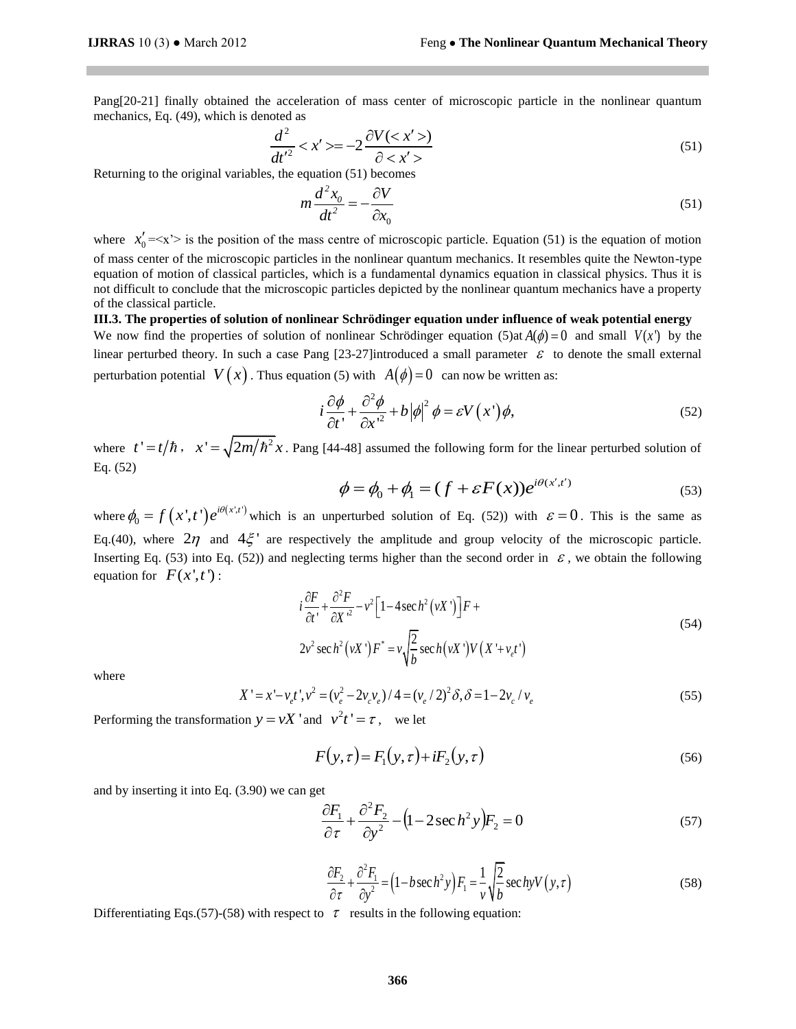Pang[20-21] finally obtained the acceleration of mass center of microscopic particle in the nonlinear quantum mechanics, Eq. (49), which is denoted as

$$
\frac{d^2}{dt'^2} < x' > = -2\frac{\partial V < x' >)}{\partial < x' >}
$$
\n(51)

Returning to the original variables, the equation (51) becomes

*m*

$$
n\frac{d^2x_0}{dt^2} = -\frac{\partial V}{\partial x_0} \tag{51}
$$

where  $x'_0 = \langle x' \rangle$  is the position of the mass centre of microscopic particle. Equation (51) is the equation of motion of mass center of the microscopic particles in the nonlinear quantum mechanics. It resembles quite the Newton-type equation of motion of classical particles, which is a fundamental dynamics equation in classical physics. Thus it is not difficult to conclude that the microscopic particles depicted by the nonlinear quantum mechanics have a property of the classical particle.

**III.3. The properties of solution of nonlinear Schrödinger equation under influence of weak potential energy**  We now find the properties of solution of nonlinear Schrödinger equation  $(5)$ at  $A(\phi) = 0$  and small  $V(x')$  by the linear perturbed theory. In such a case Pang [23-27]introduced a small parameter  $\varepsilon$  to denote the small external perturbation potential  $V(x)$ . Thus equation (5) with  $A(\phi) = 0$  can now be written as:<br> $i \frac{\partial \phi}{\partial x^2} + b |\phi|^2 \phi = cV(x) \phi$ 

$$
i\frac{\partial\phi}{\partial t} + \frac{\partial^2\phi}{\partial x'^2} + b|\phi|^2 \phi = \varepsilon V(x')\phi,
$$
\n(52)

where  $t' = t/\hbar$ ,  $x' = \sqrt{2m/\hbar^2 x}$ . Pang [44-48] assumed the following form for the linear perturbed solution of Eq. (52)  $(t')$ 

$$
\phi = \phi_0 + \phi_1 = (f + \varepsilon F(x))e^{i\theta(x',t')}
$$
\n(53)

where  $\phi_0 = f(x', t') e^{i\theta(x', t')}$  $\phi_0 = f(x', t') e^{i\theta(x', t')}$  which is an unperturbed solution of Eq. (52)) with  $\varepsilon = 0$ . This is the same as Eq.(40), where  $2\eta$  and  $4\xi$  are respectively the amplitude and group velocity of the microscopic particle. Inserting Eq. (53) into Eq. (52)) and neglecting terms higher than the second order in  $\epsilon$ , we obtain the following equation for  $F(x', t')$ :

$$
i\frac{\partial F}{\partial t'} + \frac{\partial^2 F}{\partial X'^2} - v^2 \Big[ 1 - 4\sec h^2(vX') \Big] F +
$$
  
2v<sup>2</sup> sec h<sup>2</sup> (vX')F<sup>\*</sup> = v $\sqrt{\frac{2}{b}}$  sec h(vX')V (X'+v<sub>e</sub>t') (54)

where

$$
\sqrt{b}
$$
  

$$
X' = x' - v_e t', v^2 = (v_e^2 - 2v_e v_e) / 4 = (v_e / 2)^2 \delta, \delta = 1 - 2v_e / v_e
$$
 (55)

Performing the transformation  $y = vX'$  and  $v^2t' = \tau$ , we let

$$
F(y,\tau) = F_1(y,\tau) + iF_2(y,\tau)
$$
\n<sup>(56)</sup>

and by inserting it into Eq. (3.90) we can get

$$
\frac{\partial F_1}{\partial \tau} + \frac{\partial^2 F_2}{\partial y^2} - (1 - 2\sec h^2 y) F_2 = 0
$$
\n(57)

$$
\frac{\partial F_2}{\partial \tau} + \frac{\partial^2 F_1}{\partial y^2} = \left(1 - b \sec h^2 y\right) F_1 = \frac{1}{v} \sqrt{\frac{2}{b}} \sec hyV(y, \tau)
$$
(58)

Differentiating Eqs.(57)-(58) with respect to  $\tau$  results in the following equation: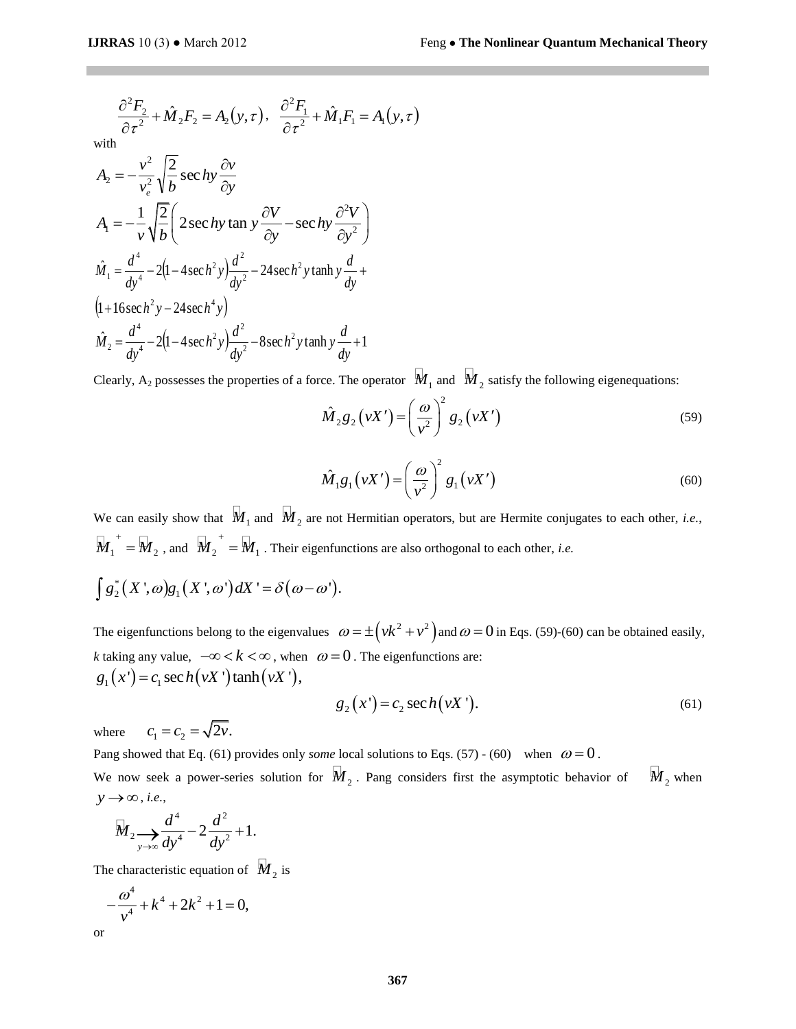*A*

$$
\frac{\partial^2 F_2}{\partial \tau^2} + \hat{M}_2 F_2 = A_2(y, \tau), \quad \frac{\partial^2 F_1}{\partial \tau^2} + \hat{M}_1 F_1 = A_1(y, \tau)
$$
  
\nwith  
\n
$$
A_2 = -\frac{v^2}{v_e^2} \sqrt{\frac{2}{b}} \sec \hbar y \frac{\partial v}{\partial y}
$$
  
\n
$$
A_1 = -\frac{1}{v} \sqrt{\frac{2}{b}} \left( 2 \sec \hbar y \tan y \frac{\partial V}{\partial y} - \sec \hbar y \frac{\partial^2 V}{\partial y^2} \right)
$$
  
\n
$$
\hat{M}_1 = \frac{d^4}{dy^4} - 2(1 - 4 \sec \hbar^2 y) \frac{d^2}{dy^2} - 24 \sec \hbar^2 y \tanh y \frac{d}{dy} + (1 + 16 \sec \hbar^2 y - 24 \sec \hbar^2 y) \frac{d^2}{dy^2} - 8 \sec \hbar^2 y \tanh y \frac{d}{dy} + 1
$$
  
\nClearly, A<sub>2</sub> possesses the properties of a force. The operator  $\hat{M}$   
\n
$$
\hat{M}_2 g_2 (vX') = \left( \frac{\hbar}{v} \frac{\hat{M}_1 g_1 (vX')}{v} \right) = \left( \frac{\hbar}{v} \frac{\hat{M}_1 g_1 (vX')}{v} \right) = \left( \frac{\hbar}{v} \frac{\hbar}{v} \frac{d}{v} \right) = \frac{\hbar}{v} \frac{\hbar}{v} \left( \frac{\hbar}{v} \frac{d}{v} \right) = \frac{\hbar}{v} \frac{\hbar}{v} \left( \frac{\hbar}{v} \frac{d}{v} \right) = \frac{\hbar}{v} \frac{\hbar}{v} \left( \frac{\hbar}{v} \right) = \frac{\hbar}{v} \frac{\hbar}{v} \left( \frac{\hbar}{v} \right) = \frac{\hbar}{v} \frac{\hbar}{v} \left( \frac{\hbar}{v} \right) = \frac{\hbar}{v} \frac{\hbar}{v} \left( \frac{\hbar}{v} \right) = \frac{\hbar}{v} \frac{\hbar}{v} \left( \frac{\hbar}{v} \right) = \frac{\hbar}{v} \frac{\hbar}{v} \left( \frac{\h
$$

2 4  $\frac{d^2y}{dx^4} - 2(1 - 4\sec h^2 y)\frac{dy}{dx^2} - 8\sec h^2 y \tanh y \frac{dy}{dx} +$ *dy dy* Clearly, A<sub>2</sub> possesses the properties of a force. The operator  $\mathcal{M}_1$  and  $\mathcal{M}_2$  satisfy the following eigenequations:

$$
\hat{M}_2 g_2 \left( vX' \right) = \left( \frac{\omega}{v^2} \right)^2 g_2 \left( vX' \right) \tag{59}
$$

$$
\hat{M}_1 g_1(vX') = \left(\frac{\omega}{v^2}\right)^2 g_1(vX')
$$
\n(60)

We can easily show that  $\hat{M}_1$  and  $\hat{M}_2$  are not Hermitian operators, but are Hermite conjugates to each other, *i.e.*,  $\overline{M_1}^+ = \overline{M_2}$  , and  $\overline{M_2}^+ = \overline{M_1}$  . Their eigenfunctions are also orthogonal to each other, *i.e.* 

$$
\int g_2^*(X',\omega)g_1(X',\omega')dX' = \delta(\omega-\omega').
$$

The eigenfunctions belong to the eigenvalues  $\omega = \pm (vk^2 + v^2)$  and  $\omega = 0$  in Eqs. (59)-(60) can be obtained easily, *k* taking any value,  $-\infty < k < \infty$ , when  $\omega = 0$ . The eigenfunctions are:  $g_1(x') = c_1 \sec h(vX') \tanh(vX'),$ 

$$
g_2(x') = c_2 \sec h(vX'). \tag{61}
$$

where  $c_1 = c_2 = \sqrt{2\nu}$ .

Pang showed that Eq. (61) provides only *some* local solutions to Eqs. (57) - (60) when  $\omega = 0$ .

We now seek a power-series solution for  $\hat{M}_2$ . Pang considers first the asymptotic behavior of  $\overline{M}_{2}$  when  $y \rightarrow \infty$ , *i.e.*,

$$
\overline{M}_2 \underset{y \to \infty}{\longrightarrow} \frac{d^4}{dy^4} - 2\frac{d^2}{dy^2} + 1.
$$

The characteristic equation of  $\overline{M}_2$  is

$$
-\frac{\omega^4}{v^4} + k^4 + 2k^2 + 1 = 0,
$$

or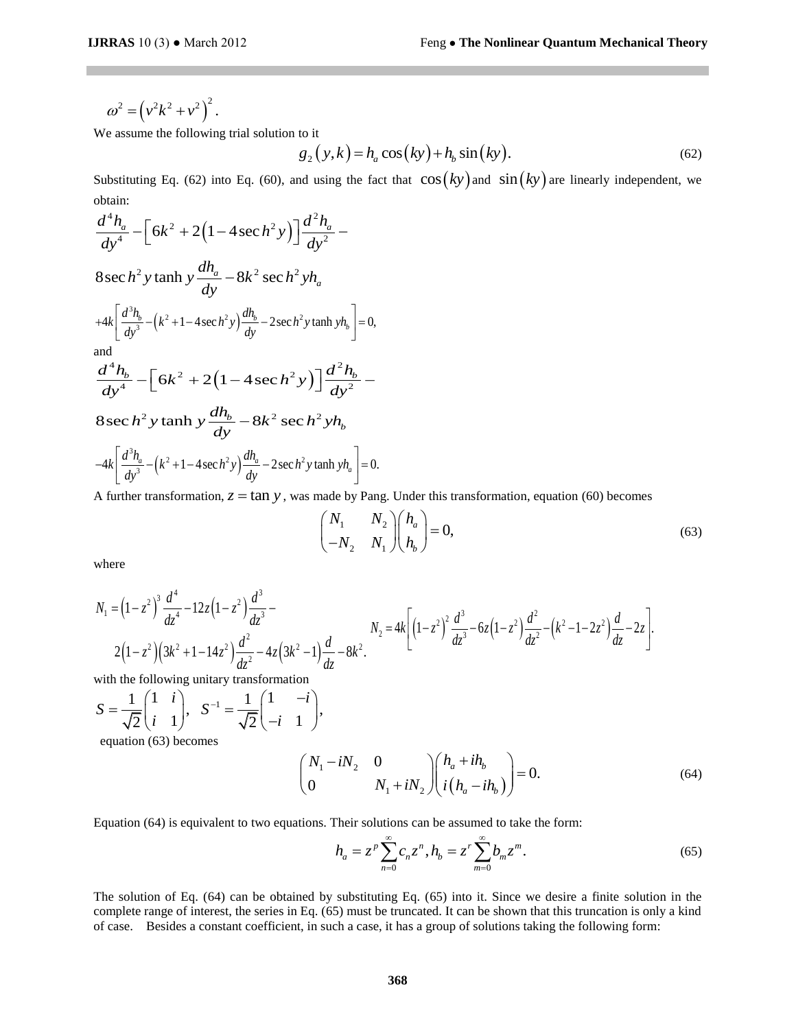$$
\omega^2 = \left(v^2k^2 + v^2\right)^2.
$$

We assume the following trial solution to it

to it  
\n
$$
g_2(y,k) = h_a \cos(ky) + h_b \sin(ky).
$$
\n(62)

Substituting Eq. (62) into Eq. (60), and using the fact that  $\cos(ky)$  and  $\sin(ky)$  are linearly independent, we obtain:

$$
\omega^2 = (v^2k^2 + v^2)
$$
  
\nWe assume the following trial solution to it  
\n
$$
g_2(y, k) = h_a \cos (k)
$$
  
\nSubstituting Eq. (62) into Eq. (60), and using the fact that  
\nobtain:  
\n
$$
\frac{d^4h_a}{dy^4} - \left[6k^2 + 2(1 - 4 \sec h^2 y)\right] \frac{d^2h_a}{dy^2} -
$$
  
\n8sec h<sup>2</sup> y tanh y  $\frac{dh_a}{dy} - 8k^2 \sec h^2 yh_a$   
\n+4k  $\left[\frac{d^3h_b}{dy^3} - (k^2 + 1 - 4 \sec h^2 y)\frac{dh_b}{dy} - 2 \sec h^2 y \tanh yh_b\right] = 0,$   
\nand  
\n
$$
\frac{d^4h_b}{dy^4} - \left[6k^2 + 2(1 - 4 \sec h^2 y)\right] \frac{d^2h_b}{dy^2} -
$$
  
\n8sec h<sup>2</sup> y tanh y  $\frac{dh_b}{dy} - 8k^2 \sec h^2 yh_b$   
\n-4k  $\left[\frac{d^3h_a}{dy^3} - (k^2 + 1 - 4 \sec h^2 y)\frac{dh_a}{dy} - 2 \sec h^2 y \tanh yh_a\right] = 0.$   
\nA further transformation, z = tan y, was made by Pang. Unc  
\n
$$
\left(\begin{array}{ccc} N_1 & N_2 \\ -N_2 & N_1 \end{array}\right) \begin{array}{ccc} h \\ h \end{array}
$$
  
\nwhere  
\n
$$
N_1 = (1 - z^2)^3 \frac{d^4}{dz^4} - 12z(1 - z^2) \frac{d^3}{dz^3} -
$$
  
\n
$$
2(1 - z^2)(3k^2 + 1 - 14z^2) \frac{d^2}{dz^2} - 4z(3k^2 - 1) \frac{d}{dz} - 8k^2.
$$
  
\nwith the following unitary transformation  
\n
$$
S = \frac{1}{\sqrt{2}} \begin{pmatrix} 1 & i \\ i & 1 \end{pmatrix}, S^{-1} = \frac{1}{\sqrt{2}} \begin{pmatrix} 1 & -i \\ -i & 1 \end{pmatrix},
$$
  
\nequation (64

A further transformation,  $z = \tan y$ , was made by Pang. Under this transformation, equation (60) becomes

$$
\begin{pmatrix} N_1 & N_2 \ -N_2 & N_1 \end{pmatrix} \begin{pmatrix} h_a \\ h_b \end{pmatrix} = 0,
$$
\n(63)

where

$$
N_1 = (1 - z^2)^3 \frac{d^4}{dz^4} - 12z(1 - z^2) \frac{d^3}{dz^3} - N_2 = 4k \left[ (1 - z^2)^2 \frac{d^3}{dz^3} - 6z(1 - z^2) \frac{d^2}{dz^2} - (k^2 - 1 - 2z^2) \frac{d}{dz} - 2z \right].
$$
  
2(1 - z<sup>2</sup>)(3k<sup>2</sup> + 1 - 14z<sup>2</sup>)  $\frac{d^2}{dz^2}$  - 4z(3k<sup>2</sup> - 1) $\frac{d}{dz}$  - 8k<sup>2</sup>.

with the following unitary transformation

$$
S = \frac{1}{\sqrt{2}} \begin{pmatrix} 1 & i \\ i & 1 \end{pmatrix}, \quad S^{-1} = \frac{1}{\sqrt{2}} \begin{pmatrix} 1 & -i \\ -i & 1 \end{pmatrix},
$$

equation (63) becomes

$$
\begin{pmatrix} N_1 - iN_2 & 0 \ 0 & N_1 + iN_2 \end{pmatrix} \begin{pmatrix} h_a + ih_b \ i(h_a - ih_b) \end{pmatrix} = 0.
$$
 (64)

Equation (64) is equivalent to two equations. Their solutions can be assumed to take the form:  
\n
$$
h_a = z^p \sum_{n=0}^{\infty} c_n z^n, h_b = z^r \sum_{m=0}^{\infty} b_m z^m.
$$
\n(65)

The solution of Eq. (64) can be obtained by substituting Eq. (65) into it. Since we desire a finite solution in the complete range of interest, the series in Eq. (65) must be truncated. It can be shown that this truncation is only a kind of case. Besides a constant coefficient, in such a case, it has a group of solutions taking the following form: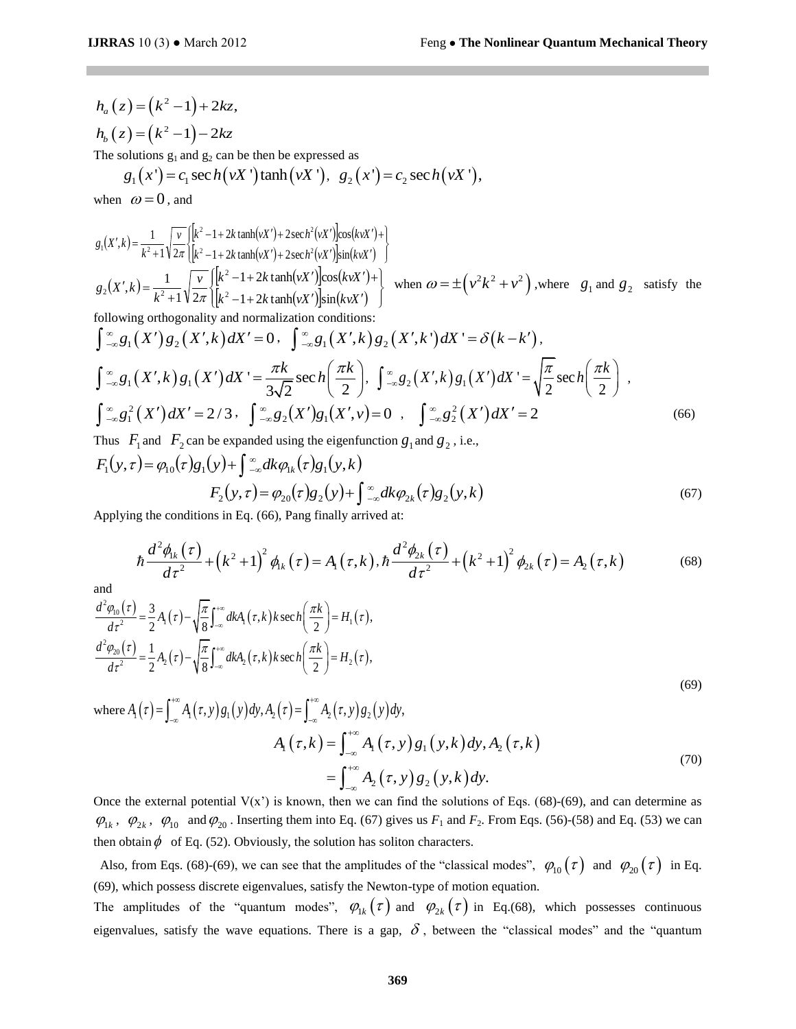(67)

 $h_a(z) = (k^2 - 1) + 2kz,$  $h_{b}(z) = (k^{2}-1)-2kz$ 

The solutions 
$$
g_1
$$
 and  $g_2$  can be then be expressed as  
\n $g_1(x') = c_1 \sec h(vX')$  tanh $(vX')$ ,  $g_2(x') = c_2 \sec h(vX')$ ,

when  $\omega = 0$ , and

when 
$$
\omega = 0
$$
, and  
\n
$$
g_1(X',k) = \frac{1}{k^2 + 1} \sqrt{\frac{v}{2\pi}} \left[ \frac{k^2 - 1 + 2k \tanh(vX') + 2\sech^2(vX') \cos(kvX') + 1}{k^2 - 1 + 2k \tanh(vX') + 2\sech^2(vX') \sin(kvX')} \right]
$$
\n
$$
g_2(X',k) = \frac{1}{k^2 + 1} \sqrt{\frac{v}{2\pi}} \left[ \frac{k^2 - 1 + 2k \tanh(vX') \cos(kvX') + 1}{k^2 - 1 + 2k \tanh(vX') \sin(kvX')} \right]
$$
\nwhich is  $\omega = \pm (v^2 k^2 + v^2)$ , where  $g_1$  and  $g_2$  satisfy the following orthogonality and normalization conditions:  
\n
$$
\int_{-\infty}^{\infty} g_1(X') g_2(X',k) dX' = 0, \quad \int_{-\infty}^{\infty} g_1(X',k) g_2(X',k') dX' = \delta(k - k'),
$$
\n
$$
\int_{-\infty}^{\infty} g_1(X',k) g_1(X') dX' = \frac{\pi k}{3\sqrt{2}} \sech\left(\frac{\pi k}{2}\right), \quad \int_{-\infty}^{\infty} g_2(X',k) g_1(X') dX' = \sqrt{\frac{\pi}{2}} \sech\left(\frac{\pi k}{2}\right),
$$
\n
$$
\int_{-\infty}^{\infty} g_1^2(X') dX' = 2/3, \quad \int_{-\infty}^{\infty} g_2(X') g_1(X',v) = 0, \quad \int_{-\infty}^{\infty} g_2^2(X') dX' = 2
$$
\n(66)

Thus  $F_1$  and  $F_2$  can be expanded using the eigenfunction  $g_1$  and  $g_2$ , i.e.,  $F_1(y,\tau) = \varphi_{10}(\tau)g_1(y) + \int_{-\infty}^{\infty} dk \varphi_{1k}(\tau)g_1(y,k)$  $F_2(y,\tau) = \varphi_{20}(\tau)g_2(y) + \int_{-\infty}^{\infty} dk \varphi_{2k}(\tau)g_2(y,k)$ 

Applying the conditions in Eq. (66), Pang finally arrived at:

$$
\hbar \frac{d^2 \phi_{k}(\tau)}{d\tau^2} + (k^2 + 1)^2 \phi_{k}(\tau) = A_1(\tau, k), \hbar \frac{d^2 \phi_{2k}(\tau)}{d\tau^2} + (k^2 + 1)^2 \phi_{2k}(\tau) = A_2(\tau, k) \tag{68}
$$

and

and  
\n
$$
\frac{d^2\varphi_{00}(\tau)}{d\tau^2} = \frac{3}{2}A_1(\tau) - \sqrt{\frac{\pi}{8}} \int_{-\infty}^{+\infty} dk A_1(\tau, k) k \sec h\left(\frac{\pi k}{2}\right) = H_1(\tau),
$$
\n
$$
\frac{d^2\varphi_{20}(\tau)}{d\tau^2} = \frac{1}{2}A_2(\tau) - \sqrt{\frac{\pi}{8}} \int_{-\infty}^{+\infty} dk A_2(\tau, k) k \sec h\left(\frac{\pi k}{2}\right) = H_2(\tau),
$$
\n(69)

where  $A_1(\tau) = \int_{-\infty}^{+\infty} A_1(\tau, y) g_1(y) dy, A_2(\tau) = \int_{-\infty}^{+\infty} A_2(\tau, y) g_2(y) dy,$  $+2(x)$   $\sqrt{8} \int_{-\infty}^{\infty} dx_2(x, \theta) d\theta$ ,  $A_2(\tau) = \int_{-\infty}^{+\infty} A_2(\tau, y) g_2(x, \theta)$ 

$$
y_1 \, dy_1 \, dy_2 \, dz_1 = \int_{-\infty}^{\infty} A_1(t, y) \, g_2(y) \, dy,
$$
\n
$$
A_1(\tau, k) = \int_{-\infty}^{\infty} A_1(\tau, y) \, g_1(y, k) \, dy, A_2(\tau, k)
$$
\n
$$
= \int_{-\infty}^{\infty} A_2(\tau, y) \, g_2(y, k) \, dy.
$$
\n(70)

Once the external potential  $V(x')$  is known, then we can find the solutions of Eqs. (68)-(69), and can determine as  $\varphi_{1k}$ ,  $\varphi_{2k}$ ,  $\varphi_{10}$  and  $\varphi_{20}$ . Inserting them into Eq. (67) gives us  $F_1$  and  $F_2$ . From Eqs. (56)-(58) and Eq. (53) we can then obtain  $\phi$  of Eq. (52). Obviously, the solution has soliton characters.

Also, from Eqs. (68)-(69), we can see that the amplitudes of the "classical modes",  $\varphi_{10}(\tau)$  and  $\varphi_{20}(\tau)$  in Eq. (69), which possess discrete eigenvalues, satisfy the Newton-type of motion equation.

The amplitudes of the "quantum modes",  $\varphi_{1k}(\tau)$  and  $\varphi_{2k}(\tau)$  in Eq.(68), which possesses continuous eigenvalues, satisfy the wave equations. There is a gap,  $\delta$ , between the "classical modes" and the "quantum"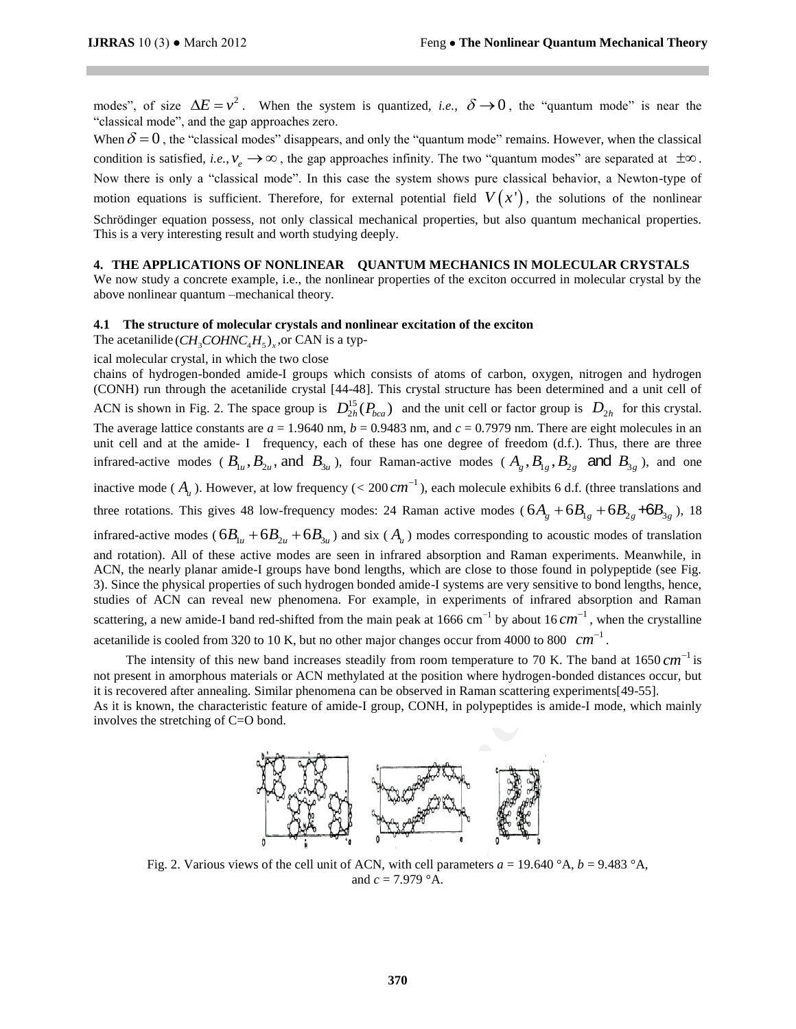modes", of size  $\Delta E = v^2$ . When the system is quantized, *i.e.*,  $\delta \rightarrow 0$ , the "quantum mode" is near the "classical mode", and the gap approaches zero.

When  $\delta = 0$ , the "classical modes" disappears, and only the "quantum mode" remains. However, when the classical condition is satisfied, *i.e.*,  $v_e \rightarrow \infty$ , the gap approaches infinity. The two "quantum modes" are separated at  $\pm \infty$ . Now there is only a "classical mode". In this case the system shows pure classical behavior, a Newton-type of motion equations is sufficient. Therefore, for external potential field  $V(x')$ , the solutions of the nonlinear Schrödinger equation possess, not only classical mechanical properties, but also quantum mechanical properties. This is a very interesting result and worth studying deeply.

# **4. THE APPLICATIONS OF NONLINEAR QUANTUM MECHANICS IN MOLECULAR CRYSTALS**

We now study a concrete example, i.e., the nonlinear properties of the exciton occurred in molecular crystal by the above nonlinear quantum –mechanical theory.

#### **4.1 The structure of molecular crystals and nonlinear excitation of the exciton**

The acetanilide  $\left(\text{CH}_3\text{COHNC}_4\text{H}_5\right)_{\text{x}}$ , or CAN is a typ-

ical molecular crystal, in which the two close

chains of hydrogen-bonded amide-I groups which consists of atoms of carbon, oxygen, nitrogen and hydrogen (CONH) run through the acetanilide crystal [44-48]. This crystal structure has been determined and a unit cell of ACN is shown in Fig. 2. The space group is  $D_{2h}^{15}$  $D_{2h}^{15}(P_{bca})$  and the unit cell or factor group is  $D_{2h}$  for this crystal. The average lattice constants are  $a = 1.9640$  nm,  $b = 0.9483$  nm, and  $c = 0.7979$  nm. There are eight molecules in an unit cell and at the amide- I frequency, each of these has one degree of freedom (d.f.). Thus, there are three infrared-active modes ( $B_{1u}$ ,  $B_{2u}$ , and  $B_{3u}$ ), four Raman-active modes ( $A_g$ ,  $B_{1g}$ ,  $B_{2g}$  and  $B_{3g}$ ), and one inactive mode ( $A$ <sub>u</sub>). However, at low frequency ( $<$  200  $cm^{-1}$ ), each molecule exhibits 6 d.f. (three translations and three rotations. This gives 48 low-frequency modes: 24 Raman active modes ( $6A_g + 6B_{1g} + 6B_{2g} + 6B_{3g}$ ), 18 infrared-active modes ( $6B_{1u} + 6B_{2u} + 6B_{3u}$ ) and six ( $A_u$ ) modes corresponding to acoustic modes of translation and rotation). All of these active modes are seen in infrared absorption and Raman experiments. Meanwhile, in ACN, the nearly planar amide-I groups have bond lengths, which are close to those found in polypeptide (see Fig. 3). Since the physical properties of such hydrogen bonded amide-I systems are very sensitive to bond lengths, hence, studies of ACN can reveal new phenomena. For example, in experiments of infrared absorption and Raman scattering, a new amide-I band red-shifted from the main peak at 1666 cm<sup>-1</sup> by about 16 cm<sup>-1</sup>, when the crystalline acetanilide is cooled from 320 to 10 K, but no other major changes occur from 4000 to 800  $cm^{-1}$ .

The intensity of this new band increases steadily from room temperature to 70 K. The band at  $1650 \text{ cm}^{-1}$  is not present in amorphous materials or ACN methylated at the position where hydrogen-bonded distances occur, but it is recovered after annealing. Similar phenomena can be observed in Raman scattering experiments[49-55]. As it is known, the characteristic feature of amide-I group, CONH, in polypeptides is amide-I mode, which mainly involves the stretching of C=O bond.



Fig. 2. Various views of the cell unit of ACN, with cell parameters  $a = 19.640^\circ A$ ,  $b = 9.483^\circ A$ , and  $c = 7.979$   $^{\circ}$ A.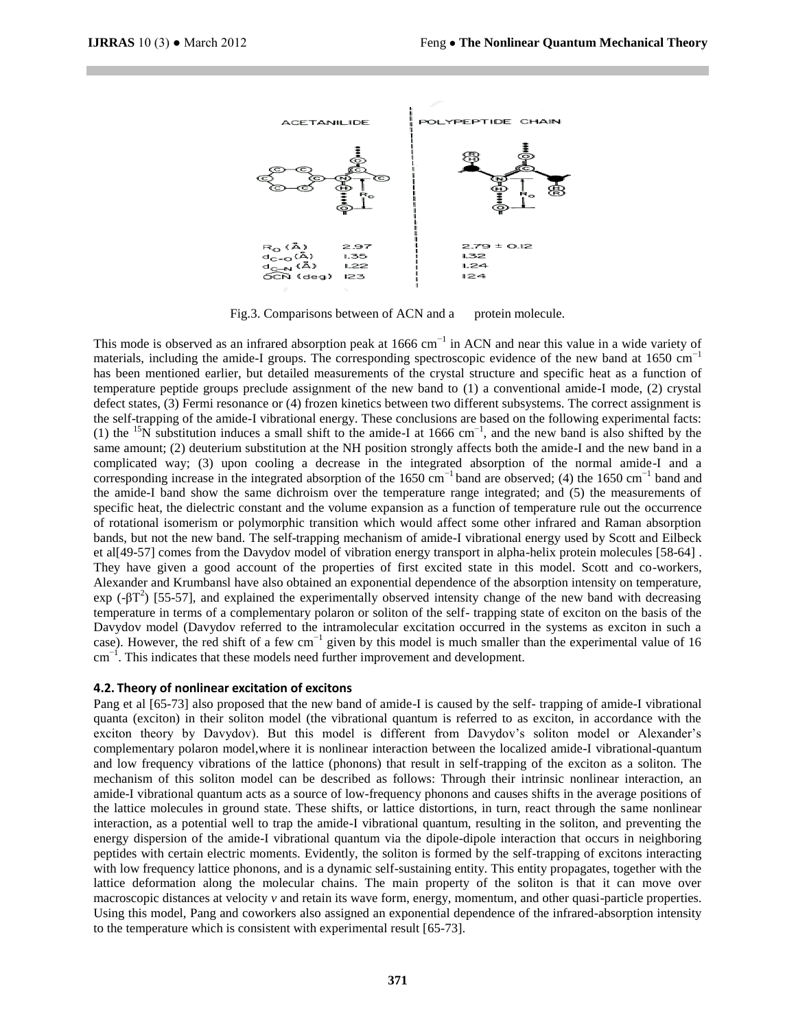

Fig.3. Comparisons between of ACN and a protein molecule.

This mode is observed as an infrared absorption peak at 1666 cm<sup>-1</sup> in ACN and near this value in a wide variety of materials, including the amide-I groups. The corresponding spectroscopic evidence of the new band at 1650 cm<sup>-1</sup> has been mentioned earlier, but detailed measurements of the crystal structure and specific heat as a function of temperature peptide groups preclude assignment of the new band to (1) a conventional amide-I mode, (2) crystal defect states, (3) Fermi resonance or (4) frozen kinetics between two different subsystems. The correct assignment is the self-trapping of the amide-I vibrational energy. These conclusions are based on the following experimental facts: (1) the <sup>15</sup>N substitution induces a small shift to the amide-I at 1666 cm<sup>-1</sup>, and the new band is also shifted by the same amount; (2) deuterium substitution at the NH position strongly affects both the amide-I and the new band in a complicated way; (3) upon cooling a decrease in the integrated absorption of the normal amide-I and a corresponding increase in the integrated absorption of the 1650 cm<sup>-1</sup> band are observed; (4) the 1650 cm<sup>-1</sup> band and the amide-I band show the same dichroism over the temperature range integrated; and (5) the measurements of specific heat, the dielectric constant and the volume expansion as a function of temperature rule out the occurrence of rotational isomerism or polymorphic transition which would affect some other infrared and Raman absorption bands, but not the new band. The self-trapping mechanism of amide-I vibrational energy used by Scott and Eilbeck et al[49-57] comes from the Davydov model of vibration energy transport in alpha-helix protein molecules [58-64] . They have given a good account of the properties of first excited state in this model. Scott and co-workers, Alexander and Krumbansl have also obtained an exponential dependence of the absorption intensity on temperature, exp (-βT<sup>2</sup>) [55-57], and explained the experimentally observed intensity change of the new band with decreasing temperature in terms of a complementary polaron or soliton of the self- trapping state of exciton on the basis of the Davydov model (Davydov referred to the intramolecular excitation occurred in the systems as exciton in such a case). However, the red shift of a few cm<sup>-1</sup> given by this model is much smaller than the experimental value of 16 cm<sup>-1</sup>. This indicates that these models need further improvement and development.

# **4.2. Theory of nonlinear excitation of excitons**

Pang et al [65-73] also proposed that the new band of amide-I is caused by the self- trapping of amide-I vibrational quanta (exciton) in their soliton model (the vibrational quantum is referred to as exciton, in accordance with the exciton theory by Davydov). But this model is different from Davydov's soliton model or Alexander's complementary polaron model,where it is nonlinear interaction between the localized amide-I vibrational-quantum and low frequency vibrations of the lattice (phonons) that result in self-trapping of the exciton as a soliton. The mechanism of this soliton model can be described as follows: Through their intrinsic nonlinear interaction, an amide-I vibrational quantum acts as a source of low-frequency phonons and causes shifts in the average positions of the lattice molecules in ground state. These shifts, or lattice distortions, in turn, react through the same nonlinear interaction, as a potential well to trap the amide-I vibrational quantum, resulting in the soliton, and preventing the energy dispersion of the amide-I vibrational quantum via the dipole-dipole interaction that occurs in neighboring peptides with certain electric moments. Evidently, the soliton is formed by the self-trapping of excitons interacting with low frequency lattice phonons, and is a dynamic self-sustaining entity. This entity propagates, together with the lattice deformation along the molecular chains. The main property of the soliton is that it can move over macroscopic distances at velocity *v* and retain its wave form, energy, momentum, and other quasi-particle properties. Using this model, Pang and coworkers also assigned an exponential dependence of the infrared-absorption intensity to the temperature which is consistent with experimental result [65-73].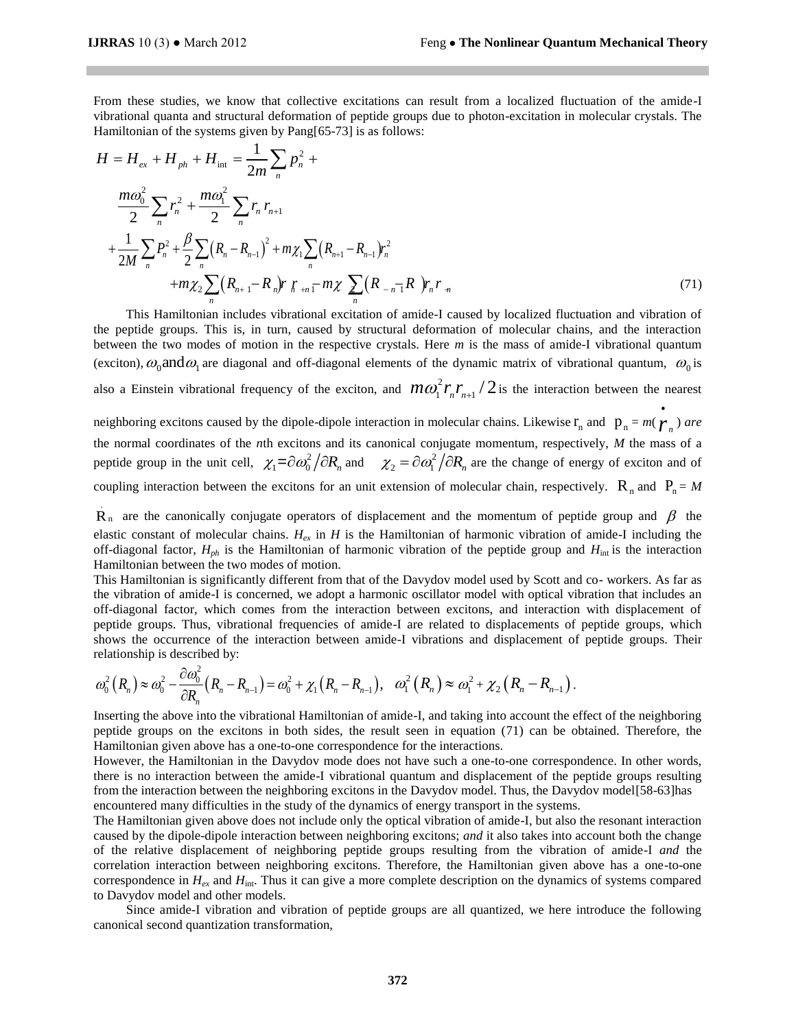.

From these studies, we know that collective excitations can result from a localized fluctuation of the amide-I vibrational quanta and structural deformation of peptide groups due to photon-excitation in molecular crystals. The

Hamiltonian of the systems given by Pang[65-73] is as follows:  
\n
$$
H = H_{ex} + H_{ph} + H_{int} = \frac{1}{2m} \sum_{n} p_{n}^{2} + \frac{m\omega_{0}^{2}}{2} \sum_{n} r_{n}^{2} + \frac{m\omega_{1}^{2}}{2} \sum_{n} r_{n} r_{n+1} + \frac{1}{2M} \sum_{n} P_{n}^{2} + \frac{\beta}{2} \sum_{n} (R_{n} - R_{n-1})^{2} + m\chi_{1} \sum_{n} (R_{n+1} - R_{n-1})r_{n}^{2} + \frac{1}{2M} \sum_{n} (R_{n+1} - R_{n})r_{n}^{2} + \frac{1}{2M} \sum_{n} (R_{n+1} - R_{n})r_{n}^{2} + \frac{1}{2M} \sum_{n} (R_{n+1} - R_{n})r_{n}^{2} + \frac{1}{2M} \sum_{n} (R_{n+1} - R_{n})r_{n}^{2} + \frac{1}{2M} \sum_{n} (R_{n-1} - R_{n})r_{n}^{2} + \frac{1}{2M} \sum_{n} (R_{n+1} - R_{n})r_{n}^{2} + \frac{1}{2M} \sum_{n} (R_{n-1} - R_{n})r_{n}^{2} + \frac{1}{2M} \sum_{n} (R_{n-1} - R_{n})r_{n}^{2} + \frac{1}{2M} \sum_{n} (R_{n-1} - R_{n})r_{n}^{2} + \frac{1}{2M} \sum_{n} (R_{n-1} - R_{n})r_{n}^{2} + \frac{1}{2M} \sum_{n} (R_{n-1} - R_{n})r_{n}^{2} + \frac{1}{2M} \sum_{n} (R_{n-1} - R_{n})r_{n}^{2} + \frac{1}{2M} \sum_{n} (R_{n-1} - R_{n})r_{n}^{2} + \frac{1}{2M} \sum_{n} (R_{n-1} - R_{n})r_{n}^{2} + \frac{1}{2M} \sum_{n} (R_{n-1} - R_{n})r_{n}^{2} + \frac{1}{2M} \sum_{n} (R_{n-1} - R_{n})r_{n}^{2} + \frac{1}{2M} \sum_{n} (R_{n-1} - R_{n})r_{n}^{
$$

 This Hamiltonian includes vibrational excitation of amide-I caused by localized fluctuation and vibration of the peptide groups. This is, in turn, caused by structural deformation of molecular chains, and the interaction between the two modes of motion in the respective crystals. Here *m* is the mass of amide-I vibrational quantum (exciton),  $\omega_0$  and  $\omega_1$  are diagonal and off-diagonal elements of the dynamic matrix of vibrational quantum,  $\omega_0$  is also a Einstein vibrational frequency of the exciton, and  $m\omega_1^2 r_n r_{n+1}/2$  is the interaction between the nearest neighboring excitons caused by the dipole-dipole interaction in molecular chains. Likewise  $\mathbf{r}_n$  and  $\mathbf{p}_n = m(\boldsymbol{\gamma}_n)$  are  $\bullet$ the normal coordinates of the *n*th excitons and its canonical conjugate momentum, respectively, *M* the mass of a peptide group in the unit cell,  $\chi_1 = \partial \omega_0^2 / \partial R_n$  and  $\chi_2 = \partial \omega_1^2 / \partial R_n$  are the change of energy of exciton and of

coupling interaction between the excitons for an unit extension of molecular chain, respectively.  $R_n$  and  $P_n = M$ 

 $R_n$  are the canonically conjugate operators of displacement and the momentum of peptide group and  $\beta$  the elastic constant of molecular chains. *Hex* in *H* is the Hamiltonian of harmonic vibration of amide-I including the off-diagonal factor,  $H_{ph}$  is the Hamiltonian of harmonic vibration of the peptide group and  $H_{int}$  is the interaction Hamiltonian between the two modes of motion.

This Hamiltonian is significantly different from that of the Davydov model used by Scott and co- workers. As far as the vibration of amide-I is concerned, we adopt a harmonic oscillator model with optical vibration that includes an off-diagonal factor, which comes from the interaction between excitons, and interaction with displacement of peptide groups. Thus, vibrational frequencies of amide-I are related to displacements of peptide groups, which shows the occurrence of the interaction between amide-I vibrations and displacement of peptide groups. Their

relationship is described by:  
\n
$$
\omega_0^2 (R_n) \approx \omega_0^2 - \frac{\partial \omega_0^2}{\partial R_n} (R_n - R_{n-1}) = \omega_0^2 + \chi_1 (R_n - R_{n-1}), \quad \omega_1^2 (R_n) \approx \omega_1^2 + \chi_2 (R_n - R_{n-1}).
$$

Inserting the above into the vibrational Hamiltonian of amide-I, and taking into account the effect of the neighboring peptide groups on the excitons in both sides, the result seen in equation (71) can be obtained. Therefore, the Hamiltonian given above has a one-to-one correspondence for the interactions.

However, the Hamiltonian in the Davydov mode does not have such a one-to-one correspondence. In other words, there is no interaction between the amide-I vibrational quantum and displacement of the peptide groups resulting from the interaction between the neighboring excitons in the Davydov model. Thus, the Davydov model[58-63]has encountered many difficulties in the study of the dynamics of energy transport in the systems.

The Hamiltonian given above does not include only the optical vibration of amide-I, but also the resonant interaction caused by the dipole-dipole interaction between neighboring excitons; *and* it also takes into account both the change of the relative displacement of neighboring peptide groups resulting from the vibration of amide-I *and* the correlation interaction between neighboring excitons. Therefore, the Hamiltonian given above has a one-to-one correspondence in  $H_{ex}$  and  $H_{int}$ . Thus it can give a more complete description on the dynamics of systems compared to Davydov model and other models.

 Since amide-I vibration and vibration of peptide groups are all quantized, we here introduce the following canonical second quantization transformation,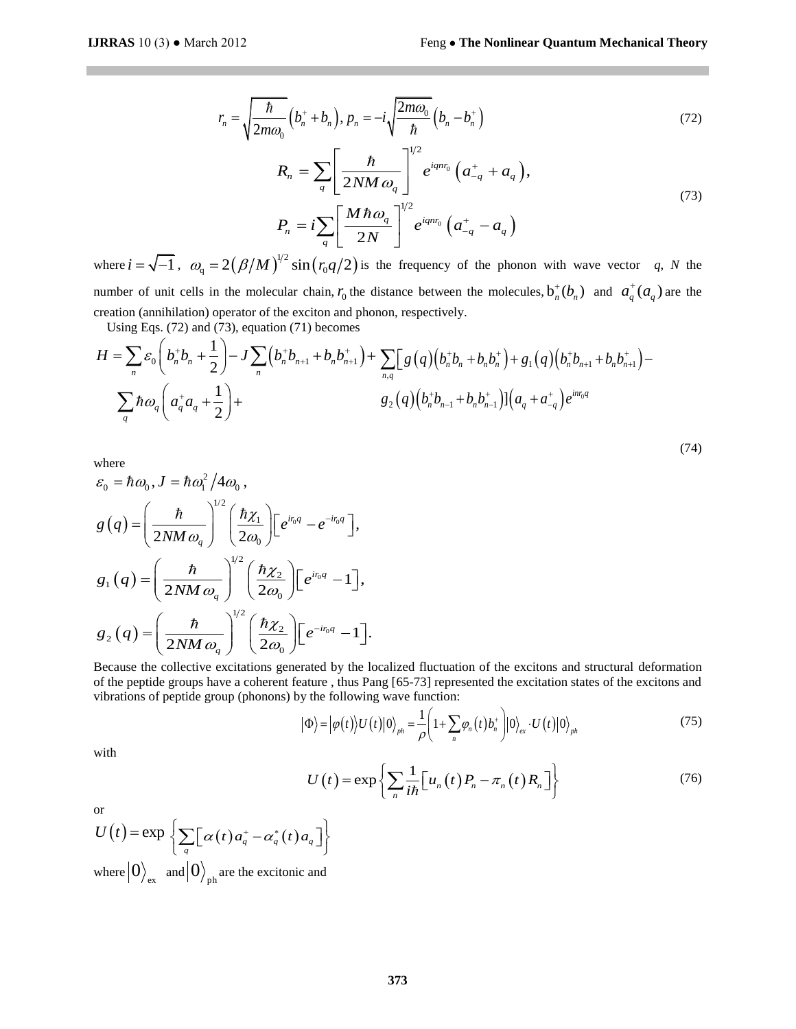(74)

$$
r_n = \sqrt{\frac{\hbar}{2m\omega_0}} \left( b_n^+ + b_n \right), p_n = -i \sqrt{\frac{2m\omega_0}{\hbar}} \left( b_n - b_n^+ \right) \tag{72}
$$

$$
= \sqrt{\frac{2m\omega_0}{2m\omega_0}} (b_n^{\top} + b_n), p_n = -i\sqrt{\frac{h}{\hbar}}} (b_n - b_n^{\top})
$$
\n(72)\n
$$
R_n = \sum_{q} \left[ \frac{\hbar}{2NM \omega_q} \right]^{1/2} e^{iq\omega_0} (a_{-q}^{\top} + a_q),
$$
\n(73)\n
$$
P_n = i \sum_{q} \left[ \frac{M \hbar \omega_q}{2N} \right]^{1/2} e^{iq\omega_0} (a_{-q}^{\top} - a_q),
$$
\n(74)\n
$$
2(\beta/M)^{1/2} \sin (r_0 q/2) \text{ is the frequency of the phonon with wave vector } q, N \text{ the}
$$
\nthe molecular chain,  $r_0$  the distance between the molecules,  $b_n^{\top}(b_n)$  and  $a_q^{\top}(a_q)$  are the  
\nreator of the exciton and phonon, respectively.\n3), equation (71) becomes\n
$$
-J \sum_{n} (b_n^{\top} b_{n+1} + b_n b_{n+1}^{\top}) + \sum_{n,q} \left[ g(q) (b_n^{\top} b_n + b_n b_n^{\top}) + g_1(q) (b_n^{\top} b_{n+1} + b_n b_{n+1}^{\top}) - g_2(q) (b_n^{\top} b_{n-1} + b_n b_{n-1}^{\top}) \right] (a_q + a_{-q}^{\top}) e^{imq}
$$
\n(74)\n
$$
\omega_0,
$$
\n
$$
\left(\frac{\hbar \chi_1}{2\omega_0}\right) \left[ e^{i\omega_q} - e^{-i\omega_q} \right],
$$
\n(75)\n
$$
\int_{0}^{1/2} \left( \frac{\hbar \chi_2}{2\omega_0} \right) \left[ e^{-i\eta_q} - 1 \right].
$$
\ncriticalations generated by the localized fluctuation of the excitons and structural deformation  
\n(9) =  $|\varphi(x)|U(|0)|_{\varphi_n} = \frac{1}{\rho} \left( 1 + \sum_{n} \varphi_n(t) b_n^{\top} \right) |0\rangle_{\alpha} \cdot U(t) |0\rangle_{\beta}.$ \n
$$
U(t) = \exp \left\{ \sum_{n} \frac{1}{i\hbar} \left[ u_n(t) P_n - \pi
$$

where  $i = \sqrt{-1}$ ,  $\omega_q = 2(\beta/M)^{1/2} \sin(r_q q/2)$  is the frequency of the phonon with wave vector *q*, *N* the number of unit cells in the molecular chain,  $r_0$  the distance between the molecules,  $b_n^+(b_n)$  and  $a_q^+(a_q)$  are the creation (annihilation) operator of the exciton and phonon, respectively.

Using Eqs. (72) and (73), equation (71) becomes

creation (annihilation) operator of the exciton and phonon, respectively.  
\nUsing Eqs. (72) and (73), equation (71) becomes  
\n
$$
H = \sum_{n} \mathcal{E}_0 \left( b_n^+ b_n + \frac{1}{2} \right) - J \sum_{n} \left( b_n^+ b_{n+1} + b_n b_{n+1}^+ \right) + \sum_{n,q} \left[ g(q) \left( b_n^+ b_n + b_n b_n^+ \right) + g_1(q) \left( b_n^+ b_{n+1} + b_n b_{n+1}^+ \right) - \sum_{q} \hbar \omega_q \left( a_q^+ a_q + \frac{1}{2} \right) + g_2(q) \left( b_n^+ b_{n-1} + b_n b_{n-1}^+ \right) \left[ a_q + a_{-q}^+ \right] e^{i n r_0 q}
$$

where

where  
\n
$$
\varepsilon_0 = \hbar \omega_0, J = \hbar \omega_1^2 / 4 \omega_0,
$$
\n
$$
g(q) = \left(\frac{\hbar}{2NM \omega_q}\right)^{1/2} \left(\frac{\hbar \chi_1}{2\omega_0}\right) \left[e^{i v_0 q} - e^{-i v_0 q}\right],
$$
\n
$$
g_1(q) = \left(\frac{\hbar}{2NM \omega_q}\right)^{1/2} \left(\frac{\hbar \chi_2}{2\omega_0}\right) \left[e^{i v_0 q} - 1\right],
$$
\n
$$
g_2(q) = \left(\frac{\hbar}{2NM \omega_q}\right)^{1/2} \left(\frac{\hbar \chi_2}{2\omega_0}\right) \left[e^{-i v_0 q} - 1\right].
$$

Because the collective excitations generated by the localized fluctuation of the excitons and structural deformation of the peptide groups have a coherent feature , thus Pang [65-73] represented the excitation states of the excitons and vibrations of peptide group (phonons) by the following wave function:<br>  $|\Phi\rangle = |\varphi(t)\rangle U(t)|0\rangle_{ph} = \frac{1}{\rho}$ 

vibrations of peptide group (phonons) by the following wave function:  
\n
$$
|\Phi\rangle = |\varphi(t)\rangle U(t)|0\rangle_{ph} = \frac{1}{\rho} \left(1 + \sum_{n} \varphi_{n}(t) b_{n}^{+}\right) |0\rangle_{ex} \cdot U(t)|0\rangle_{ph}
$$
\n(75)

with

$$
U(t) = \exp\left\{\sum_{n} \frac{1}{i\hbar} \Big[u_n(t) P_n - \pi_n(t) R_n\Big]\right\}
$$
 (76)

or

or  
\n
$$
U(t) = \exp \left\{ \sum_{q} \left[ \alpha(t) a_{q}^{+} - \alpha_{q}^{*}(t) a_{q} \right] \right\}
$$
\nwhere  $|0\rangle_{\text{ex}}$  and  $|0\rangle_{\text{ph}}$  are the excitonic and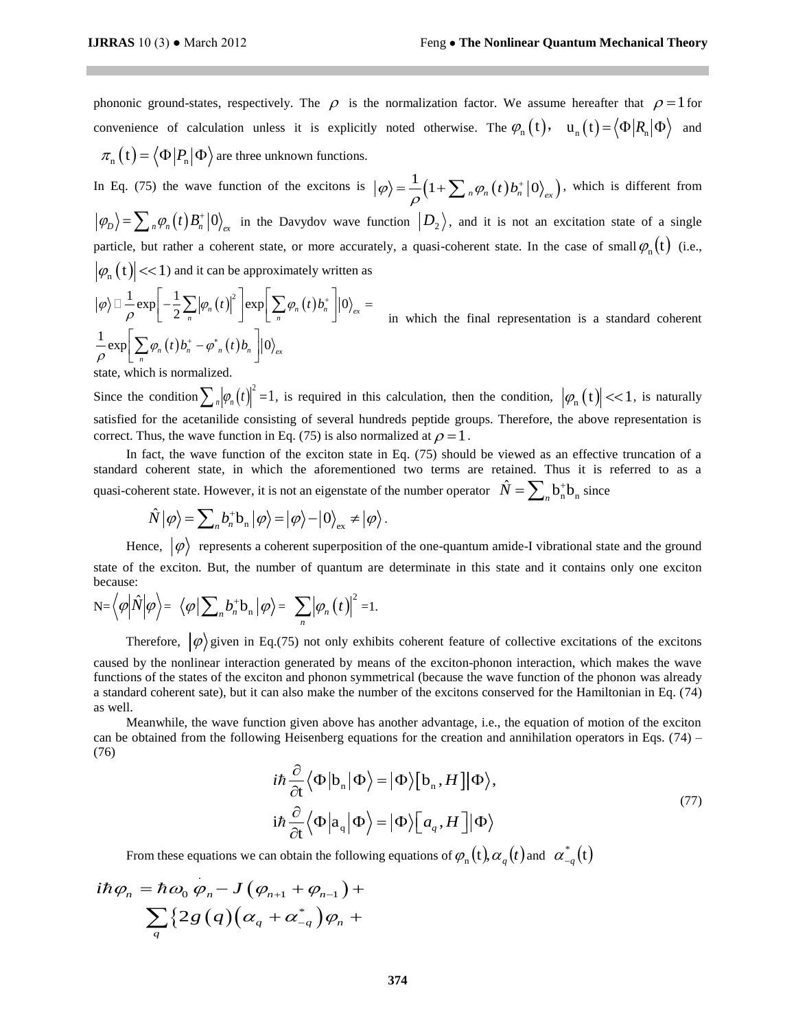phononic ground-states, respectively. The  $\rho$  is the normalization factor. We assume hereafter that  $\rho = 1$  for convenience of calculation unless it is explicitly noted otherwise. The  $\varphi_n(t)$ ,  $u_n(t) = \langle \Phi | R_n | \Phi \rangle$  and  $\pi_{n}(\mathbf{t}) = \langle \Phi | P_{n} | \Phi \rangle$  are three unknown functions.

In Eq. (75) the wave function of the excitons is  $|\varphi\rangle = \frac{1}{\rho} \left(1 + \sum_{n} \varphi_n(t) b_n^+ |0\rangle_{ex}\right)$  $^{+}$  $=\frac{1}{\Omega}\Big(1+\sum_{n} \varphi_n(t) b_n^{\dagger} \big|0\big>_{\text{ex}}\Big)$ , which is different from  $\langle \varphi_D \rangle = \sum_n \varphi_n(t) B_n^+ |0\rangle_{ex}$  in the Davydov wave function  $|D_2\rangle$ , and it is not an excitation state of a single particle, but rather a coherent state, or more accurately, a quasi-coherent state. In the case of small  $\varphi_n(t)$  (i.e.,  $|\varphi_n(t)| \ll 1$  and it can be approximately written as

 $\left|\varphi_n(t)\right| \ll 1$  and it can be approximately written<br>  $\left|\varphi\right\rangle \Box \frac{1}{\rho} \exp\left[-\frac{1}{2} \sum_n \left|\varphi_n(t)\right|^2\right] \exp\left[\sum_n \varphi_n(t) b_n^+\right] \left|0\right\rangle_{\text{ex}}$  $\frac{1}{2}$ exp $\sum \varphi_n(t) b_n^+ - \varphi_{n}^*(t)$  $\int_{\rho}^{\rho} \exp \left[ \sum_{n} \varphi_{n}(t) b_{n}^{+} - \varphi_{n}^{*}(t) b_{n} \right] |0\rangle_{\text{ex}}$ 1) and it can be approximately written as<br>  $\left[-\frac{1}{2}\sum_{n}|\varphi_{n}(t)|^{2}\right] \exp\left[\sum_{n}\varphi_{n}(t)b_{n}^{+}\right]|0\rangle_{ex} = \frac{1}{\ln w}$  $\left[\sum_{n} \varphi_{n}(t) b_{n}^{+} - \varphi_{n}^{*}(t) b_{n}\right]$  $\left[0\right]_{ex}$  $\frac{1}{\sqrt{2}} \exp\left[-\frac{1}{2} \sum_{n} |\varphi_n(t)| \right] \exp\left[\sum_{n} \varphi_n(t) \right]$ nd it can be approximately writ<br>  $\sum_{n} |\varphi_n(t)|^2 \left] \exp \left[ \sum_{n} \varphi_n(t) b_n^+ \right] \right]$  $\sum$  $\Box$ in which the final representation is a standard coherent

state, which is normalized.

Since the condition  $\sum_{n} |\varphi_n(t)|^2 = 1$ , is required in this calculation, then the condition,  $|\varphi_n(t)| < 1$ , is naturally satisfied for the acetanilide consisting of several hundreds peptide groups. Therefore, the above representation is correct. Thus, the wave function in Eq. (75) is also normalized at  $\rho = 1$ .

 In fact, the wave function of the exciton state in Eq. (75) should be viewed as an effective truncation of a standard coherent state, in which the aforementioned two terms are retained. Thus it is referred to as a quasi-coherent state. However, it is not an eigenstate of the number operator  $\hat{N} = \sum_{n} b_{n}^{+} b_{n}$  since  $\hat{N} | \varphi \rangle = \sum_{n} b_{n}^{+} b_{n} | \varphi \rangle = | \varphi \rangle - | 0 \rangle_{ex} \neq | \varphi \rangle$ .

$$
\hat{N}|\varphi\rangle = \sum_{n} b_{n}^{+} \mathbf{b}_{n} |\varphi\rangle = |\varphi\rangle - |0\rangle_{\text{ex}} \neq |\varphi\rangle.
$$

Hence,  $|\varphi\rangle$  represents a coherent superposition of the one-quantum amide-I vibrational state and the ground state of the exciton. But, the number of quantum are determinate in this state and it contains only one exciton because:

$$
\mathrm{N}=\left\langle \varphi \middle| \hat{N} \middle| \varphi \right\rangle = \left\langle \varphi \middle| \sum_{n} b_{n}^{+} \mathrm{b}_{n} \middle| \varphi \right\rangle = \sum_{n} \left| \varphi_{n} \left( t \right) \right|^{2} = 1.
$$

Therefore,  $|\varphi\rangle$  given in Eq.(75) not only exhibits coherent feature of collective excitations of the excitons caused by the nonlinear interaction generated by means of the exciton-phonon interaction, which makes the wave functions of the states of the exciton and phonon symmetrical (because the wave function of the phonon was already a standard coherent sate), but it can also make the number of the excitons conserved for the Hamiltonian in Eq. (74) as well.

 Meanwhile, the wave function given above has another advantage, i.e., the equation of motion of the exciton can be obtained from the following Heisenberg equations for the creation and annihilation operators in Eqs. (74) – (76)

$$
i\hbar \frac{\partial}{\partial t} \langle \Phi | b_n | \Phi \rangle = | \Phi \rangle [b_n, H] | \Phi \rangle,
$$
  
\n
$$
i\hbar \frac{\partial}{\partial t} \langle \Phi | a_q | \Phi \rangle = | \Phi \rangle [ a_q, H] | \Phi \rangle
$$
\n(77)

From these equations we can obtain the following equations of  $\varphi_n(t)$ ,  $\alpha_q(t)$  and  $\alpha_{-q}^*(t)$ <br>  $i\hbar \varphi_n = \hbar \omega_0 \varphi_n - J(\varphi_{n+1} + \varphi_{n-1}) +$ 

$$
i\hbar\varphi_{_{n}}=\hbar\omega_{_{0}}\varphi_{_{n}}\!-\!J\big(\varphi_{_{n+1}}+\varphi_{_{n-1}}\big)+\\\sum_{_{q}}\!\big\{2\;\!g\;\!\big(q\big)\!\big(\alpha_{_{q}}+\alpha_{_{-q}}^{^{*}}\big)\varphi_{_{n}}+\\
$$

.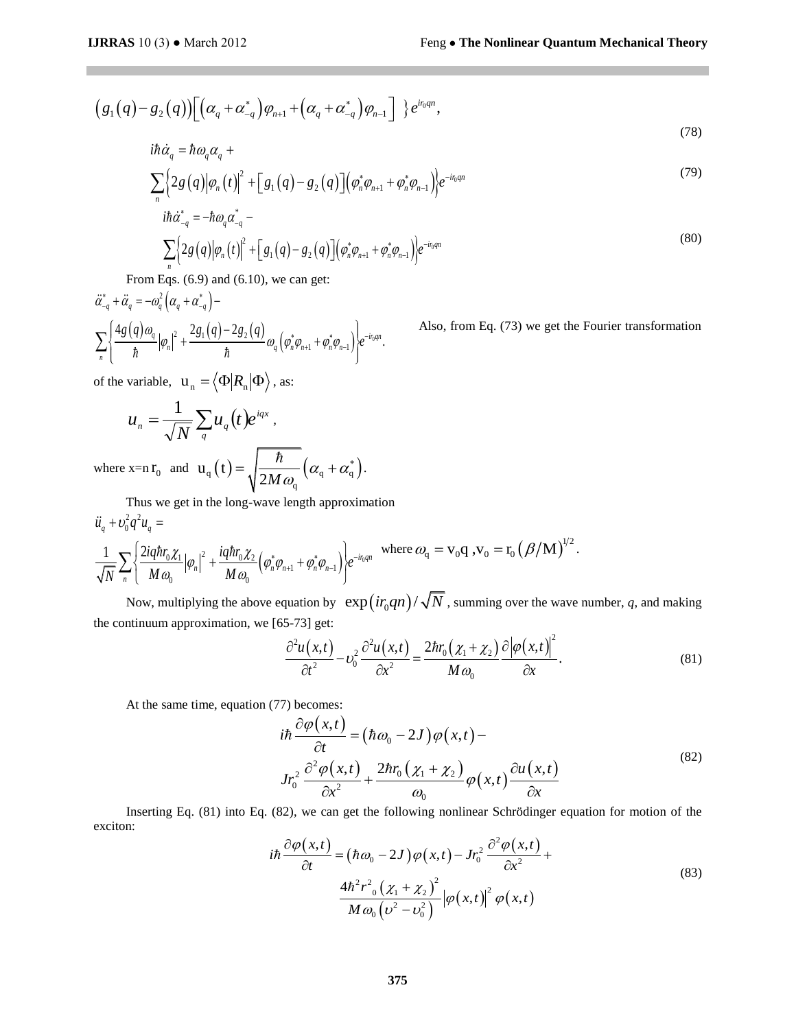$$
(g_1(q) - g_2(q))[(\alpha_q + \alpha_{-q}^*)\varphi_{n+1} + (\alpha_q + \alpha_{-q}^*)\varphi_{n-1}] \} e^{i r_0 q n},
$$
  
\n
$$
i\hbar \dot{\alpha}_q = \hbar \omega_q \alpha_q +
$$
\n(78)

$$
i\hbar \dot{\alpha}_q = \hbar \omega_q \alpha_q + \sum_n \left\{ 2g(q) \left| \varphi_n(t) \right|^2 + \left[ g_1(q) - g_2(q) \right] \left( \varphi_n^* \varphi_{n+1} + \varphi_n^* \varphi_{n-1} \right) \right\} e^{-i r_0 q n}
$$
\n
$$
i\hbar \dot{\alpha}_{-q}^* = -\hbar \omega_q \alpha_{-q}^* - \tag{79}
$$

$$
\sum_{n} \left\{ 2g(q) |\varphi_{n}(t)|^{2} + \left[ g_{1}(q) - g_{2}(q) \right] \left( \varphi_{n} \varphi_{n+1} + \varphi_{n} \varphi_{n-1} \right) \right\}^{c}
$$
\n
$$
i\hbar \dot{\alpha}_{-q}^{*} = -\hbar \omega_{q} \alpha_{-q}^{*} - \sum_{n} \left\{ 2g(q) |\varphi_{n}(t)|^{2} + \left[ g_{1}(q) - g_{2}(q) \right] \left( \varphi_{n}^{*} \varphi_{n+1} + \varphi_{n}^{*} \varphi_{n-1} \right) \right\} e^{-i\eta_{q} n} \tag{80}
$$

$$
(g_1(q)-g_2(q))[(\alpha_q+\alpha_{-q}^*)\varphi_{n+1}+(\alpha_q+\alpha_{-q}^*)\varphi_{n-1}]\}
$$
  
\n
$$
i\hbar\dot{\alpha}_q = \hbar\omega_q\alpha_q + \sum_{\substack{n=1\\n \neq j}} \left[2g(q)|\varphi_n(t)|^2 + [g_1(q)-g_2(q)](\varphi_n^*\varphi_{n+1}+\varphi_n^*\varphi_n^*\right]
$$
  
\n
$$
i\hbar\dot{\alpha}_{-q}^* = -\hbar\omega_q\alpha_{-q}^*\right]
$$
  
\nFrom Eqs. (6.9) and (6.10), we can get:  
\n
$$
\ddot{\alpha}_{-q}^* + \ddot{\alpha}_q = -\omega_q^2(\alpha_q+\alpha_{-q}^*) - \sum_{\substack{n=1\\n \neq j}} \left[2g(q)|\varphi_n(t)|^2 + [g_1(q)-g_2(q)](\varphi_n^*\varphi_{n+1}+\varphi_n^*\varphi_{n-1})\right]e^{-i\omega_q\alpha}.
$$
  
\nFrom Eqs. (6.9) and (6.10), we can get:  
\n
$$
\ddot{\alpha}_{-q}^* + \ddot{\alpha}_q = -\omega_q^2(\alpha_q+\alpha_{-q}^*) - \sum_{\substack{n=1\\n \neq j}} \left[2g(q)\varphi_n\varphi_{n+q} + \varphi_n^*\varphi_{n+1}\varphi_n^*\varphi_{n+1}\right]e^{-i\omega_q\alpha}.
$$
  
\n
$$
\text{If the variable, } \mathbf{u}_n = \langle\Phi|R_n|\Phi\rangle \text{, as:}
$$
  
\n
$$
\mathbf{u}_n = \frac{1}{\sqrt{N}} \sum_q \mathbf{u}_q(t)e^{iqx},
$$
  
\nwhere  $x=n \mathbf{r}_0$  and  $\mathbf{u}_q(t) = \sqrt{\frac{\hbar}{2M\omega_q}(\alpha_q+\alpha_q^*)}.$   
\nThus we get in the long-wave length approximation  
\n
$$
\ddot{u}_q + v_0^2q^2u_q = \frac{1}{\sqrt{N}} \sum_{n=1} \left[\frac{2iq\hbar v_0\chi_1}{\Delta\omega_0}|\varphi_n|^2 + \frac{iq\hbar v_0\chi_2}{\Delta\omega_0}(\varphi_n^*\varphi_{n+
$$

Also, from Eq. (73) we get the Fourier transformation

of the variable,  $\mathbf{u}_n = \langle \Phi | R_n | \Phi \rangle$ , as:

$$
u_n = \frac{1}{\sqrt{N}} \sum_q u_q(t) e^{iqx},
$$

where x=n  $\mathbf{r}_0$  and  $\mathbf{u}_q(t) = \sqrt{\frac{n}{2M\omega}} (\alpha_q + \alpha_q^*)$ . q  $u_q(t) = \sqrt{\frac{\hbar}{2M\omega_q}}\left(\alpha_q + \alpha_q^*\right).$  $=\int \frac{\hbar}{2M} (\alpha_{\rm q} + \alpha_{\rm q}^*)$ .

Thus we get in the long-wave length approximation  
\n
$$
\ddot{u}_q + v_0^2 q^2 u_q =
$$
\n
$$
\frac{1}{\sqrt{N}} \sum_n \left\{ \frac{2iq\hbar r_0 \chi_1}{M \omega_0} |\varphi_n|^2 + \frac{iq\hbar r_0 \chi_2}{M \omega_0} (\varphi_n^* \varphi_{n+1} + \varphi_n^* \varphi_{n-1}) \right\} e^{-i r_0 q n} \text{ where } \omega_q = \mathbf{v}_0 \mathbf{q}, \mathbf{v}_0 = \mathbf{r}_0 (\beta/\mathbf{M})^{1/2}.
$$

Now, multiplying the above equation by  $exp(i r_0 q n) / \sqrt{N}$ , summing over the wave number, q, and making the continuum approximation, we [65-73] get:<br> $\frac{\partial^2 u(x, t)}{\partial x^2}$ 

$$
\frac{\partial^2 u(x,t)}{\partial t^2} - \nu_0^2 \frac{\partial^2 u(x,t)}{\partial x^2} = \frac{2\hbar r_0 (x_1 + x_2)}{M \omega_0} \frac{\partial |\varphi(x,t)|^2}{\partial x}.
$$
\n(81)

At the same time, equation (77) becomes:<br> $i\hbar \frac{\partial \varphi(x,t)}{\partial t}$ 

$$
7) \text{ becomes:}
$$
\n
$$
i\hbar \frac{\partial \varphi(x,t)}{\partial t} = (\hbar \omega_0 - 2J) \varphi(x,t) - Jr_0^2 \frac{\partial^2 \varphi(x,t)}{\partial x^2} + \frac{2\hbar r_0(\chi_1 + \chi_2)}{\omega_0} \varphi(x,t) \frac{\partial u(x,t)}{\partial x}
$$
\n(82)

Inserting Eq. (81) into Eq. (82), we can get the following nonlinear Schrödinger equation for motion of the exciton:<br>  $i\hbar \frac{\partial \varphi(x,t)}{\partial t} = (\hbar \omega_0 - 2J) \varphi(x,t) - Jr^2 \frac{\partial^2 \varphi(x,t)}{\partial t} +$ exciton:

$$
i\hbar \frac{\partial \varphi(x,t)}{\partial t} = (\hbar \omega_0 - 2J) \varphi(x,t) - Jr_0^2 \frac{\partial^2 \varphi(x,t)}{\partial x^2} + \frac{4\hbar^2 r_{0}^2 (\chi_1 + \chi_2)^2}{M \omega_0 (\nu^2 - \nu_0^2)} |\varphi(x,t)|^2 \varphi(x,t)
$$
\n(83)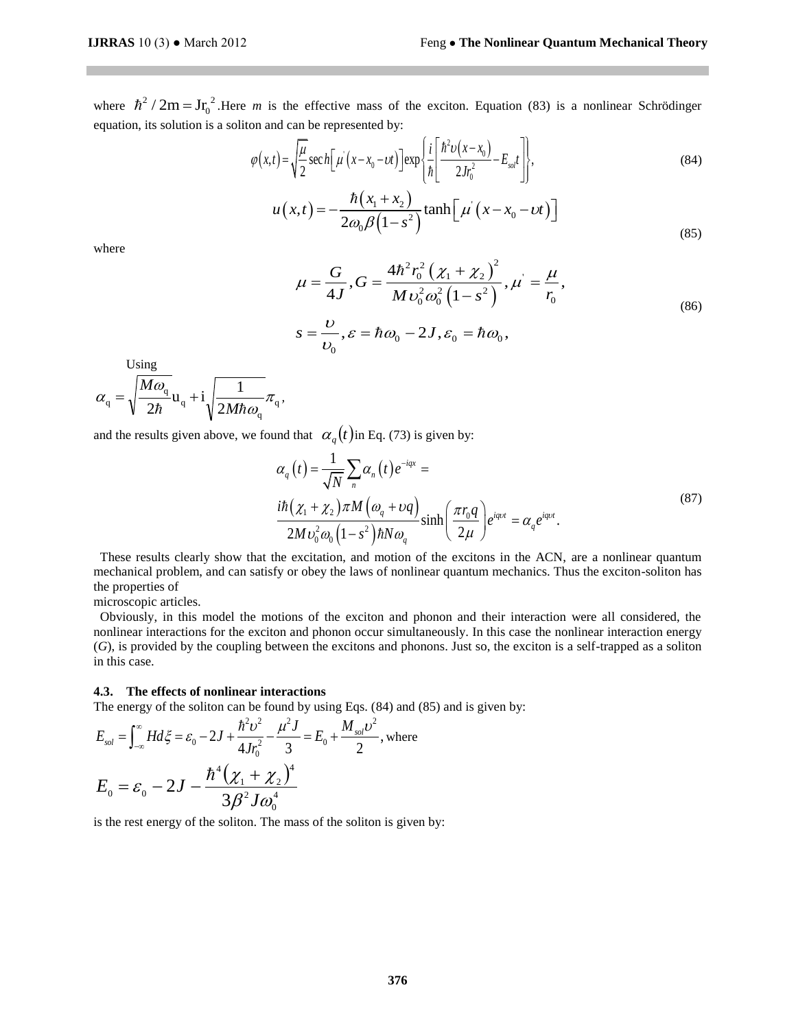where  $\hbar^2/2m = Jr_0^2$ . Here *m* is the effective mass of the exciton. Equation (83) is a nonlinear Schrödinger

equation, its solution is a soliton and can be represented by:  
\n
$$
\varphi(x,t) = \sqrt{\frac{\mu}{2}} \sec h \left[ \mu \left( x - x_0 - vt \right) \right] \exp \left\{ \frac{i}{\hbar} \left[ \frac{\hbar^2 v(x - x_0)}{2Jr_0^2} - E_{\text{sat}} t \right] \right\},\tag{84}
$$
\n
$$
\mu(x,t) = -\frac{\hbar (x_1 + x_2)}{2Jr_0^2} \tanh \left[ \mu \left( x - x_0 - vt \right) \right]
$$

$$
u(x,t) = -\frac{\hbar(x_1 + x_2)}{2\omega_0 \beta \left(1 - s^2\right)} \tanh\left[\mu\left(x - x_0 - vt\right)\right]
$$
\n(85)

where

$$
\mu = \frac{G}{4J}, G = \frac{4\hbar^2 r_0^2 (\chi_1 + \chi_2)^2}{M v_0^2 \omega_0^2 (1 - s^2)}, \mu = \frac{\mu}{r_0},
$$
  

$$
s = \frac{U}{v_0}, \varepsilon = \hbar \omega_0 - 2J, \varepsilon_0 = \hbar \omega_0,
$$
 (86)

Using

$$
\alpha_{\mathbf{q}} = \sqrt{\frac{M\omega_{\mathbf{q}}}{2\hbar}}\mathbf{u}_{\mathbf{q}} + \mathbf{i}\sqrt{\frac{1}{2M\hbar\omega_{\mathbf{q}}}}\pi_{\mathbf{q}},
$$

and the results given above, we found that 
$$
\alpha_q(t)
$$
 in Eq. (73) is given by:  
\n
$$
\alpha_q(t) = \frac{1}{\sqrt{N}} \sum_n \alpha_n(t) e^{-iqx} = \frac{i\hbar(\chi_1 + \chi_2)\pi M(\omega_q + \nu q)}{2M v_0^2 \omega_0 (1 - s^2) \hbar N \omega_q} \sinh\left(\frac{\pi r_0 q}{2\mu}\right) e^{iq\nu t} = \alpha_q e^{iq\nu t}.
$$
\n(87)

These results clearly show that the excitation, and motion of the excitons in the ACN, are a nonlinear quantum mechanical problem, and can satisfy or obey the laws of nonlinear quantum mechanics. Thus the exciton-soliton has the properties of

microscopic articles.

Obviously, in this model the motions of the exciton and phonon and their interaction were all considered, the nonlinear interactions for the exciton and phonon occur simultaneously. In this case the nonlinear interaction energy (*G*), is provided by the coupling between the excitons and phonons. Just so, the exciton is a self-trapped as a soliton in this case.

### **4.3. The effects of nonlinear interactions**

4.3. The effects of nonlinear interactions  
\nThe energy of the soliton can be found by using Eqs. (84) and (85) and is given by:  
\n
$$
E_{sol} = \int_{-\infty}^{\infty} H d\xi = \varepsilon_0 - 2J + \frac{\hbar^2 v^2}{4Jr_0^2} - \frac{\mu^2 J}{3} = E_0 + \frac{M_{sol}v^2}{2}
$$
, where  
\n
$$
E_0 = \varepsilon_0 - 2J - \frac{\hbar^4 (\chi_1 + \chi_2)^4}{3\beta^2 J \omega_0^4}
$$

is the rest energy of the soliton. The mass of the soliton is given by: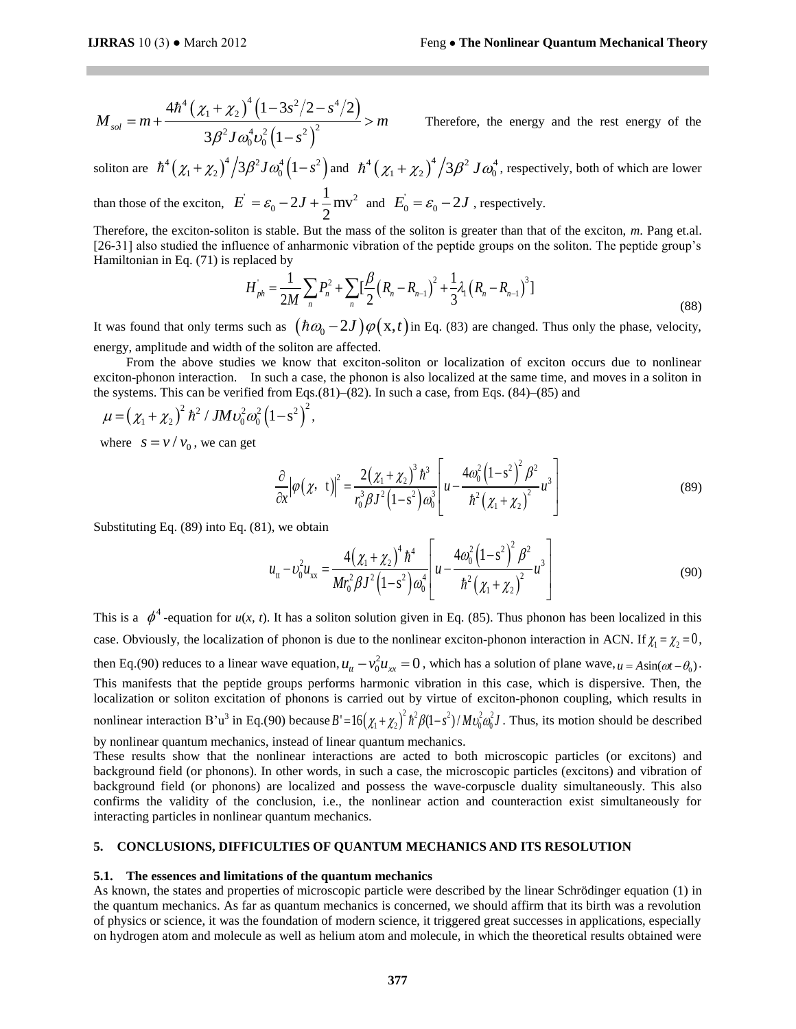$$
M_{sol} = m + \frac{4h^4 (\chi_1 + \chi_2)^4 (1 - 3s^2/2 - s^4/2)}{3\beta^2 J \omega_0^4 \omega_0^2 (1 - s^2)^2} > m
$$

Therefore, the energy and the rest energy of the

soliton are  $\hbar^4 (\chi_1 + \chi_2)^4 / 3 \beta^2 J \omega_0^4 (1 - s^2)$  and  $\hbar^4 (\chi_1 + \chi_2)^4 / 3 \beta^2 J \omega_0^4$ , respectively, both of which are lower

than those of the exciton,  $\vec{E} = \varepsilon_0 - 2J + \frac{1}{2}mv^2$ 0  $2J + \frac{1}{2}$ mv 2  $\vec{E} = \varepsilon_0 - 2J + \frac{1}{2}mv^2$  and  $\vec{E}_0 = \varepsilon_0 - 2J$ , respectively.

Therefore, the exciton-soliton is stable. But the mass of the soliton is greater than that of the exciton, *m*. Pang et.al. Fraction, the choiceal school is stated to the mass of the solidar is given than that of the entertoin, the range change [26-31] also studied the influence of anharmonic vibration of the peptide groups on the soliton. The Hamiltonian in Eq. (71) is replaced by

placed by  
\n
$$
H_{ph} = \frac{1}{2M} \sum_{n} P_n^2 + \sum_{n} \left[ \frac{\beta}{2} \left( R_n - R_{n-1} \right)^2 + \frac{1}{3} \lambda_1 \left( R_n - R_{n-1} \right)^3 \right]
$$
\n(88)

It was found that only terms such as  $(\hbar \omega_0 - 2J)\varphi(x, t)$  in Eq. (83) are changed. Thus only the phase, velocity, energy, amplitude and width of the soliton are affected.

 From the above studies we know that exciton-soliton or localization of exciton occurs due to nonlinear exciton-phonon interaction. In such a case, the phonon is also localized at the same time, and moves in a soliton in the systems. This can be verified from Eqs.(81)–(82). In such a case, from Eqs. (84)–(85) and  $\mu = (\chi_1 + \chi_2)^2 \hbar^2 / J M v_0^2 \omega_0^2 (1 - s^2)^2$ ,

$$
\mu = (\chi_1 + \chi_2)^2 \hbar^2 / J M v_0^2 \omega_0^2 (1 - s^2)^2,
$$

where  $s = v / v_0$ , we can get

$$
\frac{\partial}{\partial x} |\varphi(\chi, t)|^2 = \frac{2(\chi_1 + \chi_2)^3 \hbar^3}{r_0^3 \beta J^2 (1 - s^2) \omega_0^3} \left[ u - \frac{4\omega_0^2 (1 - s^2)^2 \beta^2}{\hbar^2 (\chi_1 + \chi_2)^2} u^3 \right]
$$
(89)

Substituting Eq. (89) into Eq. (81), we obtain

$$
u_{tt} - v_0^2 u_{xx} = \frac{4(\chi_1 + \chi_2)^4 \hbar^4}{Mr_0^2 \beta J^2 (1 - s^2) \omega_0^4} \left[ u - \frac{4\omega_0^2 (1 - s^2)^2 \beta^2}{\hbar^2 (\chi_1 + \chi_2)^2} u^3 \right]
$$
(90)

This is a  $\phi^4$ -equation for  $u(x, t)$ . It has a soliton solution given in Eq. (85). Thus phonon has been localized in this case. Obviously, the localization of phonon is due to the nonlinear exciton-phonon interaction in ACN. If  $\chi_1 = \chi_2 = 0$ , then Eq.(90) reduces to a linear wave equation,  $u_n - v_0^2 u_{xx} = 0$ , which has a solution of plane wave,  $u = A \sin(\omega t - \theta_0)$ . This manifests that the peptide groups performs harmonic vibration in this case, which is dispersive. Then, the localization or soliton excitation of phonons is carried out by virtue of exciton-phonon coupling, which results in nonlinear interaction B'u<sup>3</sup> in Eq.(90) because  $B' = 16(\chi_1 + \chi_2)^2 h^2 \beta (1 - s^2) / M v_0^2 \omega_0^2 J$ . Thus, its motion should be described by nonlinear quantum mechanics, instead of linear quantum mechanics.

These results show that the nonlinear interactions are acted to both microscopic particles (or excitons) and background field (or phonons). In other words, in such a case, the microscopic particles (excitons) and vibration of background field (or phonons) are localized and possess the wave-corpuscle duality simultaneously. This also confirms the validity of the conclusion, i.e., the nonlinear action and counteraction exist simultaneously for interacting particles in nonlinear quantum mechanics.

### **5. CONCLUSIONS, DIFFICULTIES OF QUANTUM MECHANICS AND ITS RESOLUTION**

### **5.1. The essences and limitations of the quantum mechanics**

As known, the states and properties of microscopic particle were described by the linear Schrödinger equation (1) in the quantum mechanics. As far as quantum mechanics is concerned, we should affirm that its birth was a revolution of physics or science, it was the foundation of modern science, it triggered great successes in applications, especially on hydrogen atom and molecule as well as helium atom and molecule, in which the theoretical results obtained were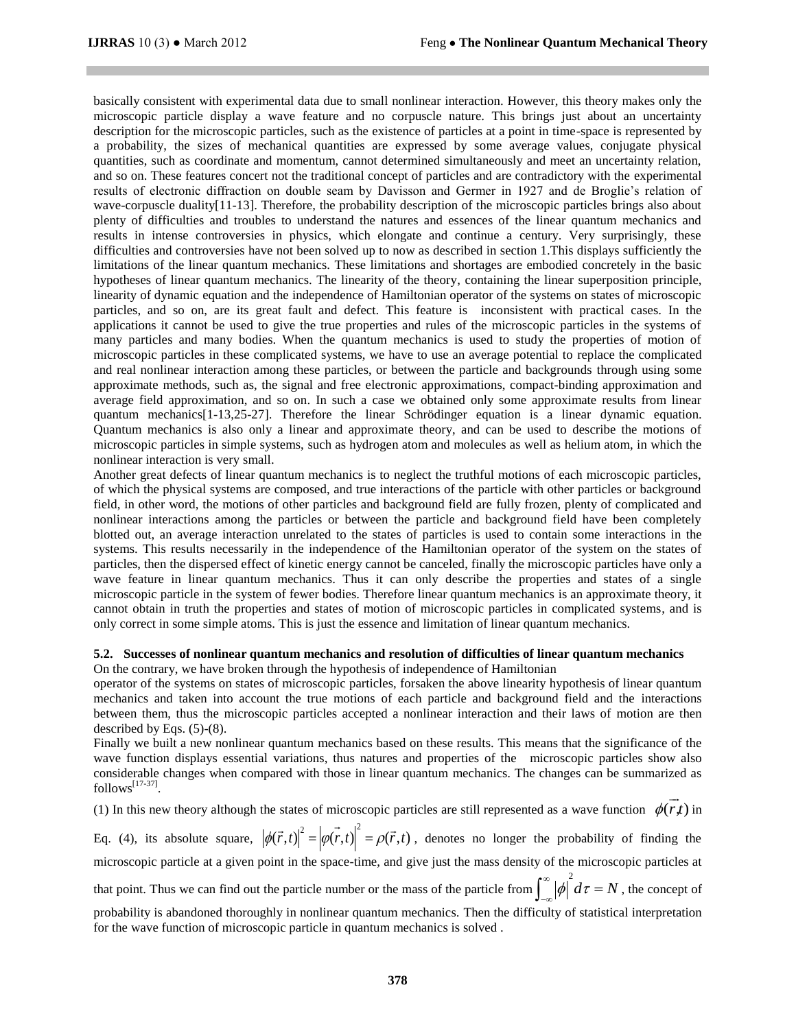basically consistent with experimental data due to small nonlinear interaction. However, this theory makes only the microscopic particle display a wave feature and no corpuscle nature. This brings just about an uncertainty description for the microscopic particles, such as the existence of particles at a point in time-space is represented by a probability, the sizes of mechanical quantities are expressed by some average values, conjugate physical quantities, such as coordinate and momentum, cannot determined simultaneously and meet an uncertainty relation, and so on. These features concert not the traditional concept of particles and are contradictory with the experimental results of electronic diffraction on double seam by Davisson and Germer in 1927 and de Broglie's relation of wave-corpuscle duality[11-13]. Therefore, the probability description of the microscopic particles brings also about plenty of difficulties and troubles to understand the natures and essences of the linear quantum mechanics and results in intense controversies in physics, which elongate and continue a century. Very surprisingly, these difficulties and controversies have not been solved up to now as described in section 1.This displays sufficiently the limitations of the linear quantum mechanics. These limitations and shortages are embodied concretely in the basic hypotheses of linear quantum mechanics. The linearity of the theory, containing the linear superposition principle, linearity of dynamic equation and the independence of Hamiltonian operator of the systems on states of microscopic particles, and so on, are its great fault and defect. This feature is inconsistent with practical cases. In the applications it cannot be used to give the true properties and rules of the microscopic particles in the systems of many particles and many bodies. When the quantum mechanics is used to study the properties of motion of microscopic particles in these complicated systems, we have to use an average potential to replace the complicated and real nonlinear interaction among these particles, or between the particle and backgrounds through using some approximate methods, such as, the signal and free electronic approximations, compact-binding approximation and average field approximation, and so on. In such a case we obtained only some approximate results from linear quantum mechanics[1-13,25-27]. Therefore the linear Schrödinger equation is a linear dynamic equation. Quantum mechanics is also only a linear and approximate theory, and can be used to describe the motions of microscopic particles in simple systems, such as hydrogen atom and molecules as well as helium atom, in which the nonlinear interaction is very small.

Another great defects of linear quantum mechanics is to neglect the truthful motions of each microscopic particles, of which the physical systems are composed, and true interactions of the particle with other particles or background field, in other word, the motions of other particles and background field are fully frozen, plenty of complicated and nonlinear interactions among the particles or between the particle and background field have been completely blotted out, an average interaction unrelated to the states of particles is used to contain some interactions in the systems. This results necessarily in the independence of the Hamiltonian operator of the system on the states of particles, then the dispersed effect of kinetic energy cannot be canceled, finally the microscopic particles have only a wave feature in linear quantum mechanics. Thus it can only describe the properties and states of a single microscopic particle in the system of fewer bodies. Therefore linear quantum mechanics is an approximate theory, it cannot obtain in truth the properties and states of motion of microscopic particles in complicated systems, and is only correct in some simple atoms. This is just the essence and limitation of linear quantum mechanics.

# **5.2. Successes of nonlinear quantum mechanics and resolution of difficulties of linear quantum mechanics**  On the contrary, we have broken through the hypothesis of independence of Hamiltonian

operator of the systems on states of microscopic particles, forsaken the above linearity hypothesis of linear quantum mechanics and taken into account the true motions of each particle and background field and the interactions between them, thus the microscopic particles accepted a nonlinear interaction and their laws of motion are then described by Eqs. (5)-(8).

Finally we built a new nonlinear quantum mechanics based on these results. This means that the significance of the wave function displays essential variations, thus natures and properties of the microscopic particles show also considerable changes when compared with those in linear quantum mechanics. The changes can be summarized as  $follows<sup>[17-37]</sup>$ .  $\rightarrow$ 

(1) In this new theory although the states of microscopic particles are still represented as a wave function  $\phi(r)$ in

Eq. (4), its absolute square,  $|\phi(\vec{r},t)|^2 = |\phi(\vec{r},t)|^2 = \rho(\vec{r},t)$ , denotes no longer the probability of finding the microscopic particle at a given point in the space-time, and give just the mass density of the microscopic particles at

that point. Thus we can find out the particle number or the mass of the particle from  $\int_{0}^{\infty} |\phi|^{2} d\tau = N$  $\int_{-\infty}^{\infty} |\phi| d\tau = N$ , the concept of

probability is abandoned thoroughly in nonlinear quantum mechanics. Then the difficulty of statistical interpretation for the wave function of microscopic particle in quantum mechanics is solved .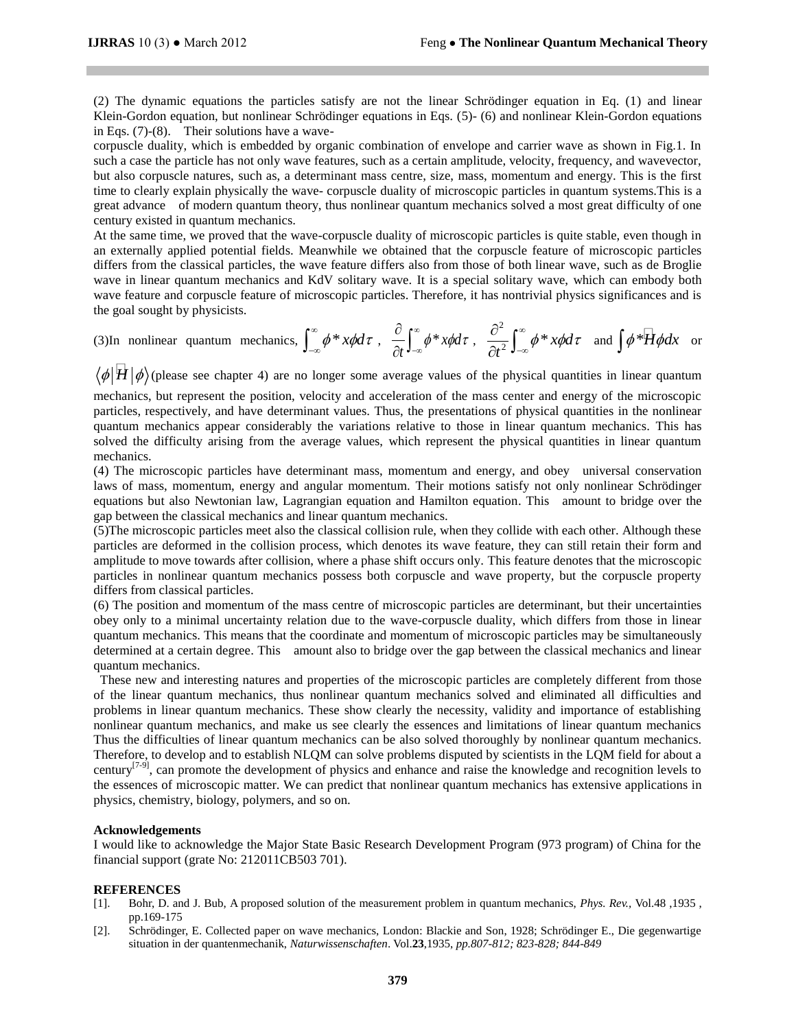(2) The dynamic equations the particles satisfy are not the linear Schrödinger equation in Eq. (1) and linear Klein-Gordon equation, but nonlinear Schrödinger equations in Eqs. (5)- (6) and nonlinear Klein-Gordon equations in Eqs. (7)-(8). Their solutions have a wave-

corpuscle duality, which is embedded by organic combination of envelope and carrier wave as shown in Fig.1. In such a case the particle has not only wave features, such as a certain amplitude, velocity, frequency, and wavevector, but also corpuscle natures, such as, a determinant mass centre, size, mass, momentum and energy. This is the first time to clearly explain physically the wave- corpuscle duality of microscopic particles in quantum systems.This is a great advance of modern quantum theory, thus nonlinear quantum mechanics solved a most great difficulty of one century existed in quantum mechanics.

At the same time, we proved that the wave-corpuscle duality of microscopic particles is quite stable, even though in an externally applied potential fields. Meanwhile we obtained that the corpuscle feature of microscopic particles differs from the classical particles, the wave feature differs also from those of both linear wave, such as de Broglie wave in linear quantum mechanics and KdV solitary wave. It is a special solitary wave, which can embody both wave feature and corpuscle feature of microscopic particles. Therefore, it has nontrivial physics significances and is the goal sought by physicists.

(3) In nonlinear quantum mechanics, 
$$
\int_{-\infty}^{\infty} \phi * x \phi \, d\tau
$$
, 
$$
\frac{\partial}{\partial t} \int_{-\infty}^{\infty} \phi * x \phi \, d\tau
$$
, 
$$
\frac{\partial^2}{\partial t^2} \int_{-\infty}^{\infty} \phi * x \phi \, d\tau
$$
 and 
$$
\int \phi * \overline{H} \phi \, dx
$$
 or

 $\langle \phi | \overline{H} | \phi \rangle$ (please see chapter 4) are no longer some average values of the physical quantities in linear quantum

mechanics, but represent the position, velocity and acceleration of the mass center and energy of the microscopic particles, respectively, and have determinant values. Thus, the presentations of physical quantities in the nonlinear quantum mechanics appear considerably the variations relative to those in linear quantum mechanics. This has solved the difficulty arising from the average values, which represent the physical quantities in linear quantum mechanics.

(4) The microscopic particles have determinant mass, momentum and energy, and obey universal conservation laws of mass, momentum, energy and angular momentum. Their motions satisfy not only nonlinear Schrödinger equations but also Newtonian law, Lagrangian equation and Hamilton equation. This amount to bridge over the gap between the classical mechanics and linear quantum mechanics.

(5)The microscopic particles meet also the classical collision rule, when they collide with each other. Although these particles are deformed in the collision process, which denotes its wave feature, they can still retain their form and amplitude to move towards after collision, where a phase shift occurs only. This feature denotes that the microscopic particles in nonlinear quantum mechanics possess both corpuscle and wave property, but the corpuscle property differs from classical particles.

(6) The position and momentum of the mass centre of microscopic particles are determinant, but their uncertainties obey only to a minimal uncertainty relation due to the wave-corpuscle duality, which differs from those in linear quantum mechanics. This means that the coordinate and momentum of microscopic particles may be simultaneously determined at a certain degree. This amount also to bridge over the gap between the classical mechanics and linear quantum mechanics.

These new and interesting natures and properties of the microscopic particles are completely different from those of the linear quantum mechanics, thus nonlinear quantum mechanics solved and eliminated all difficulties and problems in linear quantum mechanics. These show clearly the necessity, validity and importance of establishing nonlinear quantum mechanics, and make us see clearly the essences and limitations of linear quantum mechanics Thus the difficulties of linear quantum mechanics can be also solved thoroughly by nonlinear quantum mechanics. Therefore, to develop and to establish NLQM can solve problems disputed by scientists in the LQM field for about a century<sup>[7-9]</sup>, can promote the development of physics and enhance and raise the knowledge and recognition levels to the essences of microscopic matter. We can predict that nonlinear quantum mechanics has extensive applications in physics, chemistry, biology, polymers, and so on.

# **Acknowledgements**

I would like to acknowledge the Major State Basic Research Development Program (973 program) of China for the financial support (grate No: 212011CB503 701).

### **REFERENCES**

- [1]. Bohr, D. and J. Bub, A proposed solution of the measurement problem in quantum mechanics, *Phys. Rev.,* Vol.48 ,1935 , pp.169-175
- [2]. Schrödinger, E. Collected paper on wave mechanics, London: Blackie and Son, 1928; Schrödinger E., Die gegenwartige situation in der quantenmechanik, *Naturwissenschaften*. Vol.**23**,1935, *pp.807-812; 823-828; 844-849*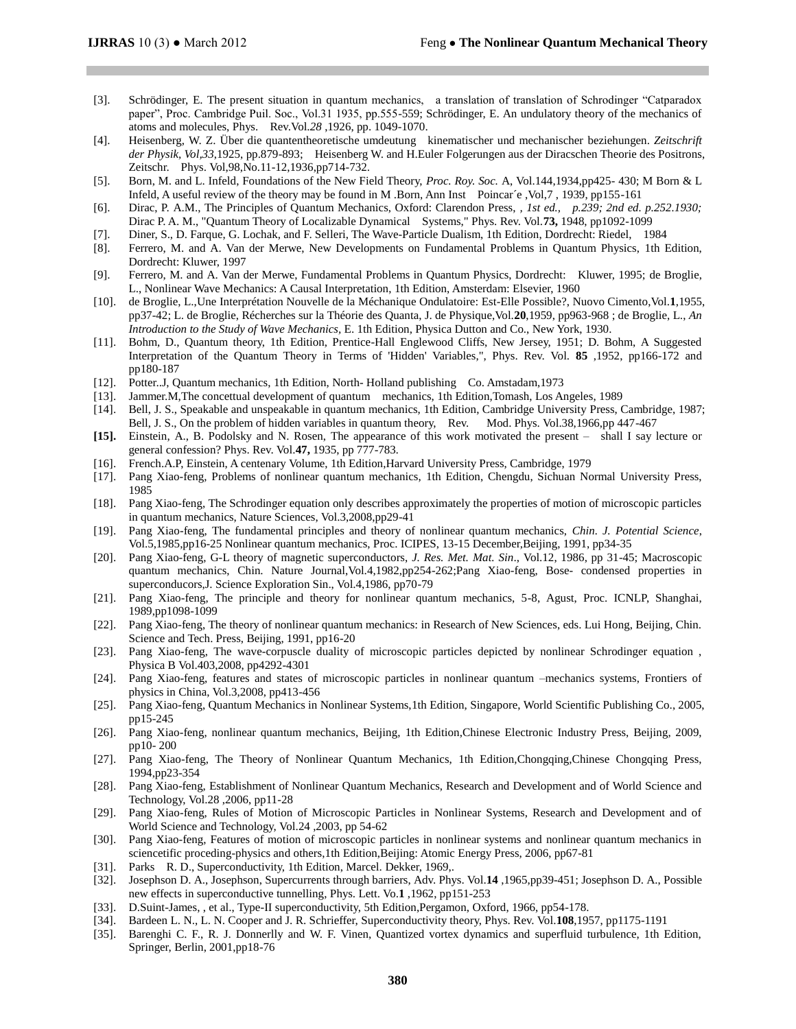- [3]. Schrödinger, E. The present situation in quantum mechanics, a translation of translation of Schrodinger "Catparadox paper", Proc. Cambridge Puil. Soc., Vol.31 1935, pp.555-559; Schrödinger, E. An undulatory theory of the mechanics of atoms and molecules, Phys. Rev.Vol.*28* ,1926, pp. 1049-1070.
- [4]. Heisenberg, W. Z. Über die quantentheoretische umdeutung kinematischer und mechanischer beziehungen. *Zeitschrift der Physik, Vol,33*,1925, pp.879-893; Heisenberg W. and H.Euler Folgerungen aus der Diracschen Theorie des Positrons, Zeitschr. Phys. Vol,98,No.11-12,1936,pp714-732.
- [5]. Born, M. and L. Infeld, Foundations of the New Field Theory, *Proc. Roy. Soc.* A, Vol.144,1934,pp425- 430; M Born & L Infeld, A useful review of the theory may be found in M .Born, Ann Inst Poincar´e ,Vol,7 , 1939, pp155-161
- [6]. Dirac, P. A.M., The Principles of Quantum Mechanics, Oxford: Clarendon Press, *, 1st ed., p.239; 2nd ed. p.252.1930;*  Dirac P. A. M., "Quantum Theory of Localizable Dynamical Systems," Phys. Rev. Vol.**73,** 1948, pp1092-1099
- [7]. Diner, S., D. Farque, G. Lochak, and F. Selleri, The Wave-Particle Dualism, 1th Edition, Dordrecht: Riedel, 1984
- [8]. Ferrero, M. and A. Van der Merwe, New Developments on Fundamental Problems in Quantum Physics, 1th Edition, Dordrecht: Kluwer, 1997
- [9]. Ferrero, M. and A. Van der Merwe, Fundamental Problems in Quantum Physics, Dordrecht: Kluwer, 1995; de Broglie, L., Nonlinear Wave Mechanics: A Causal Interpretation, 1th Edition, Amsterdam: Elsevier, 1960
- [10]. de Broglie, L.,Une Interprétation Nouvelle de la Méchanique Ondulatoire: Est-Elle Possible?, Nuovo Cimento,Vol.**1**,1955, pp37-42; L. de Broglie, Récherches sur la Théorie des Quanta, J. de Physique,Vol.**20**,1959, pp963-968 ; de Broglie, L., *An Introduction to the Study of Wave Mechanics,* E. 1th Edition, Physica Dutton and Co., New York, 1930.
- [11]. Bohm, D., Quantum theory, 1th Edition, Prentice-Hall Englewood Cliffs, New Jersey, 1951; D. Bohm, A Suggested Interpretation of the Quantum Theory in Terms of 'Hidden' Variables,", Phys. Rev. Vol. **85** ,1952, pp166-172 and pp180-187
- [12]. Potter..J, Quantum mechanics, 1th Edition, North- Holland publishing Co. Amstadam,1973
- [13]. Jammer.M,The concettual development of quantum mechanics, 1th Edition,Tomash, Los Angeles, 1989
- [14]. Bell, J. S., Speakable and unspeakable in quantum mechanics, 1th Edition, Cambridge University Press, Cambridge, 1987; Bell, J. S., On the problem of hidden variables in quantum theory, Rev. Mod. Phys. Vol.38,1966,pp 447-467
- **[15].** Einstein, A., B. Podolsky and N. Rosen, The appearance of this work motivated the present shall I say lecture or general confession? Phys. Rev. Vol.**47,** 1935, pp 777-783*.*
- [16]. French.A.P, Einstein, A centenary Volume, 1th Edition,Harvard University Press, Cambridge, 1979
- [17]. Pang Xiao-feng, Problems of nonlinear quantum mechanics, 1th Edition, Chengdu, Sichuan Normal University Press, 1985
- [18]. Pang Xiao-feng, The Schrodinger equation only describes approximately the properties of motion of microscopic particles in quantum mechanics, Nature Sciences, Vol.3,2008,pp29-41
- [19]. Pang Xiao-feng, The fundamental principles and theory of nonlinear quantum mechanics, *Chin. J. Potential Science*, Vol.5,1985,pp16-25 Nonlinear quantum mechanics, Proc. ICIPES, 13-15 December,Beijing, 1991, pp34-35
- [20]. Pang Xiao-feng, G-L theory of magnetic superconductors, *J. Res. Met. Mat. Sin*., Vol.12, 1986, pp 31-45; Macroscopic quantum mechanics, Chin. Nature Journal,Vol.4,1982,pp254-262;Pang Xiao-feng, Bose- condensed properties in superconducors,J. Science Exploration Sin., Vol.4,1986, pp70-79
- [21]. Pang Xiao-feng, The principle and theory for nonlinear quantum mechanics, 5-8, Agust, Proc. ICNLP, Shanghai, 1989,pp1098-1099
- [22]. Pang Xiao-feng, The theory of nonlinear quantum mechanics: in Research of New Sciences, eds. Lui Hong, Beijing, Chin. Science and Tech. Press, Beijing, 1991, pp16-20
- [23]. Pang Xiao-feng, The wave-corpuscle duality of microscopic particles depicted by nonlinear Schrodinger equation , Physica B Vol.403,2008, pp4292-4301
- [24]. Pang Xiao-feng, features and states of microscopic particles in nonlinear quantum –mechanics systems, Frontiers of physics in China, Vol.3,2008, pp413-456
- [25]. Pang Xiao-feng, Quantum Mechanics in Nonlinear Systems,1th Edition, Singapore, World Scientific Publishing Co., 2005, pp15-245
- [26]. Pang Xiao-feng, nonlinear quantum mechanics, Beijing, 1th Edition,Chinese Electronic Industry Press, Beijing, 2009, pp10- 200
- [27]. Pang Xiao-feng, The Theory of Nonlinear Quantum Mechanics, 1th Edition,Chongqing,Chinese Chongqing Press, 1994,pp23-354
- [28]. Pang Xiao-feng, Establishment of Nonlinear Quantum Mechanics, Research and Development and of World Science and Technology, Vol.28 ,2006, pp11-28
- [29]. Pang Xiao-feng, Rules of Motion of Microscopic Particles in Nonlinear Systems, Research and Development and of World Science and Technology, Vol.24 ,2003, pp 54-62
- [30]. Pang Xiao-feng, Features of motion of microscopic particles in nonlinear systems and nonlinear quantum mechanics in sciencetific proceding-physics and others,1th Edition,Beijing: Atomic Energy Press, 2006, pp67-81
- [31]. Parks R. D., Superconductivity, 1th Edition, Marcel. Dekker, 1969,.
- [32]. Josephson D. A., Josephson, [Supercurrents through barriers,](http://www.informaworld.com/smpp/content~db=all~content=a739212927) Adv. Phys. Vol.**14** ,1965,pp39-451; Josephson D. A.[, Possible](http://adsabs.harvard.edu/abs/1962PhL.....1..251J)  [new effects in superconductive tunnelling,](http://adsabs.harvard.edu/abs/1962PhL.....1..251J) Phys. Lett. Vo.**1** ,1962, pp151-253
- [33]. D.Suint-James, , et al., Type-II superconductivity, 5th Edition,Pergamon, Oxford, 1966, pp54-178.
- [34]. Bardeen L. N., L. N. Cooper and J. R. Schrieffer, Superconductivity theory, Phys. Rev. Vol.**108**,1957, pp1175-1191
- [35]. Barenghi C. F., R. J. Donnerlly and W. F. Vinen, Quantized vortex dynamics and superfluid turbulence, 1th Edition, Springer, Berlin, 2001,pp18-76